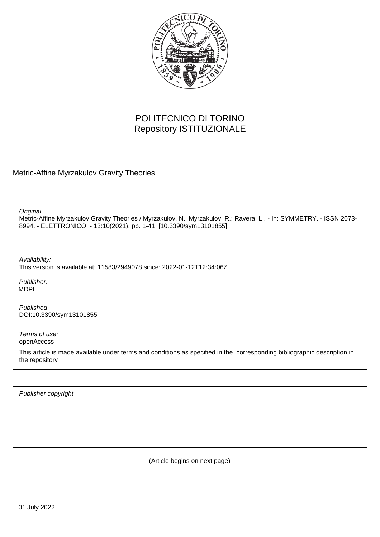

# POLITECNICO DI TORINO Repository ISTITUZIONALE

Metric-Affine Myrzakulov Gravity Theories

**Original** 

Metric-Affine Myrzakulov Gravity Theories / Myrzakulov, N.; Myrzakulov, R.; Ravera, L.. - In: SYMMETRY. - ISSN 2073- 8994. - ELETTRONICO. - 13:10(2021), pp. 1-41. [10.3390/sym13101855]

Availability: This version is available at: 11583/2949078 since: 2022-01-12T12:34:06Z

Publisher: MDPI

Published DOI:10.3390/sym13101855

Terms of use: openAccess

This article is made available under terms and conditions as specified in the corresponding bibliographic description in the repository

Publisher copyright

(Article begins on next page)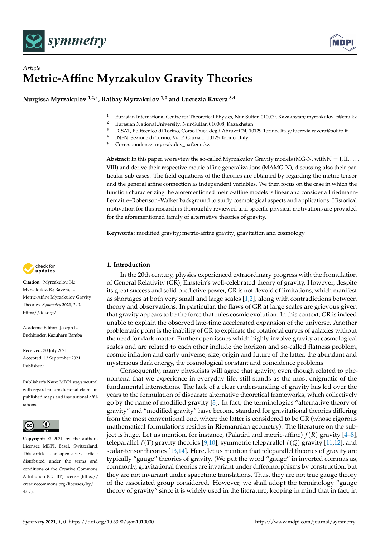



## *Article* **Metric-Affine Myrzakulov Gravity Theories**

**Nurgissa Myrzakulov 1,2,\*, Ratbay Myrzakulov 1,2 and Lucrezia Ravera 3,4**

- <sup>1</sup> Eurasian International Centre for Theoretical Physics, Nur-Sultan 010009, Kazakhstan; myrzakulov\_r@enu.kz<br><sup>2</sup> Eurasian National Iniversity, Nur-Sultan 010008, Kazakhstan
- <sup>2</sup> Eurasian NationalUniversity, Nur-Sultan 010008, Kazakhstan<br><sup>3</sup> EUCAT Politanias di Terina Caras Duce deali Alemani 24, 10
- <sup>3</sup> DISAT, Politecnico di Torino, Corso Duca degli Abruzzi 24, 10129 Torino, Italy; lucrezia.ravera@polito.it
- 4 INFN, Sezione di Torino, Via P. Giuria 1, 10125 Torino, Italy
- **\*** Correspondence: myrzakulov\_na@enu.kz

**Abstract:** In this paper, we review the so-called Myrzakulov Gravity models (MG-N, with  $N = I, II, \ldots$ ) VIII) and derive their respective metric-affine generalizations (MAMG-N), discussing also their particular sub-cases. The field equations of the theories are obtained by regarding the metric tensor and the general affine connection as independent variables. We then focus on the case in which the function characterizing the aforementioned metric-affine models is linear and consider a Friedmann-Lemaître–Robertson–Walker background to study cosmological aspects and applications. Historical motivation for this research is thoroughly reviewed and specific physical motivations are provided for the aforementioned family of alternative theories of gravity.

**Keywords:** modified gravity; metric-affine gravity; gravitation and cosmology

## **1. Introduction**

In the 20th century, physics experienced extraordinary progress with the formulation of General Relativity (GR), Einstein's well-celebrated theory of gravity. However, despite its great success and solid predictive power, GR is not devoid of limitations, which manifest as shortages at both very small and large scales [1,2], along with contradictions between theory and observations. In particular, the flaws of GR at large scales are grievous given that gravity appears to be the force that rules cosmic evolution. In this context, GR is indeed unable to explain the observed late-time accelerated expansion of the universe. Another problematic point is the inability of GR to explicate the rotational curves of galaxies without the need for dark matter. Further open issues which highly involve gravity at cosmological scales and are related to each other include the horizon and so-called flatness problem, cosmic inflation and early universe, size, origin and future of the latter, the abundant and mysterious dark energy, the cosmological constant and coincidence problems.

Consequently, many physicists will agree that gravity, even though related to phenomena that we experience in everyday life, still stands as the most enigmatic of the fundamental interactions. The lack of a clear understanding of gravity has led over the years to the formulation of disparate alternative theoretical frameworks, which collectively go by the name of modified gravity [3]. In fact, the terminologies "alternative theory of gravity" and "modified gravity" have become standard for gravitational theories differing from the most conventional one, where the latter is considered to be GR (whose rigorous mathematical formulations resides in Riemannian geometry). The literature on the subject is huge. Let us mention, for instance, (Palatini and metric-affine) *f*(*R*) gravity [4–8], teleparallel  $f(T)$  gravity theories [9,10], symmetric teleparallel  $f(Q)$  gravity [11,12], and scalar-tensor theories [13,14]. Here, let us mention that teleparallel theories of gravity are typically "gauge" theories of gravity. (We put the word "gauge" in inverted commas as, commonly, gravitational theories are invariant under diffeomorphisms by construction, but they are not invariant under spacetime translations. Thus, they are not true gauge theory of the associated group considered. However, we shall adopt the terminology "gauge theory of gravity" since it is widely used in the literature, keeping in mind that in fact, in



**Citation:** Myrzakulov, N.; Myrzakulov, R.; Ravera, L. Metric-Affine Myrzakulov Gravity Theories. *Symmetry* **2021**, *1*, 0. [https://doi.org/](https://doi.org/10.3390/sym1010000)

Academic Editor: Joseph L. Buchbinder, Kazuharu Bamba

Received: 30 July 2021 Accepted: 13 September 2021 Published:

**Publisher's Note:** MDPI stays neutral with regard to jurisdictional claims in published maps and institutional affiliations.



**Copyright:** © 2021 by the authors. Licensee MDPI, Basel, Switzerland. This article is an open access article distributed under the terms and conditions of the Creative Commons Attribution (CC BY) license (https:/[/](https://creativecommons.org/licenses/by/4.0/) [creativecommons.org/licenses/by/](https://creativecommons.org/licenses/by/4.0/)  $4.0/$ ).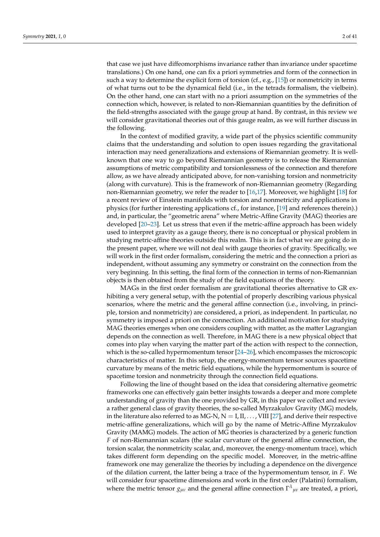that case we just have diffeomorphisms invariance rather than invariance under spacetime translations.) On one hand, one can fix a priori symmetries and form of the connection in such a way to determine the explicit form of torsion (cf., e.g.,  $[15]$ ) or nonmetricity in terms of what turns out to be the dynamical field (i.e., in the tetrads formalism, the vielbein). On the other hand, one can start with no a priori assumption on the symmetries of the connection which, however, is related to non-Riemannian quantities by the definition of the field-strengths associated with the gauge group at hand. By contrast, in this review we will consider gravitational theories out of this gauge realm, as we will further discuss in the following.

In the context of modified gravity, a wide part of the physics scientific community claims that the understanding and solution to open issues regarding the gravitational interaction may need generalizations and extensions of Riemannian geometry. It is wellknown that one way to go beyond Riemannian geometry is to release the Riemannian assumptions of metric compatibility and torsionlessness of the connection and therefore allow, as we have already anticipated above, for non-vanishing torsion and nonmetricity (along with curvature). This is the framework of non-Riemannian geometry (Regarding non-Riemannian geometry, we refer the reader to [16,17]. Moreover, we highlight [18] for a recent review of Einstein manifolds with torsion and nonmetricity and applications in physics (for further interesting applications cf., for instance, [19] and references therein).) and, in particular, the "geometric arena" where Metric-Affine Gravity (MAG) theories are developed [20–23]. Let us stress that even if the metric-affine approach has been widely used to interpret gravity as a gauge theory, there is no conceptual or physical problem in studying metric-affine theories outside this realm. This is in fact what we are going do in the present paper, where we will not deal with gauge theories of gravity. Specifically, we will work in the first order formalism, considering the metric and the connection a priori as independent, without assuming any symmetry or constraint on the connection from the very beginning. In this setting, the final form of the connection in terms of non-Riemannian objects is then obtained from the study of the field equations of the theory.

MAGs in the first order formalism are gravitational theories alternative to GR exhibiting a very general setup, with the potential of properly describing various physical scenarios, where the metric and the general affine connection (i.e., involving, in principle, torsion and nonmetricity) are considered, a priori, as independent. In particular, no symmetry is imposed a priori on the connection. An additional motivation for studying MAG theories emerges when one considers coupling with matter, as the matter Lagrangian depends on the connection as well. Therefore, in MAG there is a new physical object that comes into play when varying the matter part of the action with respect to the connection, which is the so-called hypermomentum tensor [24–26], which encompasses the microscopic characteristics of matter. In this setup, the energy-momentum tensor sources spacetime curvature by means of the metric field equations, while the hypermomentum is source of spacetime torsion and nonmetricity through the connection field equations.

Following the line of thought based on the idea that considering alternative geometric frameworks one can effectively gain better insights towards a deeper and more complete understanding of gravity than the one provided by GR, in this paper we collect and review a rather general class of gravity theories, the so-called Myrzakulov Gravity (MG) models, in the literature also referred to as MG-N,  $N = I, II, \ldots$ , VIII [27], and derive their respective metric-affine generalizations, which will go by the name of Metric-Affine Myrzakulov Gravity (MAMG) models. The action of MG theories is characterized by a generic function *F* of non-Riemannian scalars (the scalar curvature of the general affine connection, the torsion scalar, the nonmetricity scalar, and, moreover, the energy-momentum trace), which takes different form depending on the specific model. Moreover, in the metric-affine framework one may generalize the theories by including a dependence on the divergence of the dilation current, the latter being a trace of the hypermomentum tensor, in *F*. We will consider four spacetime dimensions and work in the first order (Palatini) formalism, where the metric tensor  $g_{\mu\nu}$  and the general affine connection  $\Gamma^{\lambda}{}_{\mu\nu}$  are treated, a priori,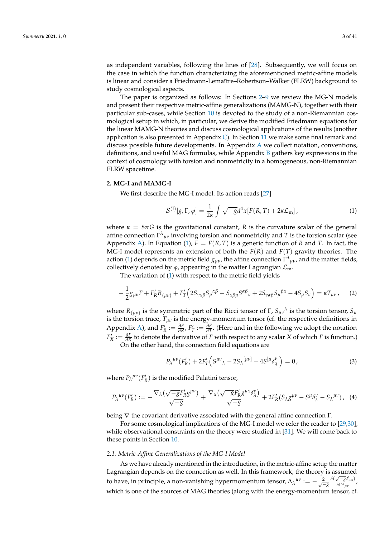as independent variables, following the lines of [28]. Subsequently, we will focus on the case in which the function characterizing the aforementioned metric-affine models is linear and consider a Friedmann-Lemaître–Robertson–Walker (FLRW) background to study cosmological aspects.

The paper is organized as follows: In Sections 2–9 we review the MG-N models and present their respective metric-affine generalizations (MAMG-N), together with their particular sub-cases, while Section 10 is devoted to the study of a non-Riemannian cosmological setup in which, in particular, we derive the modified Friedmann equations for the linear MAMG-N theories and discuss cosmological applications of the results (another application is also presented in Appendix  $\mathbb C$ ). In Section 11 we make some final remark and discuss possible future developments. In Appendix A we collect notation, conventions, definitions, and useful MAG formulas, while Appendix B gathers key expressions in the context of cosmology with torsion and nonmetricity in a homogeneous, non-Riemannian FLRW spacetime.

#### **2. MG-I and MAMG-I**

We first describe the MG-I model. Its action reads [27]

$$
S^{(I)}[g,\Gamma,\varphi] = \frac{1}{2\kappa} \int \sqrt{-g}d^4x [F(R,T) + 2\kappa \mathcal{L}_{\rm m}], \qquad (1)
$$

where  $\kappa = 8\pi G$  is the gravitational constant, *R* is the curvature scalar of the general affine connection  $\Gamma^{\lambda}{}_{\mu\nu}$  involving torsion and nonmetricity and *T* is the torsion scalar (see Appendix A). In Equation (1),  $F = F(R, T)$  is a generic function of R and T. In fact, the MG-I model represents an extension of both the  $F(R)$  and  $F(T)$  gravity theories. The action (1) depends on the metric field  $g_{\mu\nu}$ , the affine connection  $\Gamma^{\lambda}{}_{\mu\nu}$ , and the matter fields, collectively denoted by  $\varphi$ , appearing in the matter Lagrangian  $\mathcal{L}_{m}$ .

The variation of (1) with respect to the metric field yields

$$
-\frac{1}{2}g_{\mu\nu}F + F'_R R_{(\mu\nu)} + F'_T \Big(2S_{\nu\alpha\beta}S_{\mu}{}^{\alpha\beta} - S_{\alpha\beta\mu}S^{\alpha\beta}{}_{\nu} + 2S_{\nu\alpha\beta}S_{\mu}{}^{\beta\alpha} - 4S_{\mu}S_{\nu}\Big) = \kappa T_{\mu\nu} \,, \tag{2}
$$

where  $R_{(\mu\nu)}$  is the symmetric part of the Ricci tensor of Γ,  $S_{\mu\nu}^{\,\,\,\,\,\lambda}$  is the torsion tensor,  $S_{\mu\nu}$ is the torsion trace,  $T_{\mu\nu}$  is the energy-momentum tensor (cf. the respective definitions in Appendix A), and  $F'_R := \frac{\partial F}{\partial R}$ ,  $F'_T := \frac{\partial F}{\partial T}$ . (Here and in the following we adopt the notation  $F'_X := \frac{\partial F}{\partial X}$  to denote the derivative of *F* with respect to any scalar *X* of which *F* is function.) On the other hand, the connection field equations are

$$
P_{\lambda}^{\mu\nu}(F_R') + 2F_T'\left(S^{\mu\nu}{}_{\lambda} - 2S_{\lambda}{}^{[\mu\nu]} - 4S^{[\mu}\delta_{\lambda}^{\nu]}\right) = 0, \qquad (3)
$$

where  $P_{\lambda}^{\mu\nu}(F_R^{\prime})$  is the modified Palatini tensor,

$$
P_{\lambda}^{\mu\nu}(F_R') := -\frac{\nabla_{\lambda}(\sqrt{-g}F_R'g^{\mu\nu})}{\sqrt{-g}} + \frac{\nabla_{\alpha}(\sqrt{-g}F_R'g^{\mu\alpha}\delta_{\lambda}^{\nu})}{\sqrt{-g}} + 2F_R'(S_{\lambda}g^{\mu\nu} - S^{\mu}\delta_{\lambda}^{\nu} - S_{\lambda}^{\mu\nu}), \tag{4}
$$

being  $\nabla$  the covariant derivative associated with the general affine connection  $\Gamma$ .

For some cosmological implications of the MG-I model we refer the reader to [29,30], while observational constraints on the theory were studied in [31]. We will come back to these points in Section 10.

## *2.1. Metric-Affine Generalizations of the MG-I Model*

As we have already mentioned in the introduction, in the metric-affine setup the matter Lagrangian depends on the connection as well. In this framework, the theory is assumed to have, in principle, a non-vanishing hypermomentum tensor,  $\Delta_{\lambda}{}^{\mu\nu} := -\frac{2}{\sqrt{-g}}$  $δ$ ( $\sqrt{-g}$ *L*<sub>m</sub>) *δ*Γ *λ µν* , which is one of the sources of MAG theories (along with the energy-momentum tensor, cf.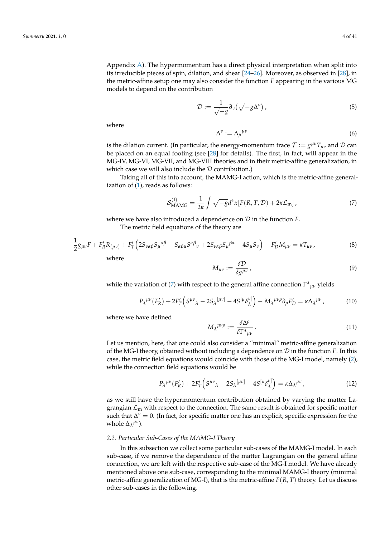Appendix A). The hypermomentum has a direct physical interpretation when split into its irreducible pieces of spin, dilation, and shear [24–26]. Moreover, as observed in [28], in the metric-affine setup one may also consider the function *F* appearing in the various MG models to depend on the contribution

$$
\mathcal{D} := \frac{1}{\sqrt{-g}} \partial_{\nu} \left( \sqrt{-g} \Delta^{\nu} \right),\tag{5}
$$

where

$$
\Delta^{\nu} := \Delta_{\mu}{}^{\mu\nu} \tag{6}
$$

is the dilation current. (In particular, the energy-momentum trace  $\mathcal{T}:=g^{\mu\nu}T_{\mu\nu}$  and  $\mathcal D$  can be placed on an equal footing (see [28] for details). The first, in fact, will appear in the MG-IV, MG-VI, MG-VII, and MG-VIII theories and in their metric-affine generalization, in which case we will also include the  $D$  contribution.)

Taking all of this into account, the MAMG-I action, which is the metric-affine generalization of  $(1)$ , reads as follows:

$$
\mathcal{S}_{\text{MAMG}}^{(I)} = \frac{1}{2\kappa} \int \sqrt{-g} d^4x [F(R, T, \mathcal{D}) + 2\kappa \mathcal{L}_{\text{m}}], \tag{7}
$$

where we have also introduced a dependence on D in the function *F*.

The metric field equations of the theory are

$$
-\frac{1}{2}g_{\mu\nu}F + F_R'R_{(\mu\nu)} + F_T'\Big(2S_{\nu\alpha\beta}S_{\mu}{}^{\alpha\beta} - S_{\alpha\beta\mu}S^{\alpha\beta}{}_{\nu} + 2S_{\nu\alpha\beta}S_{\mu}{}^{\beta\alpha} - 4S_{\mu}S_{\nu}\Big) + F_D'M_{\mu\nu} = \kappa T_{\mu\nu}\,,\tag{8}
$$

where

$$
M_{\mu\nu} := \frac{\delta \mathcal{D}}{\delta g^{\mu\nu}}\,,\tag{9}
$$

while the variation of (7) with respect to the general affine connection  $\Gamma^{\lambda}{}_{\mu\nu}$  yields

$$
P_{\lambda}^{\mu\nu}(F_{R}^{\prime}) + 2F_{T}^{\prime}\left(S^{\mu\nu}{}_{\lambda} - 2S_{\lambda}^{\lceil \mu\nu \rceil} - 4S^{\lceil \mu} \delta_{\lambda}^{\nu \rceil}\right) - M_{\lambda}^{\mu\nu\rho}\partial_{\rho}F_{\mathcal{D}}^{\prime} = \kappa \Delta_{\lambda}^{\mu\nu},\tag{10}
$$

where we have defined

$$
M_{\lambda}^{\mu\nu\rho} := \frac{\delta \Delta^{\rho}}{\delta \Gamma^{\lambda}{}_{\mu\nu}}.
$$
 (11)

Let us mention, here, that one could also consider a "minimal" metric-affine generalization of the MG-I theory, obtained without including a dependence on D in the function *F*. In this case, the metric field equations would coincide with those of the MG-I model, namely (2), while the connection field equations would be

$$
P_{\lambda}^{\mu\nu}(F_R') + 2F_T'\left(S^{\mu\nu}{}_{\lambda} - 2S_{\lambda}^{\mu\nu\}} - 4S^{\left[\mu\right}\delta_{\lambda}^{\nu\}}\right) = \kappa \Delta_{\lambda}^{\mu\nu},\tag{12}
$$

as we still have the hypermomentum contribution obtained by varying the matter Lagrangian  $\mathcal{L}_{\text{m}}$  with respect to the connection. The same result is obtained for specific matter such that  $\Delta^{\nu} = 0$ . (In fact, for specific matter one has an explicit, specific expression for the whole  $\Delta_{\lambda}^{\mu\nu}$ ).

## *2.2. Particular Sub-Cases of the MAMG-I Theory*

In this subsection we collect some particular sub-cases of the MAMG-I model. In each sub-case, if we remove the dependence of the matter Lagrangian on the general affine connection, we are left with the respective sub-case of the MG-I model. We have already mentioned above one sub-case, corresponding to the minimal MAMG-I theory (minimal metric-affine generalization of MG-I), that is the metric-affine *F*(*R*, *T*) theory. Let us discuss other sub-cases in the following.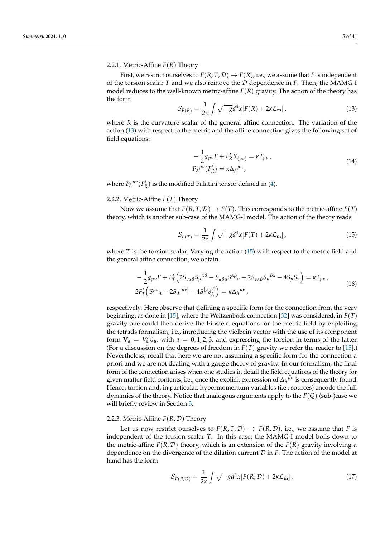## 2.2.1. Metric-Affine *F*(*R*) Theory

First, we restrict ourselves to  $F(R, T, D) \rightarrow F(R)$ , i.e., we assume that *F* is independent of the torsion scalar *T* and we also remove the D dependence in *F*. Then, the MAMG-I model reduces to the well-known metric-affine *F*(*R*) gravity. The action of the theory has the form

$$
S_{F(R)} = \frac{1}{2\kappa} \int \sqrt{-g} d^4x [F(R) + 2\kappa \mathcal{L}_{\rm m}], \qquad (13)
$$

where *R* is the curvature scalar of the general affine connection. The variation of the action (13) with respect to the metric and the affine connection gives the following set of field equations:

$$
-\frac{1}{2}g_{\mu\nu}F + F'_R R_{(\mu\nu)} = \kappa T_{\mu\nu},
$$
  
\n
$$
P_{\lambda}^{\mu\nu}(F'_R) = \kappa \Delta_{\lambda}^{\mu\nu},
$$
\n(14)

where  $P_{\lambda}{}^{\mu\nu}(F_{R}^{\prime})$  is the modified Palatini tensor defined in (4).

## 2.2.2. Metric-Affine *F*(*T*) Theory

Now we assume that  $F(R, T, \mathcal{D}) \to F(T)$ . This corresponds to the metric-affine  $F(T)$ theory, which is another sub-case of the MAMG-I model. The action of the theory reads

$$
S_{F(T)} = \frac{1}{2\kappa} \int \sqrt{-g} d^4x [F(T) + 2\kappa \mathcal{L}_{\rm m}], \qquad (15)
$$

where *T* is the torsion scalar. Varying the action (15) with respect to the metric field and the general affine connection, we obtain

$$
-\frac{1}{2}g_{\mu\nu}F + F_T'\Big(2S_{\nu\alpha\beta}S_{\mu}{}^{\alpha\beta} - S_{\alpha\beta\mu}S^{\alpha\beta}{}_{\nu} + 2S_{\nu\alpha\beta}S_{\mu}{}^{\beta\alpha} - 4S_{\mu}S_{\nu}\Big) = \kappa T_{\mu\nu}\,,
$$
  

$$
2F_T'\Big(S^{\mu\nu}{}_{\lambda} - 2S_{\lambda}{}^{[\mu\nu]} - 4S^{[\mu}\delta_{\lambda}^{\nu]} \Big) = \kappa \Delta_{\lambda}{}^{\mu\nu}\,,
$$
 (16)

respectively. Here observe that defining a specific form for the connection from the very beginning, as done in [15], where the Weitzenböck connection [32] was considered, in *F*(*T*) gravity one could then derive the Einstein equations for the metric field by exploiting the tetrads formalism, i.e., introducing the vielbein vector with the use of its component form  $V_a = V_a^{\mu} \partial_{\mu}$ , with  $a = 0, 1, 2, 3$ , and expressing the torsion in terms of the latter. (For a discussion on the degrees of freedom in  $F(T)$  gravity we refer the reader to [15].) Nevertheless, recall that here we are not assuming a specific form for the connection a priori and we are not dealing with a gauge theory of gravity. In our formalism, the final form of the connection arises when one studies in detail the field equations of the theory for given matter field contents, i.e., once the explicit expression of  $\Delta_{\lambda}^{\mu\nu}$  is consequently found. Hence, torsion and, in particular, hypermomentum variables (i.e., sources) encode the full dynamics of the theory. Notice that analogous arguments apply to the  $F(Q)$  (sub-)case we will briefly review in Section 3.

## 2.2.3. Metric-Affine  $F(R, D)$  Theory

Let us now restrict ourselves to  $F(R, T, D) \rightarrow F(R, D)$ , i.e., we assume that *F* is independent of the torsion scalar *T*. In this case, the MAMG-I model boils down to the metric-affine  $F(R, D)$  theory, which is an extension of the  $F(R)$  gravity involving a dependence on the divergence of the dilation current D in *F*. The action of the model at hand has the form

$$
\mathcal{S}_{F(R,\mathcal{D})} = \frac{1}{2\kappa} \int \sqrt{-g} d^4x [F(R,\mathcal{D}) + 2\kappa \mathcal{L}_{\rm m}]. \tag{17}
$$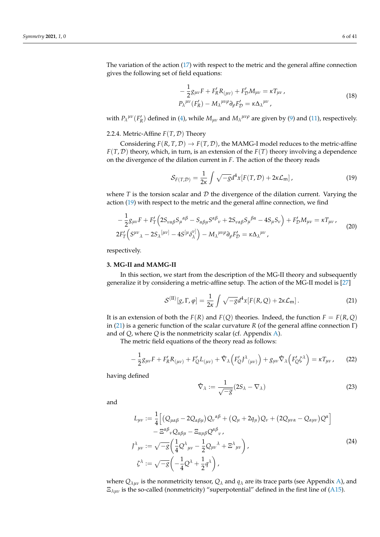The variation of the action (17) with respect to the metric and the general affine connection gives the following set of field equations:

$$
-\frac{1}{2}g_{\mu\nu}F + F'_R R_{(\mu\nu)} + F'_D M_{\mu\nu} = \kappa T_{\mu\nu},
$$
  
\n
$$
P_{\lambda}^{\mu\nu}(F'_R) - M_{\lambda}^{\mu\nu\rho}\partial_{\rho}F'_{\mathcal{D}} = \kappa \Delta_{\lambda}^{\mu\nu},
$$
\n(18)

with  $P_{\lambda}{}^{\mu\nu}(F_R')$  defined in (4), while  $M_{\mu\nu}$  and  $M_{\lambda}{}^{\mu\nu\rho}$  are given by (9) and (11), respectively.

2.2.4. Metric-Affine *F*(*T*, D) Theory

Considering  $F(R, T, D) \rightarrow F(T, D)$ , the MAMG-I model reduces to the metric-affine *F*(*T*, D) theory, which, in turn, is an extension of the *F*(*T*) theory involving a dependence on the divergence of the dilation current in *F*. The action of the theory reads

$$
S_{F(T,D)} = \frac{1}{2\kappa} \int \sqrt{-g} d^4x [F(T,D) + 2\kappa \mathcal{L}_{\mathfrak{m}}], \qquad (19)
$$

where  $T$  is the torsion scalar and  $D$  the divergence of the dilation current. Varying the action (19) with respect to the metric and the general affine connection, we find

$$
-\frac{1}{2}g_{\mu\nu}F + F_T'\left(2S_{\nu\alpha\beta}S_{\mu}^{\alpha\beta} - S_{\alpha\beta\mu}S^{\alpha\beta}{}_{\nu} + 2S_{\nu\alpha\beta}S_{\mu}^{\beta\alpha} - 4S_{\mu}S_{\nu}\right) + F_D'M_{\mu\nu} = \kappa T_{\mu\nu},
$$
  

$$
2F_T'\left(S^{\mu\nu}\lambda - 2S_{\lambda}^{\{\mu\nu\}} - 4S^{\{\mu}\delta_{\lambda}^{\nu\}}\right) - M_{\lambda}^{\mu\nu\rho}\partial_{\rho}F_D' = \kappa \Delta_{\lambda}^{\mu\nu},
$$
 (20)

respectively.

#### **3. MG-II and MAMG-II**

In this section, we start from the description of the MG-II theory and subsequently generalize it by considering a metric-affine setup. The action of the MG-II model is [27]

$$
\mathcal{S}^{(\text{II})}[g,\Gamma,\varphi] = \frac{1}{2\kappa} \int \sqrt{-g}d^4x [F(R,Q) + 2\kappa \mathcal{L}_m]. \tag{21}
$$

It is an extension of both the  $F(R)$  and  $F(Q)$  theories. Indeed, the function  $F = F(R, Q)$ in (21) is a generic function of the scalar curvature *R* (of the general affine connection Γ) and of *Q*, where *Q* is the nonmetricity scalar (cf. Appendix A).

The metric field equations of the theory read as follows:

$$
-\frac{1}{2}g_{\mu\nu}F + F'_R R_{(\mu\nu)} + F'_Q L_{(\mu\nu)} + \hat{\nabla}_\lambda \left( F'_Q J^\lambda{}_{(\mu\nu)} \right) + g_{\mu\nu} \hat{\nabla}_\lambda \left( F'_Q \zeta^\lambda \right) = \kappa T_{\mu\nu} \,, \tag{22}
$$

having defined

$$
\hat{\nabla}_{\lambda} := \frac{1}{\sqrt{-g}} (2S_{\lambda} - \nabla_{\lambda})
$$
\n(23)

and

$$
L_{\mu\nu} := \frac{1}{4} \Big[ \big( Q_{\mu\alpha\beta} - 2Q_{\alpha\beta\mu} \big) Q_{\nu}{}^{\alpha\beta} + \big( Q_{\mu} + 2q_{\mu} \big) Q_{\nu} + \big( 2Q_{\mu\nu\alpha} - Q_{\alpha\mu\nu} \big) Q^{\alpha} \Big] - \Xi^{\alpha\beta}{}_{\nu} Q_{\alpha\beta\mu} - \Xi_{\alpha\mu\beta} Q^{\alpha\beta}{}_{\nu} ,
$$
  

$$
J^{\lambda}{}_{\mu\nu} := \sqrt{-g} \bigg( \frac{1}{4} Q^{\lambda}{}_{\mu\nu} - \frac{1}{2} Q_{\mu\nu}{}^{\lambda} + \Xi^{\lambda}{}_{\mu\nu} \bigg) ,
$$
  

$$
\zeta^{\lambda} := \sqrt{-g} \bigg( -\frac{1}{4} Q^{\lambda} + \frac{1}{2} q^{\lambda} \bigg) ,
$$
 (24)

where  $Q_{\lambda\mu\nu}$  is the nonmetricity tensor,  $Q_{\lambda}$  and  $q_{\lambda}$  are its trace parts (see Appendix A), and  $\Xi_{\lambda\mu\nu}$  is the so-called (nonmetricity) "superpotential" defined in the first line of (A15).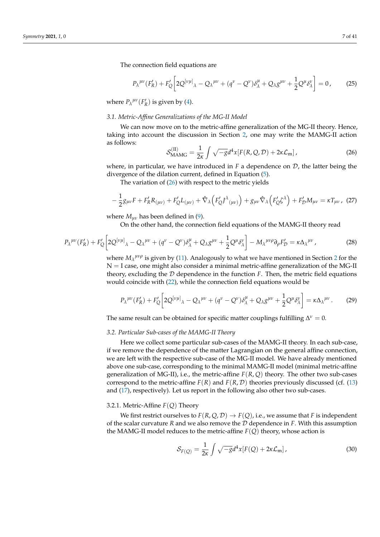The connection field equations are

$$
P_{\lambda}^{\mu\nu}(F_R') + F_Q' \left[ 2Q^{[\nu\mu]}_{\lambda} - Q_{\lambda}^{\mu\nu} + (q^{\nu} - Q^{\nu})\delta_{\lambda}^{\mu} + Q_{\lambda}g^{\mu\nu} + \frac{1}{2}Q^{\mu}\delta_{\lambda}^{\nu} \right] = 0, \quad (25)
$$

where  $P_{\lambda}^{\mu\nu}(F_R')$  is given by (4).

#### *3.1. Metric-Affine Generalizations of the MG-II Model*

We can now move on to the metric-affine generalization of the MG-II theory. Hence, taking into account the discussion in Section 2, one may write the MAMG-II action as follows:

$$
\mathcal{S}_{\text{MAMG}}^{(\text{II})} = \frac{1}{2\kappa} \int \sqrt{-g} d^4x [F(R, Q, \mathcal{D}) + 2\kappa \mathcal{L}_{\text{m}}], \qquad (26)
$$

where, in particular, we have introduced in  $F$  a dependence on  $D$ , the latter being the divergence of the dilation current, defined in Equation (5).

The variation of  $(26)$  with respect to the metric yields

$$
-\frac{1}{2}g_{\mu\nu}F + F'_R R_{(\mu\nu)} + F'_Q L_{(\mu\nu)} + \hat{\nabla}_{\lambda} \left( F'_Q J^{\lambda}{}_{(\mu\nu)} \right) + g_{\mu\nu} \hat{\nabla}_{\lambda} \left( F'_Q \zeta^{\lambda} \right) + F'_D M_{\mu\nu} = \kappa T_{\mu\nu} , \tag{27}
$$

where  $M_{\mu\nu}$  has been defined in (9).

On the other hand, the connection field equations of the MAMG-II theory read

$$
P_{\lambda}^{\mu\nu}(F_{R}^{\prime}) + F_{Q}^{\prime}\left[2Q^{[\nu\mu]}\lambda - Q_{\lambda}^{\mu\nu} + (q^{\nu} - Q^{\nu})\delta_{\lambda}^{\mu} + Q_{\lambda}g^{\mu\nu} + \frac{1}{2}Q^{\mu}\delta_{\lambda}^{\nu}\right] - M_{\lambda}^{\mu\nu\rho}\partial_{\rho}F_{\mathcal{D}}^{\prime} = \kappa\Delta_{\lambda}^{\mu\nu},\tag{28}
$$

where  $M_\lambda^{\mu\nu\rho}$  is given by (11). Analogously to what we have mentioned in Section 2 for the  $N = I$  case, one might also consider a minimal metric-affine generalization of the MG-II theory, excluding the  $D$  dependence in the function  $F$ . Then, the metric field equations would coincide with (22), while the connection field equations would be

$$
P_{\lambda}^{\mu\nu}(F_R') + F_Q' \left[ 2Q^{[\nu\mu]}_{\lambda} - Q_{\lambda}^{\mu\nu} + (q^{\nu} - Q^{\nu})\delta^{\mu}_{\lambda} + Q_{\lambda}g^{\mu\nu} + \frac{1}{2}Q^{\mu}\delta^{\nu}_{\lambda} \right] = \kappa \Delta_{\lambda}^{\mu\nu}.
$$
 (29)

The same result can be obtained for specific matter couplings fulfilling  $\Delta^{\nu} = 0$ .

## *3.2. Particular Sub-cases of the MAMG-II Theory*

Here we collect some particular sub-cases of the MAMG-II theory. In each sub-case, if we remove the dependence of the matter Lagrangian on the general affine connection, we are left with the respective sub-case of the MG-II model. We have already mentioned above one sub-case, corresponding to the minimal MAMG-II model (minimal metric-affine generalization of MG-II), i.e., the metric-affine  $F(R, Q)$  theory. The other two sub-cases correspond to the metric-affine  $F(R)$  and  $F(R, D)$  theories previously discussed (cf. (13) and (17), respectively). Let us report in the following also other two sub-cases.

## 3.2.1. Metric-Affine *F*(*Q*) Theory

We first restrict ourselves to  $F(R, Q, D) \rightarrow F(Q)$ , i.e., we assume that *F* is independent of the scalar curvature *R* and we also remove the D dependence in *F*. With this assumption the MAMG-II model reduces to the metric-affine  $F(Q)$  theory, whose action is

$$
S_{F(Q)} = \frac{1}{2\kappa} \int \sqrt{-g} d^4x [F(Q) + 2\kappa \mathcal{L}_{\rm m}], \qquad (30)
$$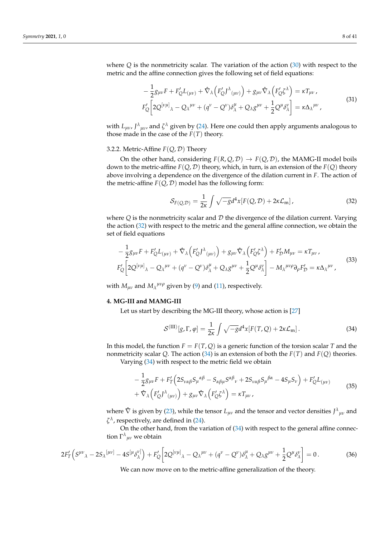where *Q* is the nonmetricity scalar. The variation of the action (30) with respect to the metric and the affine connection gives the following set of field equations:

$$
-\frac{1}{2}g_{\mu\nu}F + F'_{Q}L_{(\mu\nu)} + \hat{\nabla}_{\lambda}\left(F'_{Q}J^{\lambda}_{(\mu\nu)}\right) + g_{\mu\nu}\hat{\nabla}_{\lambda}\left(F'_{Q}\zeta^{\lambda}\right) = \kappa T_{\mu\nu},
$$
  
\n
$$
F'_{Q}\left[2Q^{[\nu\mu]}_{\lambda} - Q_{\lambda}{}^{\mu\nu} + (q^{\nu} - Q^{\nu})\delta^{\mu}_{\lambda} + Q_{\lambda}g^{\mu\nu} + \frac{1}{2}Q^{\mu}\delta^{\nu}_{\lambda}\right] = \kappa \Delta_{\lambda}{}^{\mu\nu},
$$
\n(31)

with  $L_{\mu\nu}$ ,  $J^{\lambda}{}_{\mu\nu}$ , and  $\zeta^{\lambda}$  given by (24). Here one could then apply arguments analogous to those made in the case of the  $F(T)$  theory.

## 3.2.2. Metric-Affine *F*(*Q*, D) Theory

On the other hand, considering  $F(R, Q, D) \rightarrow F(Q, D)$ , the MAMG-II model boils down to the metric-affine  $F(Q, D)$  theory, which, in turn, is an extension of the  $F(Q)$  theory above involving a dependence on the divergence of the dilation current in *F*. The action of the metric-affine  $F(Q, D)$  model has the following form:

$$
S_{F(Q,D)} = \frac{1}{2\kappa} \int \sqrt{-g} d^4x [F(Q,D) + 2\kappa \mathcal{L}_{m}], \qquad (32)
$$

where  $Q$  is the nonmetricity scalar and  $D$  the divergence of the dilation current. Varying the action (32) with respect to the metric and the general affine connection, we obtain the set of field equations

$$
-\frac{1}{2}g_{\mu\nu}F + F'_{Q}L_{(\mu\nu)} + \hat{\nabla}_{\lambda}\left(F'_{Q}J^{\lambda}_{(\mu\nu)}\right) + g_{\mu\nu}\hat{\nabla}_{\lambda}\left(F'_{Q}\zeta^{\lambda}\right) + F'_{D}M_{\mu\nu} = \kappa T_{\mu\nu},
$$
  
\n
$$
F'_{Q}\left[2Q^{[\nu\mu]}\lambda - Q_{\lambda}{}^{\mu\nu} + (q^{\nu} - Q^{\nu})\delta^{\mu}_{\lambda} + Q_{\lambda}g^{\mu\nu} + \frac{1}{2}Q^{\mu}\delta^{\nu}_{\lambda}\right] - M_{\lambda}{}^{\mu\nu\rho}\partial_{\rho}F'_{D} = \kappa \Delta_{\lambda}{}^{\mu\nu},
$$
\n(33)

with  $M_{\mu\nu}$  and  $M_{\lambda}^{\mu\nu\rho}$  given by (9) and (11), respectively.

#### **4. MG-III and MAMG-III**

Let us start by describing the MG-III theory, whose action is [27]

$$
S^{(\text{III})}[g,\Gamma,\varphi] = \frac{1}{2\kappa} \int \sqrt{-g} d^4x [F(T,Q) + 2\kappa \mathcal{L}_{\text{m}}]. \tag{34}
$$

In this model, the function  $F = F(T, Q)$  is a generic function of the torsion scalar *T* and the nonmetricity scalar *Q*. The action (34) is an extension of both the *F*(*T*) and *F*(*Q*) theories.

Varying (34) with respect to the metric field we obtain

$$
-\frac{1}{2}g_{\mu\nu}F + F_T'\left(2S_{\nu\alpha\beta}S_{\mu}{}^{\alpha\beta} - S_{\alpha\beta\mu}S^{\alpha\beta}{}_{\nu} + 2S_{\nu\alpha\beta}S_{\mu}{}^{\beta\alpha} - 4S_{\mu}S_{\nu}\right) + F_Q'L_{(\mu\nu)} + \hat{\nabla}_{\lambda}\left(F_Q'D^{\lambda}{}_{(\mu\nu)}\right) + g_{\mu\nu}\hat{\nabla}_{\lambda}\left(F_Q'\xi^{\lambda}\right) = \kappa T_{\mu\nu},
$$
\n(35)

where  $\hat{\nabla}$  is given by (23), while the tensor  $L_{\mu\nu}$  and the tensor and vector densities  $J^{\lambda}{}_{\mu\nu}$  and  $\zeta^{\lambda}$ , respectively, are defined in (24).

On the other hand, from the variation of (34) with respect to the general affine connection  $\Gamma^{\lambda}{}_{\mu\nu}$  we obtain

$$
2F'_T\left(S^{\mu\nu}{}_{\lambda} - 2S_{\lambda}{}^{[\mu\nu]} - 4S^{[\mu}\delta^{\nu]}_{\lambda}\right) + F'_Q\left[2Q^{[\nu\mu]}{}_{\lambda} - Q_{\lambda}{}^{\mu\nu} + (q^{\nu} - Q^{\nu})\delta^{\mu}_{\lambda} + Q_{\lambda}g^{\mu\nu} + \frac{1}{2}Q^{\mu}\delta^{\nu}_{\lambda}\right] = 0.
$$
 (36)

We can now move on to the metric-affine generalization of the theory.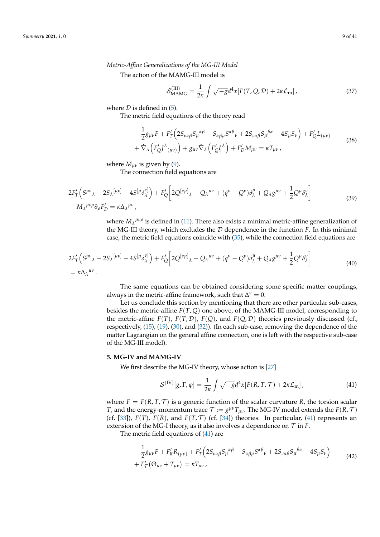*Metric-Affine Generalizations of the MG-III Model*

The action of the MAMG-III model is

$$
\mathcal{S}_{\text{MAMG}}^{(\text{III})} = \frac{1}{2\kappa} \int \sqrt{-g} d^4x [F(T, Q, \mathcal{D}) + 2\kappa \mathcal{L}_{\text{m}}], \tag{37}
$$

where  $D$  is defined in (5).

The metric field equations of the theory read

$$
-\frac{1}{2}g_{\mu\nu}F + F_T'\left(2S_{\nu\alpha\beta}S_{\mu}^{\alpha\beta} - S_{\alpha\beta\mu}S^{\alpha\beta}{}_{\nu} + 2S_{\nu\alpha\beta}S_{\mu}^{\beta\alpha} - 4S_{\mu}S_{\nu}\right) + F_Q'L_{(\mu\nu)} + \hat{\nabla}_{\lambda}\left(F_Q'D^{\lambda}{}_{(\mu\nu)}\right) + g_{\mu\nu}\hat{\nabla}_{\lambda}\left(F_Q'\zeta^{\lambda}\right) + F_D'M_{\mu\nu} = \kappa T_{\mu\nu},
$$
\n(38)

where  $M_{uv}$  is given by (9).

The connection field equations are

$$
2F'_{T}\left(S^{\mu\nu}{}_{\lambda}-2S_{\lambda}{}^{[\mu\nu]}-4S^{[\mu}\delta^{\nu]}_{\lambda}\right)+F'_{Q}\left[2Q^{[\nu\mu]}{}_{\lambda}-Q_{\lambda}{}^{\mu\nu}+(q^{\nu}-Q^{\nu})\delta^{\mu}_{\lambda}+Q_{\lambda}g^{\mu\nu}+\frac{1}{2}Q^{\mu}\delta^{\nu}_{\lambda}\right]
$$
\n
$$
-M_{\lambda}{}^{\mu\nu\rho}\partial_{\rho}F'_{D}=\kappa\Delta_{\lambda}{}^{\mu\nu},\tag{39}
$$

where  $M_\lambda^{\mu\nu\rho}$  is defined in (11). There also exists a minimal metric-affine generalization of the MG-III theory, which excludes the  $D$  dependence in the function  $F$ . In this minimal case, the metric field equations coincide with (35), while the connection field equations are

$$
2F'_T(S^{\mu\nu}\lambda - 2S_\lambda{}^{[\mu\nu]} - 4S^{[\mu}\delta^{\nu]}_{\lambda}) + F'_Q \left[ 2Q^{[\nu\mu]}\lambda - Q_\lambda{}^{\mu\nu} + (q^{\nu} - Q^{\nu})\delta^{\mu}_{\lambda} + Q_\lambda g^{\mu\nu} + \frac{1}{2}Q^{\mu}\delta^{\nu}_{\lambda} \right]
$$
\n
$$
= \kappa \Delta_{\lambda}{}^{\mu\nu}.
$$
\n(40)

The same equations can be obtained considering some specific matter couplings, always in the metric-affine framework, such that  $\Delta^{\nu} = 0$ .

Let us conclude this section by mentioning that there are other particular sub-cases, besides the metric-affine *F*(*T*, *Q*) one above, of the MAMG-III model, corresponding to the metric-affine  $F(T)$ ,  $F(T, D)$ ,  $F(Q)$ , and  $F(Q, D)$  theories previously discussed (cf., respectively, (15), (19), (30), and (32)). (In each sub-case, removing the dependence of the matter Lagrangian on the general affine connection, one is left with the respective sub-case of the MG-III model).

## **5. MG-IV and MAMG-IV**

We first describe the MG-IV theory, whose action is [27]

$$
\mathcal{S}^{(IV)}[g,\Gamma,\varphi] = \frac{1}{2\kappa} \int \sqrt{-g} d^4x [F(R,T,\mathcal{T}) + 2\kappa \mathcal{L}_{\rm m}], \qquad (41)
$$

where  $F = F(R, T, T)$  is a generic function of the scalar curvature *R*, the torsion scalar *T*, and the energy-momentum trace  $\mathcal{T} := g^{\mu\nu}T_{\mu\nu}$ . The MG-IV model extends the  $F(R,\mathcal{T})$ (cf. [33]),  $F(T)$ ,  $F(R)$ , and  $F(T, \mathcal{T})$  (cf. [34]) theories. In particular, (41) represents an extension of the MG-I theory, as it also involves a dependence on  $\mathcal T$  in  $F$ .

The metric field equations of (41) are

$$
-\frac{1}{2}g_{\mu\nu}F + F_{R}'R_{(\mu\nu)} + F_{T}'\Big(2S_{\nu\alpha\beta}S_{\mu}{}^{\alpha\beta} - S_{\alpha\beta\mu}S^{\alpha\beta}{}_{\nu} + 2S_{\nu\alpha\beta}S_{\mu}{}^{\beta\alpha} - 4S_{\mu}S_{\nu}\Big) + F_{T}'(\Theta_{\mu\nu} + T_{\mu\nu}) = \kappa T_{\mu\nu},
$$
\n(42)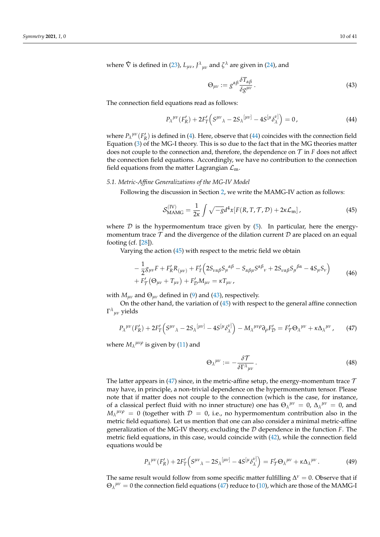where  $\hat{\nabla}$  is defined in (23),  $L_{\mu\nu}$ ,  $J^{\lambda}{}_{\mu\nu}$  and  $\zeta^{\lambda}$  are given in (24), and

$$
\Theta_{\mu\nu} := g^{\alpha\beta} \frac{\delta T_{\alpha\beta}}{\delta g^{\mu\nu}}.
$$
\n(43)

The connection field equations read as follows:

$$
P_{\lambda}^{\mu\nu}(F_R') + 2F_T'\left(S^{\mu\nu}{}_{\lambda} - 2S_{\lambda}^{\lceil \mu\nu \rceil} - 4S^{\lceil \mu} \delta_{\lambda}^{\nu \rceil}\right) = 0, \tag{44}
$$

where  $P_{\lambda}^{\mu\nu}(F_R)$  is defined in (4). Here, observe that (44) coincides with the connection field Equation (3) of the MG-I theory. This is so due to the fact that in the MG theories matter does not couple to the connection and, therefore, the dependence on  $\mathcal T$  in  $F$  does not affect the connection field equations. Accordingly, we have no contribution to the connection field equations from the matter Lagrangian  $\mathcal{L}_{m}$ .

## *5.1. Metric-Affine Generalizations of the MG-IV Model*

Following the discussion in Section 2, we write the MAMG-IV action as follows:

$$
\mathcal{S}_{\text{MAMG}}^{(\text{IV})} = \frac{1}{2\kappa} \int \sqrt{-g} d^4x [F(R, T, \mathcal{T}, \mathcal{D}) + 2\kappa \mathcal{L}_{\text{m}}], \tag{45}
$$

where  $D$  is the hypermomentum trace given by  $(5)$ . In particular, here the energymomentum trace  $\mathcal T$  and the divergence of the dilation current  $\mathcal D$  are placed on an equal footing (cf. [28]).

Varying the action (45) with respect to the metric field we obtain

$$
-\frac{1}{2}g_{\mu\nu}F + F_{R}'R_{(\mu\nu)} + F_{T}'\Big(2S_{\nu\alpha\beta}S_{\mu}{}^{\alpha\beta} - S_{\alpha\beta\mu}S^{\alpha\beta}{}_{\nu} + 2S_{\nu\alpha\beta}S_{\mu}{}^{\beta\alpha} - 4S_{\mu}S_{\nu}\Big) + F_{T}'(\Theta_{\mu\nu} + T_{\mu\nu}) + F_{D}'M_{\mu\nu} = \kappa T_{\mu\nu},
$$
\n(46)

with  $M_{\mu\nu}$  and  $\Theta_{\mu\nu}$  defined in (9) and (43), respectively.

On the other hand, the variation of (45) with respect to the general affine connection Γ *λ µν* yields

$$
P_{\lambda}^{\mu\nu}(F_R') + 2F_T'\Big(S^{\mu\nu}{}_{\lambda} - 2S_{\lambda}^{\mu\nu}{}^{\nu} - 4S^{\mu}{}_{\lambda}^{\lambda}{}^{\nu}{}^{\nu}\Big) - M_{\lambda}^{\mu\nu\rho}\partial_{\rho}F_{\mathcal{D}}' = F_T'\Theta_{\lambda}^{\mu\nu} + \kappa \Delta_{\lambda}^{\mu\nu},\tag{47}
$$

where  $M_\lambda{}^{\mu\nu\rho}$  is given by (11) and

$$
\Theta_{\lambda}{}^{\mu\nu} := -\frac{\delta \mathcal{T}}{\delta \Gamma^{\lambda}{}_{\mu\nu}}.
$$
\n(48)

The latter appears in (47) since, in the metric-affine setup, the energy-momentum trace  $\mathcal T$ may have, in principle, a non-trivial dependence on the hypermomentum tensor. Please note that if matter does not couple to the connection (which is the case, for instance, of a classical perfect fluid with no inner structure) one has  $\Theta_{\lambda}^{\mu\nu} = 0$ ,  $\Delta_{\lambda}^{\mu\nu} = 0$ , and  $M_\lambda^{\mu\nu\rho} = 0$  (together with  $\mathcal{D} = 0$ , i.e., no hypermomentum contribution also in the metric field equations). Let us mention that one can also consider a minimal metric-affine generalization of the MG-IV theory, excluding the D dependence in the function *F*. The metric field equations, in this case, would coincide with (42), while the connection field equations would be

$$
P_{\lambda}^{\mu\nu}(F_{R}^{\prime})+2F_{T}^{\prime}\left(S^{\mu\nu}{}_{\lambda}-2S_{\lambda}^{\lceil\mu\nu\rceil}-4S^{\lceil\mu\rho_{\lambda}^{\nu\rceil}\rceil}\right)=F_{T}^{\prime}\Theta_{\lambda}^{\mu\nu}+\kappa\Delta_{\lambda}^{\mu\nu}.
$$
 (49)

The same result would follow from some specific matter fulfilling  $\Delta^{\nu} = 0$ . Observe that if  $\Theta_{\lambda}^{\mu\nu} = 0$  the connection field equations (47) reduce to (10), which are those of the MAMG-I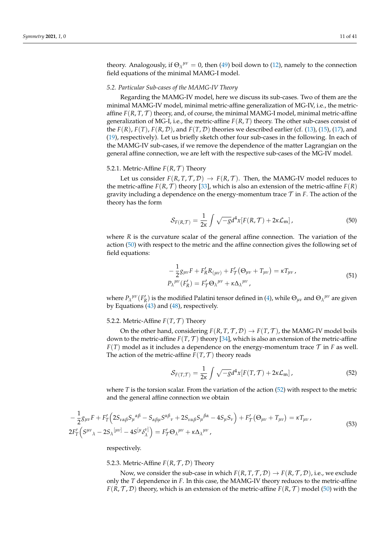theory. Analogously, if  $\Theta_{\lambda}^{\mu\nu} = 0$ , then (49) boil down to (12), namely to the connection field equations of the minimal MAMG-I model.

## *5.2. Particular Sub-cases of the MAMG-IV Theory*

Regarding the MAMG-IV model, here we discuss its sub-cases. Two of them are the minimal MAMG-IV model, minimal metric-affine generalization of MG-IV, i.e., the metricaffine  $F(R, T, T)$  theory, and, of course, the minimal MAMG-I model, minimal metric-affine generalization of MG-I, i.e., the metric-affine  $F(R, T)$  theory. The other sub-cases consist of the  $F(R)$ ,  $F(T)$ ,  $F(R, D)$ , and  $F(T, D)$  theories we described earlier (cf. (13), (15), (17), and (19), respectively). Let us briefly sketch other four sub-cases in the following. In each of the MAMG-IV sub-cases, if we remove the dependence of the matter Lagrangian on the general affine connection, we are left with the respective sub-cases of the MG-IV model.

## 5.2.1. Metric-Affine  $F(R, \mathcal{T})$  Theory

Let us consider  $F(R, T, T, D) \rightarrow F(R, T)$ . Then, the MAMG-IV model reduces to the metric-affine  $F(R, \mathcal{T})$  theory [33], which is also an extension of the metric-affine  $F(R)$ gravity including a dependence on the energy-momentum trace  $\mathcal T$  in  $F$ . The action of the theory has the form

$$
S_{F(R,T)} = \frac{1}{2\kappa} \int \sqrt{-g} d^4x [F(R,T) + 2\kappa \mathcal{L}_{\rm m}], \qquad (50)
$$

where *R* is the curvature scalar of the general affine connection. The variation of the action (50) with respect to the metric and the affine connection gives the following set of field equations:

$$
-\frac{1}{2}g_{\mu\nu}F + F'_{R}R_{(\mu\nu)} + F'_{T}(\Theta_{\mu\nu} + T_{\mu\nu}) = \kappa T_{\mu\nu},
$$
  
\n
$$
P_{\lambda}^{\mu\nu}(F'_{R}) = F'_{T}\Theta_{\lambda}^{\mu\nu} + \kappa \Delta_{\lambda}^{\mu\nu},
$$
\n(51)

where  $P_\lambda^{\mu\nu}(F_R)$  is the modified Palatini tensor defined in (4), while  $\Theta_{\mu\nu}$  and  $\Theta_\lambda^{\mu\nu}$  are given by Equations  $(43)$  and  $(48)$ , respectively.

## 5.2.2. Metric-Affine  $F(T, \mathcal{T})$  Theory

On the other hand, considering  $F(R, T, T, D) \rightarrow F(T, T)$ , the MAMG-IV model boils down to the metric-affine  $F(T, \mathcal{T})$  theory [34], which is also an extension of the metric-affine  $F(T)$  model as it includes a dependence on the energy-momentum trace  $T$  in *F* as well. The action of the metric-affine  $F(T, \mathcal{T})$  theory reads

$$
S_{F(T,T)} = \frac{1}{2\kappa} \int \sqrt{-g} d^4x [F(T,T) + 2\kappa \mathcal{L}_{\rm m}], \qquad (52)
$$

where *T* is the torsion scalar. From the variation of the action (52) with respect to the metric and the general affine connection we obtain

$$
-\frac{1}{2}g_{\mu\nu}F + F_T'\left(2S_{\nu\alpha\beta}S_{\mu}{}^{\alpha\beta} - S_{\alpha\beta\mu}S^{\alpha\beta}{}_{\nu} + 2S_{\nu\alpha\beta}S_{\mu}{}^{\beta\alpha} - 4S_{\mu}S_{\nu}\right) + F_T'\left(\Theta_{\mu\nu} + T_{\mu\nu}\right) = \kappa T_{\mu\nu},
$$
\n
$$
2F_T'\left(S^{\mu\nu}\lambda - 2S_{\lambda}{}^{[\mu\nu]} - 4S^{[\mu}\delta_{\lambda}^{\nu]}\right) = F_T'\Theta_{\lambda}{}^{\mu\nu} + \kappa \Delta_{\lambda}{}^{\mu\nu},
$$
\n(53)

respectively.

## 5.2.3. Metric-Affine  $F(R, T, D)$  Theory

Now, we consider the sub-case in which  $F(R, T, T, D) \rightarrow F(R, T, D)$ , i.e., we exclude only the *T* dependence in *F*. In this case, the MAMG-IV theory reduces to the metric-affine  $F(R, \mathcal{T}, \mathcal{D})$  theory, which is an extension of the metric-affine  $F(R, \mathcal{T})$  model (50) with the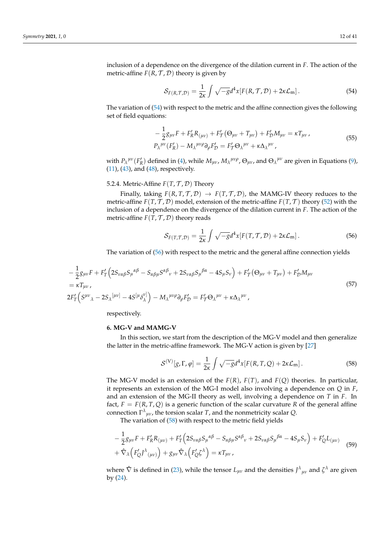inclusion of a dependence on the divergence of the dilation current in *F*. The action of the metric-affine  $F(R, T, D)$  theory is given by

$$
S_{F(R,T,\mathcal{D})} = \frac{1}{2\kappa} \int \sqrt{-g} d^4x [F(R,T,\mathcal{D}) + 2\kappa \mathcal{L}_{\rm m}]. \tag{54}
$$

The variation of (54) with respect to the metric and the affine connection gives the following set of field equations:

$$
-\frac{1}{2}g_{\mu\nu}F + F'_R R_{(\mu\nu)} + F'_T(\Theta_{\mu\nu} + T_{\mu\nu}) + F'_D M_{\mu\nu} = \kappa T_{\mu\nu},
$$
  
\n
$$
P_{\lambda}^{\mu\nu}(F'_R) - M_{\lambda}^{\mu\nu\rho}\partial_{\rho}F'_{\mathcal{D}} = F'_T\Theta_{\lambda}^{\mu\nu} + \kappa \Delta_{\lambda}^{\mu\nu},
$$
\n(55)

with  $P_{\lambda}{}^{\mu\nu}(F_R')$  defined in (4), while  $M_{\mu\nu}$ ,  $M_{\lambda}{}^{\mu\nu\rho}$ ,  $\Theta_{\mu\nu}$ , and  $\Theta_{\lambda}{}^{\mu\nu}$  are given in Equations (9),  $(11)$ ,  $(43)$ , and  $(48)$ , respectively.

## 5.2.4. Metric-Affine  $F(T, \mathcal{T}, \mathcal{D})$  Theory

Finally, taking  $F(R, T, T, D) \rightarrow F(T, T, D)$ , the MAMG-IV theory reduces to the metric-affine  $F(T, \mathcal{T}, \mathcal{D})$  model, extension of the metric-affine  $F(T, \mathcal{T})$  theory (52) with the inclusion of a dependence on the divergence of the dilation current in *F*. The action of the metric-affine  $F(T, T, D)$  theory reads

$$
S_{F(T,\mathcal{T},\mathcal{D})} = \frac{1}{2\kappa} \int \sqrt{-g} d^4x [F(T,\mathcal{T},\mathcal{D}) + 2\kappa \mathcal{L}_m]. \tag{56}
$$

The variation of (56) with respect to the metric and the general affine connection yields

$$
-\frac{1}{2}g_{\mu\nu}F + F_T'\left(2S_{\nu\alpha\beta}S_{\mu}{}^{\alpha\beta} - S_{\alpha\beta\mu}S^{\alpha\beta}{}_{\nu} + 2S_{\nu\alpha\beta}S_{\mu}{}^{\beta\alpha} - 4S_{\mu}S_{\nu}\right) + F_T'\left(\Theta_{\mu\nu} + T_{\mu\nu}\right) + F_D'M_{\mu\nu}
$$
\n
$$
= \kappa T_{\mu\nu},
$$
\n
$$
2F_T'\left(S^{\mu\nu}{}_{\lambda} - 2S_{\lambda}{}^{\left[\mu\nu\right]} - 4S^{\left[\mu}S_{\lambda}^{\nu\right]}\right) - M_{\lambda}{}^{\mu\nu\rho}\partial_{\rho}F_D' = F_T'\Theta_{\lambda}{}^{\mu\nu} + \kappa \Delta_{\lambda}{}^{\mu\nu},
$$
\n
$$
(57)
$$

respectively.

#### **6. MG-V and MAMG-V**

In this section, we start from the description of the MG-V model and then generalize the latter in the metric-affine framework. The MG-V action is given by [27]

$$
\mathcal{S}^{(V)}[g,\Gamma,\varphi] = \frac{1}{2\kappa} \int \sqrt{-g} d^4x [F(R,T,Q) + 2\kappa \mathcal{L}_{\rm m}]. \tag{58}
$$

The MG-V model is an extension of the *F*(*R*), *F*(*T*), and *F*(*Q*) theories. In particular, it represents an extension of the MG-I model also involving a dependence on *Q* in *F*, and an extension of the MG-II theory as well, involving a dependence on *T* in *F*. In fact,  $F = F(R, T, Q)$  is a generic function of the scalar curvature R of the general affine connection  $\Gamma^{\lambda}{}_{\mu\nu}$ , the torsion scalar *T*, and the nonmetricity scalar *Q*.

The variation of (58) with respect to the metric field yields

$$
-\frac{1}{2}g_{\mu\nu}F + F'_{R}R_{(\mu\nu)} + F'_{T}\left(2S_{\nu\alpha\beta}S_{\mu}^{\alpha\beta} - S_{\alpha\beta\mu}S^{\alpha\beta}{}_{\nu} + 2S_{\nu\alpha\beta}S_{\mu}^{\beta\alpha} - 4S_{\mu}S_{\nu}\right) + F'_{Q}L_{(\mu\nu)} + \hat{\nabla}_{\lambda}\left(F'_{Q}J^{\lambda}{}_{(\mu\nu)}\right) + g_{\mu\nu}\hat{\nabla}_{\lambda}\left(F'_{Q}\zeta^{\lambda}\right) = \kappa T_{\mu\nu},
$$
\n(59)

where  $\hat{\nabla}$  is defined in (23), while the tensor  $L_{\mu\nu}$  and the densities  $J^{\lambda}{}_{\mu\nu}$  and  $\zeta^{\lambda}$  are given by (24).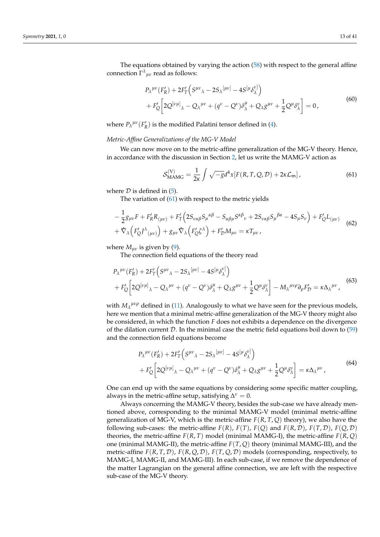The equations obtained by varying the action (58) with respect to the general affine connection  $\Gamma^{\lambda}{}_{\mu\nu}$  read as follows:

$$
P_{\lambda}^{\mu\nu}(F_R') + 2F_T'\Big(S^{\mu\nu}{}_{\lambda} - 2S_{\lambda}{}^{[\mu\nu]} - 4S^{[\mu}\delta_{\lambda}^{\nu]} \Big) + F_Q'\Big[2Q^{[\nu\mu]}{}_{\lambda} - Q_{\lambda}^{\mu\nu} + (q^{\nu} - Q^{\nu})\delta_{\lambda}^{\mu} + Q_{\lambda}g^{\mu\nu} + \frac{1}{2}Q^{\mu}\delta_{\lambda}^{\nu}\Big] = 0,
$$
(60)

where  $P_{\lambda}{}^{\mu\nu}(F_{R}^{\prime})$  is the modified Palatini tensor defined in (4).

## *Metric-Affine Generalizations of the MG-V Model*

We can now move on to the metric-affine generalization of the MG-V theory. Hence, in accordance with the discussion in Section 2, let us write the MAMG-V action as

$$
\mathcal{S}_{\text{MAMG}}^{(V)} = \frac{1}{2\kappa} \int \sqrt{-g} d^4x [F(R, T, Q, \mathcal{D}) + 2\kappa \mathcal{L}_{\text{m}}], \tag{61}
$$

where  $D$  is defined in (5).

The variation of  $(61)$  with respect to the metric yields

$$
-\frac{1}{2}g_{\mu\nu}F + F'_R R_{(\mu\nu)} + F'_T (2S_{\nu\alpha\beta}S_\mu{}^{\alpha\beta} - S_{\alpha\beta\mu}S^{\alpha\beta}{}_{\nu} + 2S_{\nu\alpha\beta}S_\mu{}^{\beta\alpha} - 4S_{\mu}S_{\nu}) + F'_Q L_{(\mu\nu)} + \hat{\nabla}_{\lambda} \Big( F'_Q J^{\lambda}{}_{(\mu\nu)} \Big) + g_{\mu\nu} \hat{\nabla}_{\lambda} \Big( F'_Q \zeta^{\lambda} \Big) + F'_D M_{\mu\nu} = \kappa T_{\mu\nu},
$$
(62)

where  $M_{\mu\nu}$  is given by (9).

The connection field equations of the theory read

$$
P_{\lambda}^{\mu\nu}(F_R') + 2F_T'\left(S^{\mu\nu}\lambda - 2S_{\lambda}^{\mu\nu}\right) - 4S^{\mu}\delta_{\lambda}^{\nu} + F_Q'\left[2Q^{\left[\nu\mu\right]}\lambda - Q_{\lambda}^{\mu\nu} + (q^{\nu} - Q^{\nu})\delta_{\lambda}^{\mu} + Q_{\lambda}g^{\mu\nu} + \frac{1}{2}Q^{\mu}\delta_{\lambda}^{\nu}\right] - M_{\lambda}^{\mu\nu\rho}\partial_{\rho}F_D' = \kappa\Delta_{\lambda}^{\mu\nu},
$$
\n(63)

with  $M_\lambda{}^{\mu\nu\rho}$  defined in (11). Analogously to what we have seen for the previous models, here we mention that a minimal metric-affine generalization of the MG-V theory might also be considered, in which the function *F* does not exhibits a dependence on the divergence of the dilation current  $D$ . In the minimal case the metric field equations boil down to (59) and the connection field equations become

$$
P_{\lambda}^{\mu\nu}(F_R') + 2F_T'\left(S^{\mu\nu}{}_{\lambda} - 2S_{\lambda}^{\mu\nu}\right) - 4S^{\mu}\delta_{\lambda}^{\nu\nu}\right) + F_Q'\left[2Q^{\left[\nu\mu\right]}{}_{\lambda} - Q_{\lambda}^{\mu\nu} + (q^{\nu} - Q^{\nu})\delta_{\lambda}^{\mu} + Q_{\lambda}g^{\mu\nu} + \frac{1}{2}Q^{\mu}\delta_{\lambda}^{\nu}\right] = \kappa\Delta_{\lambda}^{\mu\nu},
$$
\n(64)

One can end up with the same equations by considering some specific matter coupling, always in the metric-affine setup, satisfying  $\Delta^{\nu} = 0$ .

Always concerning the MAMG-V theory, besides the sub-case we have already mentioned above, corresponding to the minimal MAMG-V model (minimal metric-affine generalization of MG-V, which is the metric-affine *F*(*R*, *T*, *Q*) theory), we also have the following sub-cases: the metric-affine  $F(R)$ ,  $F(T)$ ,  $F(Q)$  and  $F(R, D)$ ,  $F(T, D)$ ,  $F(Q, D)$ theories, the metric-affine  $F(R, T)$  model (minimal MAMG-I), the metric-affine  $F(R, Q)$ one (minimal MAMG-II), the metric-affine *F*(*T*, *Q*) theory (minimal MAMG-III), and the metric-affine  $F(R, T, D)$ ,  $F(R, Q, D)$ ,  $F(T, Q, D)$  models (corresponding, respectively, to MAMG-I, MAMG-II, and MAMG-III). In each sub-case, if we remove the dependence of the matter Lagrangian on the general affine connection, we are left with the respective sub-case of the MG-V theory.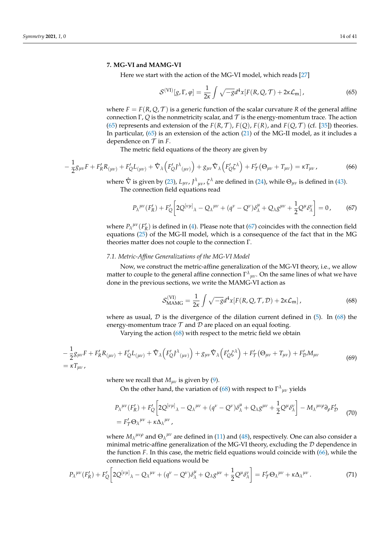#### **7. MG-VI and MAMG-VI**

Here we start with the action of the MG-VI model, which reads [27]

$$
S^{(\text{VI})}[g,\Gamma,\varphi] = \frac{1}{2\kappa} \int \sqrt{-g}d^4x [F(R,Q,\mathcal{T}) + 2\kappa \mathcal{L}_{\text{m}}], \qquad (65)
$$

where  $F = F(R, Q, T)$  is a generic function of the scalar curvature R of the general affine connection Γ, *Q* is the nonmetricity scalar, and  $\mathcal T$  is the energy-momentum trace. The action (65) represents and extension of the  $F(R, \mathcal{T})$ ,  $F(Q)$ ,  $F(R)$ , and  $F(Q, \mathcal{T})$  (cf. [35]) theories. In particular, (65) is an extension of the action (21) of the MG-II model, as it includes a dependence on  $\mathcal T$  in  $F$ .

The metric field equations of the theory are given by

$$
-\frac{1}{2}g_{\mu\nu}F + F'_R R_{(\mu\nu)} + F'_Q L_{(\mu\nu)} + \hat{\nabla}_{\lambda} \left( F'_Q J^{\lambda}{}_{(\mu\nu)} \right) + g_{\mu\nu} \hat{\nabla}_{\lambda} \left( F'_Q \zeta^{\lambda} \right) + F'_{\mathcal{T}} (\Theta_{\mu\nu} + T_{\mu\nu}) = \kappa T_{\mu\nu} \,, \tag{66}
$$

where  $\hat{\nabla}$  is given by (23),  $L_{\mu\nu}$ ,  $J^{\lambda}{}_{\mu\nu}$ ,  $\zeta^{\lambda}$  are defined in (24), while  $\Theta_{\mu\nu}$  is defined in (43).

The connection field equations read

$$
P_{\lambda}^{\mu\nu}(F_{R}') + F_{Q}' \left[ 2Q^{[\nu\mu]}_{\lambda} - Q_{\lambda}^{\mu\nu} + (q^{\nu} - Q^{\nu})\delta^{\mu}_{\lambda} + Q_{\lambda}g^{\mu\nu} + \frac{1}{2}Q^{\mu}\delta^{\nu}_{\lambda} \right] = 0, \quad (67)
$$

where  $P_{\lambda}^{\mu\nu}(F_R')$  is defined in (4). Please note that (67) coincides with the connection field equations (25) of the MG-II model, which is a consequence of the fact that in the MG theories matter does not couple to the connection Γ.

#### *7.1. Metric-Affine Generalizations of the MG-VI Model*

Now, we construct the metric-affine generalization of the MG-VI theory, i.e., we allow matter to couple to the general affine connection  $\Gamma^{\lambda}{}_{\mu\nu}$ . On the same lines of what we have done in the previous sections, we write the MAMG-VI action as

$$
S_{\text{MAMG}}^{(\text{VI})} = \frac{1}{2\kappa} \int \sqrt{-g} d^4x [F(R, Q, \mathcal{T}, \mathcal{D}) + 2\kappa \mathcal{L}_{\text{m}}], \qquad (68)
$$

where as usual,  $D$  is the divergence of the dilation current defined in (5). In (68) the energy-momentum trace  $T$  and  $D$  are placed on an equal footing.

Varying the action (68) with respect to the metric field we obtain

$$
-\frac{1}{2}g_{\mu\nu}F + F'_{R}R_{(\mu\nu)} + F'_{Q}L_{(\mu\nu)} + \hat{\nabla}_{\lambda}\left(F'_{Q}J^{\lambda}{}_{(\mu\nu)}\right) + g_{\mu\nu}\hat{\nabla}_{\lambda}\left(F'_{Q}\zeta^{\lambda}\right) + F'_{T}(\Theta_{\mu\nu} + T_{\mu\nu}) + F'_{D}M_{\mu\nu}
$$
\n
$$
= \kappa T_{\mu\nu},
$$
\n(69)

where we recall that  $M_{uv}$  is given by (9).

On the other hand, the variation of (68) with respect to  $\Gamma^\lambda{}_{\mu\nu}$  yields

$$
P_{\lambda}^{\mu\nu}(F_R') + F_Q' \left[ 2Q^{[\nu\mu]}_{\lambda} - Q_{\lambda}^{\mu\nu} + (q^{\nu} - Q^{\nu})\delta^{\mu}_{\lambda} + Q_{\lambda}g^{\mu\nu} + \frac{1}{2}Q^{\mu}\delta^{\nu}_{\lambda} \right] - M_{\lambda}^{\mu\nu\rho}\partial_{\rho}F_D' \tag{70}
$$
  
=  $F_T' \Theta_{\lambda}^{\mu\nu} + \kappa \Delta_{\lambda}^{\mu\nu}$ ,

where  $M_\lambda{}^{\mu\nu\rho}$  and  $\Theta_\lambda{}^{\mu\nu}$  are defined in (11) and (48), respectively. One can also consider a minimal metric-affine generalization of the MG-VI theory, excluding the  $D$  dependence in the function *F*. In this case, the metric field equations would coincide with (66), while the connection field equations would be

$$
P_{\lambda}^{\mu\nu}(F_R') + F_Q' \left[ 2Q^{[\nu\mu]}_{\lambda} - Q_{\lambda}^{\mu\nu} + (q^{\nu} - Q^{\nu})\delta^{\mu}_{\lambda} + Q_{\lambda}g^{\mu\nu} + \frac{1}{2}Q^{\mu}\delta^{\nu}_{\lambda} \right] = F_T' \Theta_{\lambda}^{\mu\nu} + \kappa \Delta_{\lambda}^{\mu\nu}.
$$
 (71)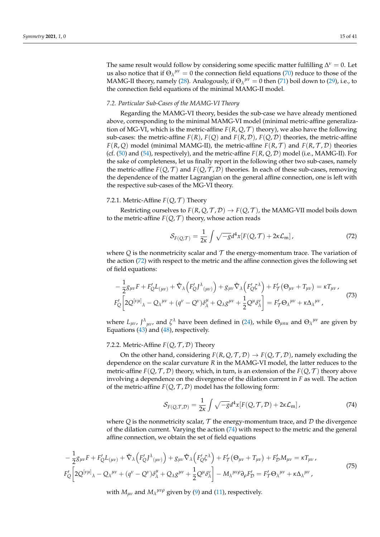The same result would follow by considering some specific matter fulfilling  $\Delta^{\nu} = 0$ . Let us also notice that if  $\Theta_{\lambda}^{\mu\nu} = 0$  the connection field equations (70) reduce to those of the MAMG-II theory, namely (28). Analogously, if  $\Theta_{\lambda}^{\mu\nu} = 0$  then (71) boil down to (29), i.e., to the connection field equations of the minimal MAMG-II model.

## *7.2. Particular Sub-Cases of the MAMG-VI Theory*

Regarding the MAMG-VI theory, besides the sub-case we have already mentioned above, corresponding to the minimal MAMG-VI model (minimal metric-affine generalization of MG-VI, which is the metric-affine  $F(R, Q, T)$  theory), we also have the following sub-cases: the metric-affine  $F(R)$ ,  $F(Q)$  and  $F(R, D)$ ,  $F(Q, D)$  theories, the metric-affine *F*(*R*, *Q*) model (minimal MAMG-II), the metric-affine *F*(*R*, *T*) and *F*(*R*, *T*, *D*) theories (cf. (50) and (54), respectively), and the metric-affine *F*(*R*, *Q*, D) model (i.e., MAMG-II). For the sake of completeness, let us finally report in the following other two sub-cases, namely the metric-affine  $F(Q, \mathcal{T})$  and  $F(Q, \mathcal{T}, \mathcal{D})$  theories. In each of these sub-cases, removing the dependence of the matter Lagrangian on the general affine connection, one is left with the respective sub-cases of the MG-VI theory.

## 7.2.1. Metric-Affine  $F(Q, \mathcal{T})$  Theory

Restricting ourselves to  $F(R, Q, T, D) \rightarrow F(Q, T)$ , the MAMG-VII model boils down to the metric-affine  $F(Q, \mathcal{T})$  theory, whose action reads

$$
S_{F(Q,T)} = \frac{1}{2\kappa} \int \sqrt{-g}d^4x [F(Q,T) + 2\kappa \mathcal{L}_{\rm m}], \qquad (72)
$$

where  $Q$  is the nonmetricity scalar and  $T$  the energy-momentum trace. The variation of the action (72) with respect to the metric and the affine connection gives the following set of field equations:

$$
-\frac{1}{2}g_{\mu\nu}F + F'_{Q}L_{(\mu\nu)} + \hat{\nabla}_{\lambda}\left(F'_{Q}J^{\lambda}_{(\mu\nu)}\right) + g_{\mu\nu}\hat{\nabla}_{\lambda}\left(F'_{Q}\zeta^{\lambda}\right) + F'_{T}(\Theta_{\mu\nu} + T_{\mu\nu}) = \kappa T_{\mu\nu},
$$
  
\n
$$
F'_{Q}\left[2Q^{[\nu\mu]}\lambda - Q_{\lambda}{}^{\mu\nu} + (q^{\nu} - Q^{\nu})\delta^{\mu}_{\lambda} + Q_{\lambda}g^{\mu\nu} + \frac{1}{2}Q^{\mu}\delta^{\nu}_{\lambda}\right] = F'_{T}\Theta_{\lambda}{}^{\mu\nu} + \kappa \Delta_{\lambda}{}^{\mu\nu},
$$
\n(73)

where  $L_{\mu\nu}$ ,  $J^{\lambda}{}_{\mu\nu}$ , and  $\zeta^{\lambda}$  have been defined in (24), while  $\Theta_{\mu n u}$  and  $\Theta_{\lambda}{}^{\mu\nu}$  are given by Equations (43) and (48), respectively.

## 7.2.2. Metric-Affine  $F(Q, \mathcal{T}, \mathcal{D})$  Theory

On the other hand, considering  $F(R, Q, T, D) \rightarrow F(Q, T, D)$ , namely excluding the dependence on the scalar curvature *R* in the MAMG-VI model, the latter reduces to the metric-affine  $F(Q, \mathcal{T}, \mathcal{D})$  theory, which, in turn, is an extension of the  $F(Q, \mathcal{T})$  theory above involving a dependence on the divergence of the dilation current in *F* as well. The action of the metric-affine  $F(Q, \mathcal{T}, \mathcal{D})$  model has the following form:

$$
S_{F(Q,T,D)} = \frac{1}{2\kappa} \int \sqrt{-g} d^4x [F(Q,T,D) + 2\kappa \mathcal{L}_{\rm m}], \qquad (74)
$$

where  $Q$  is the nonmetricity scalar,  $T$  the energy-momentum trace, and  $D$  the divergence of the dilation current. Varying the action (74) with respect to the metric and the general affine connection, we obtain the set of field equations

$$
-\frac{1}{2}g_{\mu\nu}F + F'_{Q}L_{(\mu\nu)} + \hat{\nabla}_{\lambda}\left(F'_{Q}J^{\lambda}{}_{(\mu\nu)}\right) + g_{\mu\nu}\hat{\nabla}_{\lambda}\left(F'_{Q}\zeta^{\lambda}\right) + F'_{T}(\Theta_{\mu\nu} + T_{\mu\nu}) + F'_{D}M_{\mu\nu} = \kappa T_{\mu\nu},
$$
\n
$$
F'_{Q}\left[2Q^{[\nu\mu]}_{\lambda} - Q_{\lambda}{}^{\mu\nu} + (q^{\nu} - Q^{\nu})\delta^{\mu}_{\lambda} + Q_{\lambda}g^{\mu\nu} + \frac{1}{2}Q^{\mu}\delta^{\nu}_{\lambda}\right] - M_{\lambda}{}^{\mu\nu\rho}\partial_{\rho}F'_{D} = F'_{T}\Theta_{\lambda}{}^{\mu\nu} + \kappa \Delta_{\lambda}{}^{\mu\nu},
$$
\n(75)

with  $M_{\mu\nu}$  and  $M_{\lambda}^{\mu\nu\rho}$  given by (9) and (11), respectively.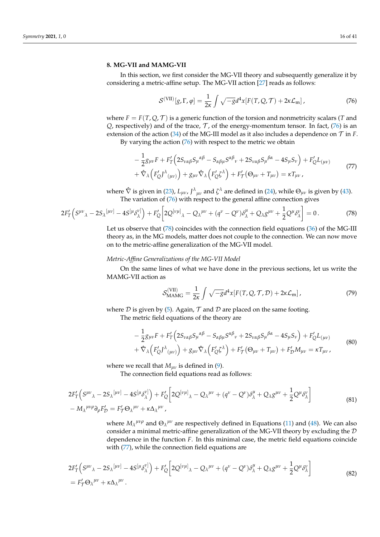## **8. MG-VII and MAMG-VII**

In this section, we first consider the MG-VII theory and subsequently generalize it by considering a metric-affine setup. The MG-VII action [27] reads as follows:

$$
S^{(\text{VII})}[g,\Gamma,\varphi] = \frac{1}{2\kappa} \int \sqrt{-g} d^4x [F(T,Q,\mathcal{T}) + 2\kappa \mathcal{L}_{\text{m}}], \qquad (76)
$$

where  $F = F(T, Q, T)$  is a generic function of the torsion and nonmetricity scalars (*T* and  $Q$ , respectively) and of the trace,  $T$ , of the energy-momentum tensor. In fact, (76) is an extension of the action (34) of the MG-III model as it also includes a dependence on  $\mathcal T$  in *F*. By varying the action  $(76)$  with respect to the metric we obtain

$$
-\frac{1}{2}g_{\mu\nu}F + F'_T\left(2S_{\nu\alpha\beta}S_{\mu}^{\alpha\beta} - S_{\alpha\beta\mu}S^{\alpha\beta}{}_{\nu} + 2S_{\nu\alpha\beta}S_{\mu}^{\beta\alpha} - 4S_{\mu}S_{\nu}\right) + F'_QL_{(\mu\nu)} + \hat{\nabla}_{\lambda}\left(F'_QJ^{\lambda}{}_{(\mu\nu)}\right) + g_{\mu\nu}\hat{\nabla}_{\lambda}\left(F'_Q\zeta^{\lambda}\right) + F'_T\left(\Theta_{\mu\nu} + T_{\mu\nu}\right) = \kappa T_{\mu\nu},
$$
\n(77)

where  $\hat{\nabla}$  is given in (23),  $L_{\mu\nu}$ ,  $J^{\lambda}{}_{\mu\nu}$  and  $\zeta^{\lambda}$  are defined in (24), while  $\Theta_{\mu\nu}$  is given by (43). The variation of (76) with respect to the general affine connection gives

$$
2F'_T(S^{\mu\nu}{}_{\lambda}-2S_{\lambda}{}^{[\mu\nu]}-4S^{[\mu}\delta^{\nu]}_{\lambda})+F'_Q\bigg[2Q^{[\nu\mu]}{}_{\lambda}-Q_{\lambda}{}^{\mu\nu}+(q^{\nu}-Q^{\nu})\delta^{\mu}_{\lambda}+Q_{\lambda}g^{\mu\nu}+\frac{1}{2}Q^{\mu}\delta^{\nu}_{\lambda}\bigg]=0.
$$
 (78)

Let us observe that (78) coincides with the connection field equations (36) of the MG-III theory as, in the MG models, matter does not couple to the connection. We can now move on to the metric-affine generalization of the MG-VII model.

#### *Metric-Affine Generalizations of the MG-VII Model*

On the same lines of what we have done in the previous sections, let us write the MAMG-VII action as

$$
\mathcal{S}_{\text{MAMG}}^{\text{(VII)}} = \frac{1}{2\kappa} \int \sqrt{-g} d^4x [F(T, Q, \mathcal{T}, \mathcal{D}) + 2\kappa \mathcal{L}_{\text{m}}], \tag{79}
$$

where  $D$  is given by (5). Again,  $T$  and  $D$  are placed on the same footing. The metric field equations of the theory are

$$
-\frac{1}{2}g_{\mu\nu}F + F_T'\left(2S_{\nu\alpha\beta}S_{\mu}{}^{\alpha\beta} - S_{\alpha\beta\mu}S^{\alpha\beta}{}_{\nu} + 2S_{\nu\alpha\beta}S_{\mu}{}^{\beta\alpha} - 4S_{\mu}S_{\nu}\right) + F_Q'L_{(\mu\nu)} + \hat{\nabla}_{\lambda}\left(F_Q'D^{\lambda}{}_{(\mu\nu)}\right) + g_{\mu\nu}\hat{\nabla}_{\lambda}\left(F_Q'\zeta^{\lambda}\right) + F_T'\left(\Theta_{\mu\nu} + T_{\mu\nu}\right) + F_D'M_{\mu\nu} = \kappa T_{\mu\nu},
$$
\n(80)

where we recall that  $M_{\mu\nu}$  is defined in (9).

The connection field equations read as follows:

$$
2F'_{T}\left(S^{\mu\nu}{}_{\lambda}-2S_{\lambda}{}^{[\mu\nu]}-4S^{[\mu}\delta^{\nu]}_{\lambda}\right)+F'_{Q}\left[2Q^{[\nu\mu]}{}_{\lambda}-Q_{\lambda}{}^{\mu\nu}+(\mathbf{q}^{\nu}-Q^{\nu})\delta^{\mu}_{\lambda}+Q_{\lambda}g^{\mu\nu}+\frac{1}{2}Q^{\mu}\delta^{\nu}_{\lambda}\right]
$$
\n
$$
-M_{\lambda}{}^{\mu\nu\rho}\partial_{\rho}F'_{\mathcal{D}}=F'_{\mathcal{T}}\Theta_{\lambda}{}^{\mu\nu}+\kappa\Delta_{\lambda}{}^{\mu\nu},\tag{81}
$$

where  $M_\lambda^{\mu\nu\rho}$  and  $\Theta_\lambda^{\mu\nu}$  are respectively defined in Equations (11) and (48). We can also consider a minimal metric-affine generalization of the MG-VII theory by excluding the  $D$ dependence in the function *F*. In this minimal case, the metric field equations coincide with (77), while the connection field equations are

$$
2F'_{T}\left(S^{\mu\nu}{}_{\lambda}-2S_{\lambda}{}^{[\mu\nu]}-4S^{[\mu}\delta^{\nu]}_{\lambda}\right)+F'_{Q}\left[2Q^{[\nu\mu]}{}_{\lambda}-Q_{\lambda}{}^{\mu\nu}+(\mathbf{q}^{\nu}-Q^{\nu})\delta^{\mu}_{\lambda}+Q_{\lambda}g^{\mu\nu}+\frac{1}{2}Q^{\mu}\delta^{\nu}_{\lambda}\right]
$$
\n
$$
=F'_{T}\Theta_{\lambda}{}^{\mu\nu}+\kappa\Delta_{\lambda}{}^{\mu\nu}.
$$
\n(82)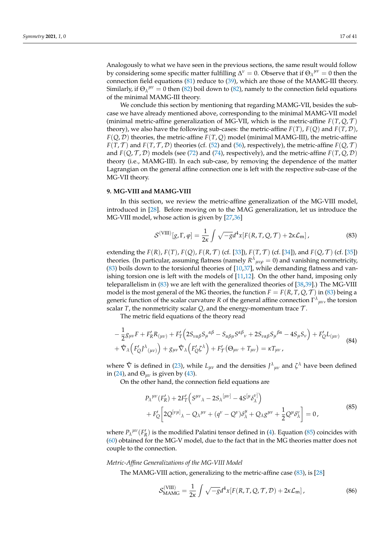Analogously to what we have seen in the previous sections, the same result would follow by considering some specific matter fulfilling  $\Delta^{\nu} = 0$ . Observe that if  $\Theta_{\lambda}{}^{\mu\nu} = 0$  then the connection field equations (81) reduce to (39), which are those of the MAMG-III theory. Similarly, if  $\Theta_{\lambda}^{\mu\nu} = 0$  then (82) boil down to (82), namely to the connection field equations of the minimal MAMG-III theory.

We conclude this section by mentioning that regarding MAMG-VII, besides the subcase we have already mentioned above, corresponding to the minimal MAMG-VII model (minimal metric-affine generalization of MG-VII, which is the metric-affine  $F(T, Q, T)$ ) theory), we also have the following sub-cases: the metric-affine  $F(T)$ ,  $F(Q)$  and  $F(T, \mathcal{D})$ ,  $F(Q, D)$  theories, the metric-affine  $F(T, Q)$  model (minimal MAMG-III), the metric-affine *F*(*T*, *T*) and *F*(*T*, *T*, *D*) theories (cf. (52) and (56), respectively), the metric-affine *F*(*Q*, *T*) and  $F(Q, \mathcal{T}, \mathcal{D})$  models (see (72) and (74), respectively), and the metric-affine  $F(T, Q, \mathcal{D})$ theory (i.e., MAMG-III). In each sub-case, by removing the dependence of the matter Lagrangian on the general affine connection one is left with the respective sub-case of the MG-VII theory.

## **9. MG-VIII and MAMG-VIII**

In this section, we review the metric-affine generalization of the MG-VIII model, introduced in [28]. Before moving on to the MAG generalization, let us introduce the MG-VIII model, whose action is given by [27,36]

$$
\mathcal{S}^{(\text{VIII})}[g,\Gamma,\varphi] = \frac{1}{2\kappa} \int \sqrt{-g}d^4x [F(R,T,Q,\mathcal{T}) + 2\kappa \mathcal{L}_{\text{m}}],\tag{83}
$$

extending the  $F(R)$ ,  $F(T)$ ,  $F(Q)$ ,  $F(R, T)$  (cf. [33]),  $F(T, T)$  (cf. [34]), and  $F(Q, T)$  (cf. [35]) theories. (In particular, assuming flatness (namely  $R^{\lambda}{}_{\mu\nu\rho} = 0$ ) and vanishing nonmetricity,  $(83)$  boils down to the torsionful theories of  $[10,37]$ , while demanding flatness and vanishing torsion one is left with the models of  $[11,12]$ . On the other hand, imposing only teleparallelism in (83) we are left with the generalized theories of [38,39].) The MG-VIII model is the most general of the MG theories, the function  $F = F(R, T, Q, T)$  in (83) being a generic function of the scalar curvature *R* of the general affine connection  $\Gamma^{\lambda}{}_{\mu\nu}$ , the torsion scalar  $T$ , the nonmetricity scalar  $Q$ , and the energy-momentum trace  $T$ .

The metric field equations of the theory read

$$
-\frac{1}{2}g_{\mu\nu}F + F_{R}'R_{(\mu\nu)} + F_{T}'\Big(2S_{\nu\alpha\beta}S_{\mu}{}^{\alpha\beta} - S_{\alpha\beta\mu}S^{\alpha\beta}{}_{\nu} + 2S_{\nu\alpha\beta}S_{\mu}{}^{\beta\alpha} - 4S_{\mu}S_{\nu}\Big) + F_{Q}'L_{(\mu\nu)} + \hat{\nabla}_{\lambda}\Big(F_{Q}'f^{\lambda}{}_{(\mu\nu)}\Big) + g_{\mu\nu}\hat{\nabla}_{\lambda}\Big(F_{Q}'\xi^{\lambda}\Big) + F_{T}'\big(\Theta_{\mu\nu} + T_{\mu\nu}\big) = \kappa T_{\mu\nu},
$$
\n(84)

where  $\hat{\nabla}$  is defined in (23), while  $L_{\mu\nu}$  and the densities  $J^{\lambda}{}_{\mu\nu}$  and  $\zeta^{\lambda}$  have been defined in (24), and  $\Theta_{\mu\nu}$  is given by (43).

On the other hand, the connection field equations are

$$
P_{\lambda}^{\mu\nu}(F_{R}') + 2F_{T}'\Big(S^{\mu\nu}{}_{\lambda} - 2S_{\lambda}{}^{[\mu\nu]} - 4S^{[\mu}\delta^{\nu]}_{\lambda}\Big) + F_{Q}'\Big[2Q^{[\nu\mu]}{}_{\lambda} - Q_{\lambda}^{\mu\nu} + (q^{\nu} - Q^{\nu})\delta^{\mu}_{\lambda} + Q_{\lambda}g^{\mu\nu} + \frac{1}{2}Q^{\mu}\delta^{\nu}_{\lambda}\Big] = 0,
$$
\n(85)

where  $P_{\lambda}^{\mu\nu}(F_R)$  is the modified Palatini tensor defined in (4). Equation (85) coincides with (60) obtained for the MG-V model, due to the fact that in the MG theories matter does not couple to the connection.

## *Metric-Affine Generalizations of the MG-VIII Model*

The MAMG-VIII action, generalizing to the metric-affine case (83), is [28]

$$
\mathcal{S}_{\text{MAMG}}^{\text{(VIII)}} = \frac{1}{2\kappa} \int \sqrt{-g} d^4x [F(R, T, Q, \mathcal{T}, \mathcal{D}) + 2\kappa \mathcal{L}_{\text{m}}], \tag{86}
$$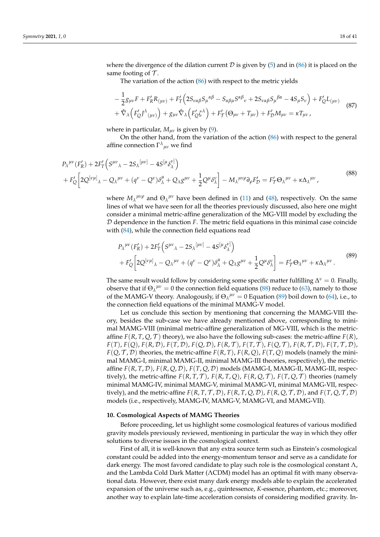where the divergence of the dilation current  $D$  is given by (5) and in (86) it is placed on the same footing of  $\mathcal T$ .

The variation of the action (86) with respect to the metric yields

$$
-\frac{1}{2}g_{\mu\nu}F + F_{R}'R_{(\mu\nu)} + F_{T}'\Big(2S_{\nu\alpha\beta}S_{\mu}^{\alpha\beta} - S_{\alpha\beta\mu}S^{\alpha\beta}{}_{\nu} + 2S_{\nu\alpha\beta}S_{\mu}^{\beta\alpha} - 4S_{\mu}S_{\nu}\Big) + F_{Q}'L_{(\mu\nu)} + \hat{\nabla}_{\lambda}\Big(F_{Q}'J^{\lambda}{}_{(\mu\nu)}\Big) + g_{\mu\nu}\hat{\nabla}_{\lambda}\Big(F_{Q}'\xi^{\lambda}\Big) + F_{T}'\big(\Theta_{\mu\nu} + T_{\mu\nu}\big) + F_{D}'M_{\mu\nu} = \kappa T_{\mu\nu},
$$
\n(87)

where in particular, *Mµν* is given by (9).

On the other hand, from the variation of the action (86) with respect to the general affine connection  $\Gamma^{\lambda}{}_{\mu\nu}$  we find

$$
P_{\lambda}^{\mu\nu}(F_R') + 2F_T'\left(S^{\mu\nu}{}_{\lambda} - 2S_{\lambda}^{\mu\nu\cdot} - 4S^{\mu}\delta_{\lambda}^{\nu\cdot} \right) + F_Q'\left[2Q^{\left[\nu\mu\right]}{}_{\lambda} - Q_{\lambda}^{\mu\nu} + (q^{\nu} - Q^{\nu})\delta_{\lambda}^{\mu} + Q_{\lambda}g^{\mu\nu} + \frac{1}{2}Q^{\mu}\delta_{\lambda}^{\nu\cdot} \right] - M_{\lambda}^{\mu\nu\rho}\partial_{\rho}F_D' = F_T'\Theta_{\lambda}^{\mu\nu} + \kappa \Delta_{\lambda}^{\mu\nu},
$$
\n(88)

where  $M_\lambda^{\mu\nu\rho}$  and  $\Theta_\lambda^{\mu\nu}$  have been defined in (11) and (48), respectively. On the same lines of what we have seen for all the theories previously discussed, also here one might consider a minimal metric-affine generalization of the MG-VIII model by excluding the D dependence in the function *F*. The metric field equations in this minimal case coincide with  $(84)$ , while the connection field equations read

$$
P_{\lambda}^{\mu\nu}(F_{R}') + 2F_{T}'\Big(S^{\mu\nu}{}_{\lambda} - 2S_{\lambda}^{\mu\nu} - 4S^{\mu}\delta_{\lambda}^{\nu]}\Big) + F_{Q}'\Big[2Q^{[\nu\mu]}{}_{\lambda} - Q_{\lambda}^{\mu\nu} + (q^{\nu} - Q^{\nu})\delta_{\lambda}^{\mu} + Q_{\lambda}g^{\mu\nu} + \frac{1}{2}Q^{\mu}\delta_{\lambda}^{\nu}\Big] = F_{T}'\Theta_{\lambda}^{\mu\nu} + \kappa\Delta_{\lambda}^{\mu\nu}.
$$
\n(89)

The same result would follow by considering some specific matter fulfilling  $\Delta^{\nu} = 0$ . Finally, observe that if  $\Theta_{\lambda}^{\mu\nu} = 0$  the connection field equations (88) reduce to (63), namely to those of the MAMG-V theory. Analogously, if  $\Theta_{\lambda}^{\mu\nu} = 0$  Equation (89) boil down to (64), i.e., to the connection field equations of the minimal MAMG-V model.

Let us conclude this section by mentioning that concerning the MAMG-VIII theory, besides the sub-case we have already mentioned above, corresponding to minimal MAMG-VIII (minimal metric-affine generalization of MG-VIII, which is the metricaffine  $F(R, T, Q, T)$  theory), we also have the following sub-cases: the metric-affine  $F(R)$ ,  $F(T), F(Q), F(R, \mathcal{D}), F(T, \mathcal{D}), F(Q, \mathcal{D}), F(R, \mathcal{T}), F(T, \mathcal{T}), F(Q, \mathcal{T}), F(R, \mathcal{T}, \mathcal{D}), F(T, \mathcal{T}, \mathcal{D}),$  $F(Q, \mathcal{T}, \mathcal{D})$  theories, the metric-affine  $F(R, T)$ ,  $F(R, Q)$ ,  $F(T, Q)$  models (namely the minimal MAMG-I, minimal MAMG-II, minimal MAMG-III theories, respectively), the metricaffine *F*(*R*, *T*, D), *F*(*R*, *Q*, D), *F*(*T*, *Q*, D) models (MAMG-I, MAMG-II, MAMG-III, respectively), the metric-affine  $F(R, T, T)$ ,  $F(R, T, Q)$ ,  $F(R, Q, T)$ ,  $F(T, Q, T)$  theories (namely minimal MAMG-IV, minimal MAMG-V, minimal MAMG-VI, minimal MAMG-VII, respectively), and the metric-affine  $F(R, T, T, D)$ ,  $F(R, T, Q, D)$ ,  $F(R, Q, T, D)$ , and  $F(T, Q, T, D)$ models (i.e., respectively, MAMG-IV, MAMG-V, MAMG-VI, and MAMG-VII).

## **10. Cosmological Aspects of MAMG Theories**

Before proceeding, let us highlight some cosmological features of various modified gravity models previously reviewed, mentioning in particular the way in which they offer solutions to diverse issues in the cosmological context.

First of all, it is well-known that any extra source term such as Einstein's cosmological constant could be added into the energy-momentum tensor and serve as a candidate for dark energy. The most favored candidate to play such role is the cosmological constant Λ, and the Lambda Cold Dark Matter (ΛCDM) model has an optimal fit with many observational data. However, there exist many dark energy models able to explain the accelerated expansion of the universe such as, e.g., quintessence, *K*-essence, phantom, etc.; moreover, another way to explain late-time acceleration consists of considering modified gravity. In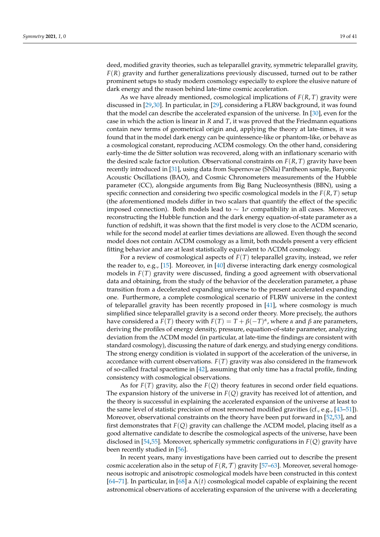deed, modified gravity theories, such as teleparallel gravity, symmetric teleparallel gravity, *F*(*R*) gravity and further generalizations previously discussed, turned out to be rather prominent setups to study modern cosmology especially to explore the elusive nature of dark energy and the reason behind late-time cosmic acceleration.

As we have already mentioned, cosmological implications of  $F(R, T)$  gravity were discussed in [29,30]. In particular, in [29], considering a FLRW background, it was found that the model can describe the accelerated expansion of the universe. In [30], even for the case in which the action is linear in *R* and *T*, it was proved that the Friedmann equations contain new terms of geometrical origin and, applying the theory at late-times, it was found that in the model dark energy can be quintessence-like or phantom-like, or behave as a cosmological constant, reproducing ΛCDM cosmology. On the other hand, considering early-time the de Sitter solution was recovered, along with an inflationary scenario with the desired scale factor evolution. Observational constraints on  $F(R, T)$  gravity have been recently introduced in [31], using data from Supernovae (SNIa) Pantheon sample, Baryonic Acoustic Oscillations (BAO), and Cosmic Chronometers measurements of the Hubble parameter (CC), alongside arguments from Big Bang Nucleosynthesis (BBN), using a specific connection and considering two specific cosmological models in the *F*(*R*, *T*) setup (the aforementioned models differ in two scalars that quantify the effect of the specific imposed connection). Both models lead to ∼ 1*σ* compatibility in all cases. Moreover, reconstructing the Hubble function and the dark energy equation-of-state parameter as a function of redshift, it was shown that the first model is very close to the ΛCDM scenario, while for the second model at earlier times deviations are allowed. Even though the second model does not contain ΛCDM cosmology as a limit, both models present a very efficient fitting behavior and are at least statistically equivalent to ΛCDM cosmology.

For a review of cosmological aspects of *F*(*T*) teleparallel gravity, instead, we refer the reader to, e.g., [15]. Moreover, in [40] diverse interacting dark energy cosmological models in *F*(*T*) gravity were discussed, finding a good agreement with observational data and obtaining, from the study of the behavior of the deceleration parameter, a phase transition from a decelerated expanding universe to the present accelerated expanding one. Furthermore, a complete cosmological scenario of FLRW universe in the context of teleparallel gravity has been recently proposed in [41], where cosmology is much simplified since teleparallel gravity is a second order theory. More precisely, the authors have considered a  $F(T)$  theory with  $F(T) = T + \beta(-T)^{\alpha}$ , where *α* and *β* are parameters, deriving the profiles of energy density, pressure, equation-of-state parameter, analyzing deviation from the ΛCDM model (in particular, at late-time the findings are consistent with standard cosmology), discussing the nature of dark energy, and studying energy conditions. The strong energy condition is violated in support of the acceleration of the universe, in accordance with current observations. *F*(*T*) gravity was also considered in the framework of so-called fractal spacetime in [42], assuming that only time has a fractal profile, finding consistency with cosmological observations.

As for *F*(*T*) gravity, also the *F*(*Q*) theory features in second order field equations. The expansion history of the universe in *F*(*Q*) gravity has received lot of attention, and the theory is successful in explaining the accelerated expansion of the universe at least to the same level of statistic precision of most renowned modified gravities (cf., e.g., [43–51]). Moreover, observational constraints on the theory have been put forward in [52,53], and first demonstrates that *F*(*Q*) gravity can challenge the ΛCDM model, placing itself as a good alternative candidate to describe the cosmological aspects of the universe, have been disclosed in [54,55]. Moreover, spherically symmetric configurations in *F*(*Q*) gravity have been recently studied in [56].

In recent years, many investigations have been carried out to describe the present cosmic acceleration also in the setup of  $F(R, \mathcal{T})$  gravity [57–63]. Moreover, several homogeneous isotropic and anisotropic cosmological models have been constructed in this context [64–71]. In particular, in [68] a  $\Lambda(t)$  cosmological model capable of explaining the recent astronomical observations of accelerating expansion of the universe with a decelerating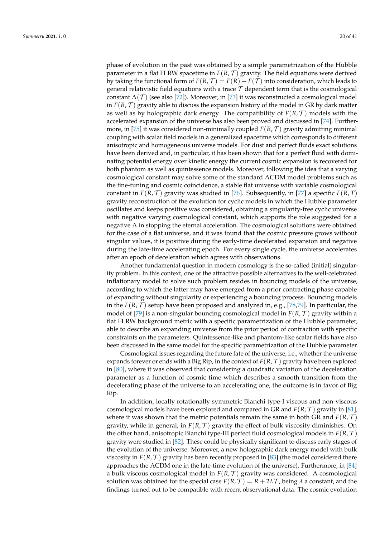phase of evolution in the past was obtained by a simple parametrization of the Hubble parameter in a flat FLRW spacetime in  $F(R, \mathcal{T})$  gravity. The field equations were derived by taking the functional form of  $F(R, \mathcal{T}) = F(R) + F(\mathcal{T})$  into consideration, which leads to general relativistic field equations with a trace  $\mathcal T$  dependent term that is the cosmological constant  $\Lambda(\mathcal{T})$  (see also [72]). Moreover, in [73] it was reconstructed a cosmological model in  $F(R, \mathcal{T})$  gravity able to discuss the expansion history of the model in GR by dark matter as well as by holographic dark energy. The compatibility of  $F(R, \mathcal{T})$  models with the accelerated expansion of the universe has also been proved and discussed in [74]. Furthermore, in [75] it was considered non-minimally coupled  $F(R, \mathcal{T})$  gravity admitting minimal coupling with scalar field models in a generalized spacetime which corresponds to different anisotropic and homogeneous universe models. For dust and perfect fluids exact solutions have been derived and, in particular, it has been shown that for a perfect fluid with dominating potential energy over kinetic energy the current cosmic expansion is recovered for both phantom as well as quintessence models. Moreover, following the idea that a varying cosmological constant may solve some of the standard ΛCDM model problems such as the fine-tuning and cosmic coincidence, a stable flat universe with variable cosmological constant in  $F(R, \mathcal{T})$  gravity was studied in [76]. Subsequently, in [77] a specific  $F(R, \mathcal{T})$ gravity reconstruction of the evolution for cyclic models in which the Hubble parameter oscillates and keeps positive was considered, obtaining a singularity-free cyclic universe with negative varying cosmological constant, which supports the role suggested for a negative  $\Lambda$  in stopping the eternal acceleration. The cosmological solutions were obtained for the case of a flat universe, and it was found that the cosmic pressure grows without singular values, it is positive during the early-time decelerated expansion and negative during the late-time accelerating epoch. For every single cycle, the universe accelerates after an epoch of deceleration which agrees with observations.

Another fundamental question in modern cosmology is the so-called (initial) singularity problem. In this context, one of the attractive possible alternatives to the well-celebrated inflationary model to solve such problem resides in bouncing models of the universe, according to which the latter may have emerged from a prior contracting phase capable of expanding without singularity or experiencing a bouncing process. Bouncing models in the  $F(R, \mathcal{T})$  setup have been proposed and analyzed in, e.g., [78,79]. In particular, the model of [79] is a non-singular bouncing cosmological model in  $F(R, \mathcal{T})$  gravity within a flat FLRW background metric with a specific parametrization of the Hubble parameter, able to describe an expanding universe from the prior period of contraction with specific constraints on the parameters. Quintessence-like and phantom-like scalar fields have also been discussed in the same model for the specific parametrization of the Hubble parameter.

Cosmological issues regarding the future fate of the universe, i.e., whether the universe expands forever or ends with a Big Rip, in the context of  $F(R, \mathcal{T})$  gravity have been explored in [80], where it was observed that considering a quadratic variation of the deceleration parameter as a function of cosmic time which describes a smooth transition from the decelerating phase of the universe to an accelerating one, the outcome is in favor of Big Rip.

In addition, locally rotationally symmetric Bianchi type-I viscous and non-viscous cosmological models have been explored and compared in GR and  $F(R, \mathcal{T})$  gravity in [81], where it was shown that the metric potentials remain the same in both GR and  $F(R, \mathcal{T})$ gravity, while in general, in  $F(R, \mathcal{T})$  gravity the effect of bulk viscosity diminishes. On the other hand, anisotropic Bianchi type-III perfect fluid cosmological models in *F*(*R*, T ) gravity were studied in [82]. These could be physically significant to discuss early stages of the evolution of the universe. Moreover, a new holographic dark energy model with bulk viscosity in  $F(R, \mathcal{T})$  gravity has been recently proposed in [83] (the model considered there approaches the ΛCDM one in the late-time evolution of the universe). Furthermore, in [84] a bulk viscous cosmological model in  $F(R, \mathcal{T})$  gravity was considered. A cosmological solution was obtained for the special case  $F(R, \mathcal{T}) = R + 2\lambda \mathcal{T}$ , being  $\lambda$  a constant, and the findings turned out to be compatible with recent observational data. The cosmic evolution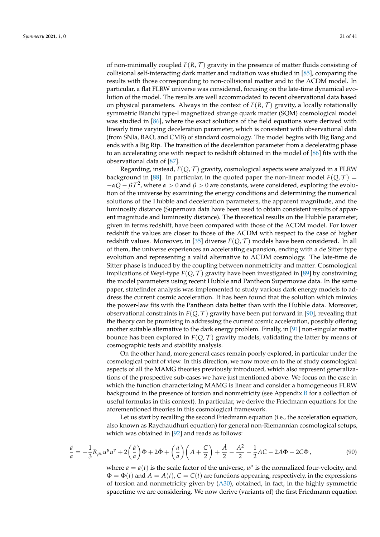of non-minimally coupled  $F(R, \mathcal{T})$  gravity in the presence of matter fluids consisting of collisional self-interacting dark matter and radiation was studied in [85], comparing the results with those corresponding to non-collisional matter and to the ΛCDM model. In particular, a flat FLRW universe was considered, focusing on the late-time dynamical evolution of the model. The results are well accommodated to recent observational data based on physical parameters. Always in the context of  $F(R, \mathcal{T})$  gravity, a locally rotationally symmetric Bianchi type-I magnetized strange quark matter (SQM) cosmological model was studied in [86], where the exact solutions of the field equations were derived with linearly time varying deceleration parameter, which is consistent with observational data (from SNIa, BAO, and CMB) of standard cosmology. The model begins with Big Bang and ends with a Big Rip. The transition of the deceleration parameter from a decelerating phase to an accelerating one with respect to redshift obtained in the model of [86] fits with the observational data of [87].

Regarding, instead,  $F(Q, \mathcal{T})$  gravity, cosmological aspects were analyzed in a FLRW background in [88]. In particular, in the quoted paper the non-linear model  $F(Q, \mathcal{T}) =$  $-αQ – βT<sup>2</sup>$ , where *α* > 0 and *β* > 0 are constants, were considered, exploring the evolution of the universe by examining the energy conditions and determining the numerical solutions of the Hubble and deceleration parameters, the apparent magnitude, and the luminosity distance (Supernova data have been used to obtain consistent results of apparent magnitude and luminosity distance). The theoretical results on the Hubble parameter, given in terms redshift, have been compared with those of the ΛCDM model. For lower redshift the values are closer to those of the ΛCDM with respect to the case of higher redshift values. Moreover, in [35] diverse  $F(Q, \mathcal{T})$  models have been considered. In all of them, the universe experiences an accelerating expansion, ending with a de Sitter type evolution and representing a valid alternative to ΛCDM cosmology. The late-time de Sitter phase is induced by the coupling between nonmetricity and matter. Cosmological implications of Weyl-type  $F(Q, \mathcal{T})$  gravity have been investigated in [89] by constraining the model parameters using recent Hubble and Pantheon Supernovae data. In the same paper, statefinder analysis was implemented to study various dark energy models to address the current cosmic acceleration. It has been found that the solution which mimics the power-law fits with the Pantheon data better than with the Hubble data. Moreover, observational constraints in  $F(Q, \mathcal{T})$  gravity have been put forward in [90], revealing that the theory can be promising in addressing the current cosmic acceleration, possibly offering another suitable alternative to the dark energy problem. Finally, in [91] non-singular matter bounce has been explored in  $F(Q, \mathcal{T})$  gravity models, validating the latter by means of cosmographic tests and stability analysis.

On the other hand, more general cases remain poorly explored, in particular under the cosmological point of view. In this direction, we now move on to the of study cosmological aspects of all the MAMG theories previously introduced, which also represent generalizations of the prospective sub-cases we have just mentioned above. We focus on the case in which the function characterizing MAMG is linear and consider a homogeneous FLRW background in the presence of torsion and nonmetricity (see Appendix B for a collection of useful formulas in this context). In particular, we derive the Friedmann equations for the aforementioned theories in this cosmological framework.

Let us start by recalling the second Friedmann equation (i.e., the acceleration equation, also known as Raychaudhuri equation) for general non-Riemannian cosmological setups, which was obtained in [92] and reads as follows:

$$
\frac{\ddot{a}}{a} = -\frac{1}{3}R_{\mu\nu}u^{\mu}u^{\nu} + 2\left(\frac{\dot{a}}{a}\right)\Phi + 2\Phi + \left(\frac{\dot{a}}{a}\right)\left(A + \frac{C}{2}\right) + \frac{\dot{A}}{2} - \frac{A^2}{2} - \frac{1}{2}AC - 2A\Phi - 2C\Phi,
$$
\n(90)

where  $a = a(t)$  is the scale factor of the universe,  $u^{\mu}$  is the normalized four-velocity, and  $\Phi = \Phi(t)$  and  $A = A(t)$ ,  $C = C(t)$  are functions appearing, respectively, in the expressions of torsion and nonmetricity given by (A30), obtained, in fact, in the highly symmetric spacetime we are considering. We now derive (variants of) the first Friedmann equation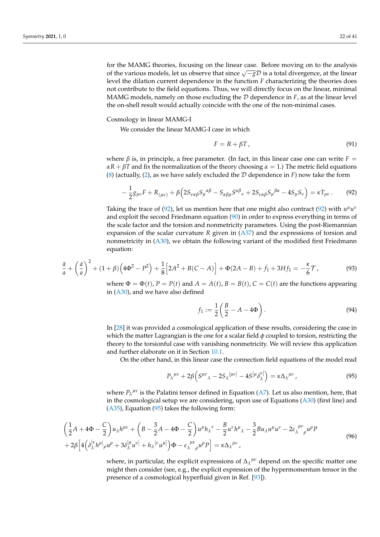for the MAMG theories, focusing on the linear case. Before moving on to the analysis for the *infinite* theories, locusing on the linear case. Before moving on to the analysis of the various models, let us observe that since  $\sqrt{-g}\mathcal{D}$  is a total divergence, at the linear level the dilation current dependence in the function *F* characterizing the theories does not contribute to the field equations. Thus, we will directly focus on the linear, minimal MAMG models, namely on those excluding the  $D$  dependence in  $F$ , as at the linear level the on-shell result would actually coincide with the one of the non-minimal cases.

Cosmology in linear MAMG-I

We consider the linear MAMG-I case in which

$$
F = R + \beta T, \tag{91}
$$

where  $\beta$  is, in principle, a free parameter. (In fact, in this linear case one can write  $F =$  $\alpha R + \beta T$  and fix the normalization of the theory choosing  $\alpha = 1$ .) The metric field equations (8) (actually, (2), as we have safely excluded the D dependence in *F*) now take the form

$$
-\frac{1}{2}g_{\mu\nu}F + R_{(\mu\nu)} + \beta\Big(2S_{\nu\alpha\beta}S_{\mu}^{\ \alpha\beta} - S_{\alpha\beta\mu}S^{\alpha\beta}{}_{\nu} + 2S_{\nu\alpha\beta}S_{\mu}^{\ \beta\alpha} - 4S_{\mu}S_{\nu}\Big) = \kappa T_{\mu\nu}.
$$
 (92)

Taking the trace of (92), let us mention here that one might also contract (92) with  $u^{\mu}u^{\nu}$ and exploit the second Friedmann equation (90) in order to express everything in terms of the scale factor and the torsion and nonmetricity parameters. Using the post-Riemannian expansion of the scalar curvature *R* given in (A37) and the expressions of torsion and nonmetricity in (A30), we obtain the following variant of the modified first Friedmann equation:

$$
\frac{\ddot{a}}{a} + \left(\frac{\dot{a}}{a}\right)^2 + (1+\beta)\left(4\Phi^2 - P^2\right) + \frac{1}{8}\left[2A^2 + B(C-A)\right] + \Phi(2A-B) + \dot{f}_1 + 3Hf_1 = -\frac{\kappa}{6}\mathcal{T},\tag{93}
$$

where  $\Phi = \Phi(t)$ ,  $P = P(t)$  and  $A = A(t)$ ,  $B = B(t)$ ,  $C = C(t)$  are the functions appearing in (A30), and we have also defined

$$
f_1 := \frac{1}{2} \left( \frac{B}{2} - A - 4\Phi \right). \tag{94}
$$

In [28] it was provided a cosmological application of these results, considering the case in which the matter Lagrangian is the one for a scalar field *φ* coupled to torsion, restricting the theory to the torsionful case with vanishing nonmetricity. We will review this application and further elaborate on it in Section 10.1.

On the other hand, in this linear case the connection field equations of the model read

$$
P_{\lambda}^{\mu\nu} + 2\beta \Big( S^{\mu\nu}{}_{\lambda} - 2S_{\lambda}^{\mu\nu} - 4S^{\mu} \delta^{\nu]}_{\lambda} \Big) = \kappa \Delta_{\lambda}^{\mu\nu} \,, \tag{95}
$$

where  $P_{\lambda}{}^{\mu\nu}$  is the Palatini tensor defined in Equation (A7). Let us also mention, here, that in the cosmological setup we are considering, upon use of Equations (A30) (first line) and (A35), Equation (95) takes the following form:

$$
\left(\frac{1}{2}A + 4\Phi - \frac{C}{2}\right)u_{\lambda}h^{\mu\nu} + \left(B - \frac{3}{2}A - 4\Phi - \frac{C}{2}\right)u^{\mu}h_{\lambda}{}^{\nu} - \frac{B}{2}u^{\nu}h^{\mu}{}_{\lambda} - \frac{3}{2}Bu_{\lambda}u^{\mu}u^{\nu} - 2\varepsilon_{\lambda}{}^{\mu\nu}{}_{\rho}u^{\rho}P + 2\beta\left[4\left(\delta_{\lambda}^{[\nu}h^{\mu]}{}_{\rho}u^{\rho} + 3\delta_{\lambda}^{[\mu}u^{\nu]} + h_{\lambda}^{[\nu}u^{\mu]}\right)\Phi - \varepsilon_{\lambda}{}^{\mu\nu}{}_{\rho}u^{\rho}P\right] = \kappa\Delta_{\lambda}{}^{\mu\nu},
$$
\n(96)

where, in particular, the explicit expressions of  $\Delta_{\lambda}^{\mu\nu}$  depend on the specific matter one might then consider (see, e.g., the explicit expression of the hypermomentum tensor in the presence of a cosmological hyperfluid given in Ref. [93]).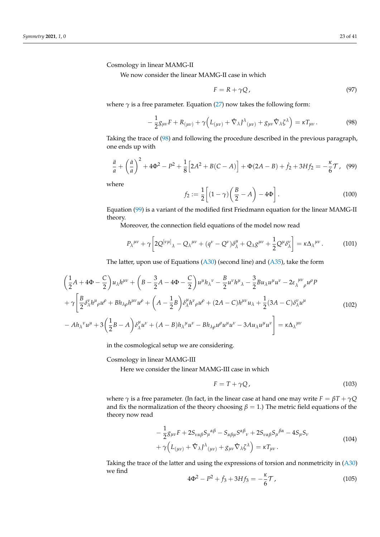Cosmology in linear MAMG-II

We now consider the linear MAMG-II case in which

$$
F = R + \gamma Q, \tag{97}
$$

where  $\gamma$  is a free parameter. Equation (27) now takes the following form:

$$
-\frac{1}{2}g_{\mu\nu}F + R_{(\mu\nu)} + \gamma \Big( L_{(\mu\nu)} + \hat{\nabla}_{\lambda} J^{\lambda}{}_{(\mu\nu)} + g_{\mu\nu} \hat{\nabla}_{\lambda} \zeta^{\lambda} \Big) = \kappa T_{\mu\nu}.
$$
 (98)

Taking the trace of (98) and following the procedure described in the previous paragraph, one ends up with

$$
\frac{\ddot{a}}{a} + \left(\frac{\dot{a}}{a}\right)^2 + 4\Phi^2 - P^2 + \frac{1}{8} \left[2A^2 + B(C - A)\right] + \Phi(2A - B) + \dot{f}_2 + 3Hf_2 = -\frac{\kappa}{6}\mathcal{T}, \quad (99)
$$

where

$$
f_2 := \frac{1}{2} \left[ (1 - \gamma) \left( \frac{B}{2} - A \right) - 4\Phi \right].
$$
 (100)

Equation (99) is a variant of the modified first Friedmann equation for the linear MAMG-II theory.

Moreover, the connection field equations of the model now read

$$
P_{\lambda}^{\mu\nu} + \gamma \left[ 2Q^{[\nu\mu]}_{\lambda} - Q_{\lambda}^{\mu\nu} + (q^{\nu} - Q^{\nu})\delta^{\mu}_{\lambda} + Q_{\lambda}g^{\mu\nu} + \frac{1}{2}Q^{\mu}\delta^{\nu}_{\lambda} \right] = \kappa \Delta_{\lambda}^{\mu\nu}.
$$
 (101)

The latter, upon use of Equations  $(A30)$  (second line) and  $(A35)$ , take the form

$$
\left(\frac{1}{2}A + 4\Phi - \frac{C}{2}\right)u_{\lambda}h^{\mu\nu} + \left(B - \frac{3}{2}A - 4\Phi - \frac{C}{2}\right)u^{\mu}h_{\lambda}^{\nu} - \frac{B}{2}u^{\nu}h^{\mu}{}_{\lambda} - \frac{3}{2}Bu_{\lambda}u^{\mu}u^{\nu} - 2\varepsilon_{\lambda}^{\mu\nu}{}_{\rho}u^{\rho}P \n+ \gamma \left[\frac{B}{2}\delta_{\lambda}^{\nu}h^{\mu}{}_{\rho}u^{\rho} + Bh_{\lambda\rho}h^{\mu\nu}u^{\rho} + \left(A - \frac{1}{2}B\right)\delta_{\lambda}^{\mu}h^{\nu}{}_{\rho}u^{\rho} + (2A - C)h^{\mu\nu}u_{\lambda} + \frac{1}{2}(3A - C)\delta_{\lambda}^{\nu}u^{\mu} \right] \n- Ah_{\lambda}^{\nu}u^{\mu} + 3\left(\frac{1}{2}B - A\right)\delta_{\lambda}^{\mu}u^{\nu} + (A - B)h_{\lambda}^{\mu}u^{\nu} - Bh_{\lambda\rho}u^{\rho}u^{\mu}u^{\nu} - 3Au_{\lambda}u^{\mu}u^{\nu}\right] = \kappa\Delta_{\lambda}^{\mu\nu}
$$
\n(102)

in the cosmological setup we are considering.

Cosmology in linear MAMG-III

Here we consider the linear MAMG-III case in which

$$
F = T + \gamma Q, \qquad (103)
$$

where  $\gamma$  is a free parameter. (In fact, in the linear case at hand one may write  $F = \beta T + \gamma Q$ and fix the normalization of the theory choosing  $\beta = 1$ .) The metric field equations of the theory now read

$$
-\frac{1}{2}g_{\mu\nu}F + 2S_{\nu\alpha\beta}S_{\mu}{}^{\alpha\beta} - S_{\alpha\beta\mu}S^{\alpha\beta}{}_{\nu} + 2S_{\nu\alpha\beta}S_{\mu}{}^{\beta\alpha} - 4S_{\mu}S_{\nu} + \gamma\Big(L_{(\mu\nu)} + \hat{\nabla}_{\lambda}J^{\lambda}{}_{(\mu\nu)} + g_{\mu\nu}\hat{\nabla}_{\lambda}\zeta^{\lambda}\Big) = \kappa T_{\mu\nu}.
$$
\n(104)

Taking the trace of the latter and using the expressions of torsion and nonmetricity in (A30) we find

$$
4\Phi^2 - P^2 + \dot{f}_3 + 3Hf_3 = -\frac{\kappa}{6}\mathcal{T},\tag{105}
$$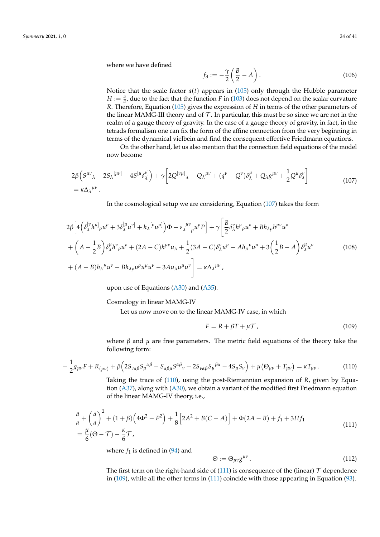where we have defined

$$
f_3 := -\frac{\gamma}{2} \left( \frac{B}{2} - A \right). \tag{106}
$$

Notice that the scale factor  $a(t)$  appears in (105) only through the Hubble parameter *H* :=  $\frac{\dot{a}}{a}$ , due to the fact that the function *F* in (103) does not depend on the scalar curvature *R*. Therefore, Equation (105) gives the expression of *H* in terms of the other parameters of the linear MAMG-III theory and of  $\mathcal T$ . In particular, this must be so since we are not in the realm of a gauge theory of gravity. In the case of a gauge theory of gravity, in fact, in the tetrads formalism one can fix the form of the affine connection from the very beginning in terms of the dynamical vielbein and find the consequent effective Friedmann equations.

On the other hand, let us also mention that the connection field equations of the model now become

$$
2\beta \left( S^{\mu\nu}{}_{\lambda} - 2S_{\lambda}{}^{[\mu\nu]} - 4S^{[\mu}\delta^{\nu]}_{\lambda} \right) + \gamma \left[ 2Q^{[\nu\mu]}{}_{\lambda} - Q_{\lambda}{}^{\mu\nu} + (q^{\nu} - Q^{\nu})\delta^{\mu}_{\lambda} + Q_{\lambda}g^{\mu\nu} + \frac{1}{2}Q^{\mu}\delta^{\nu}_{\lambda} \right]
$$
\n
$$
= \kappa \Delta_{\lambda}{}^{\mu\nu}.
$$
\n(107)

In the cosmological setup we are considering, Equation (107) takes the form

$$
2\beta \left[ 4\left( \delta_{\lambda}^{[\nu} h^{\mu]} \rho u^{\rho} + 3\delta_{\lambda}^{[\mu} u^{\nu]} + h_{\lambda}^{[\nu} u^{\mu]} \right) \Phi - \varepsilon_{\lambda}^{\mu\nu} \rho u^{\rho} P \right] + \gamma \left[ \frac{B}{2} \delta_{\lambda}^{\nu} h^{\mu} \rho u^{\rho} + Bh_{\lambda\rho} h^{\mu\nu} u^{\rho} + \left( A - \frac{1}{2} B \right) \delta_{\lambda}^{\mu} h^{\nu} \rho u^{\rho} + (2A - C) h^{\mu\nu} u_{\lambda} + \frac{1}{2} (3A - C) \delta_{\lambda}^{\nu} u^{\mu} - Ah_{\lambda}^{\nu} u^{\mu} + 3 \left( \frac{1}{2} B - A \right) \delta_{\lambda}^{\mu} u^{\nu} + (A - B) h_{\lambda}^{\mu} u^{\nu} - Bh_{\lambda\rho} u^{\rho} u^{\mu} u^{\nu} - 3Au_{\lambda} u^{\mu} u^{\nu} \right] = \kappa \Delta_{\lambda}^{\mu\nu}, \tag{108}
$$

upon use of Equations  $(A30)$  and  $(A35)$ .

Cosmology in linear MAMG-IV

Let us now move on to the linear MAMG-IV case, in which

$$
F = R + \beta T + \mu \mathcal{T},\tag{109}
$$

where  $\beta$  and  $\mu$  are free parameters. The metric field equations of the theory take the following form:

$$
-\frac{1}{2}g_{\mu\nu}F + R_{(\mu\nu)} + \beta\Big(2S_{\nu\alpha\beta}S_{\mu}^{\alpha\beta} - S_{\alpha\beta\mu}S^{\alpha\beta}{}_{\nu} + 2S_{\nu\alpha\beta}S_{\mu}^{\beta\alpha} - 4S_{\mu}S_{\nu}\Big) + \mu\big(\Theta_{\mu\nu} + T_{\mu\nu}\big) = \kappa T_{\mu\nu}.
$$
 (110)

Taking the trace of (110), using the post-Riemannian expansion of *R*, given by Equation (A37), along with (A30), we obtain a variant of the modified first Friedmann equation of the linear MAMG-IV theory, i.e.,

$$
\frac{\ddot{a}}{a} + \left(\frac{\dot{a}}{a}\right)^2 + (1+\beta)\left(4\Phi^2 - P^2\right) + \frac{1}{8}\left[2A^2 + B(C-A)\right] + \Phi(2A-B) + \dot{f}_1 + 3Hf_1
$$
\n
$$
= \frac{\mu}{6}(\Theta - \mathcal{T}) - \frac{\kappa}{6}\mathcal{T},\tag{111}
$$

where  $f_1$  is defined in  $(94)$  and

$$
\Theta := \Theta_{\mu\nu} g^{\mu\nu} \,. \tag{112}
$$

The first term on the right-hand side of (111) is consequence of the (linear)  $\mathcal T$  dependence in (109), while all the other terms in (111) coincide with those appearing in Equation (93).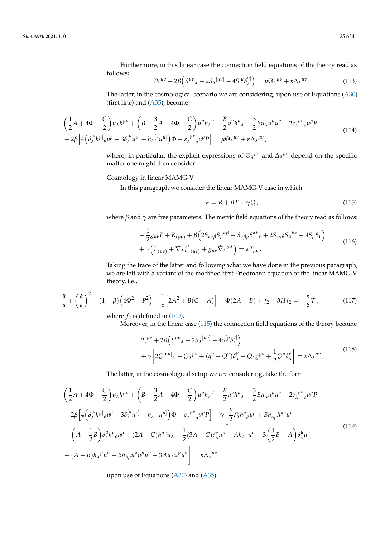Furthermore, in this linear case the connection field equations of the theory read as follows:

$$
P_{\lambda}^{\mu\nu} + 2\beta \Big( S^{\mu\nu}{}_{\lambda} - 2S_{\lambda}^{\, [\mu\nu]} - 4S^{[\mu} \delta^{\nu]}_{\lambda} \Big) = \mu \Theta_{\lambda}^{\, \mu\nu} + \kappa \Delta_{\lambda}^{\, \mu\nu} \,. \tag{113}
$$

The latter, in the cosmological scenario we are considering, upon use of Equations (A30) (first line) and (A35), become

$$
\left(\frac{1}{2}A + 4\Phi - \frac{C}{2}\right)u_{\lambda}h^{\mu\nu} + \left(B - \frac{3}{2}A - 4\Phi - \frac{C}{2}\right)u^{\mu}h_{\lambda}{}^{\nu} - \frac{B}{2}u^{\nu}h^{\mu}{}_{\lambda} - \frac{3}{2}Bu_{\lambda}u^{\mu}u^{\nu} - 2\varepsilon_{\lambda}{}^{\mu\nu}{}_{\rho}u^{\rho}P + 2\beta\left[4\left(\delta_{\lambda}^{[\nu}h^{\mu]}{}_{\rho}u^{\rho} + 3\delta_{\lambda}^{[\mu}u^{\nu]} + h_{\lambda}^{[\nu}u^{\mu]}\right)\Phi - \varepsilon_{\lambda}{}^{\mu\nu}{}_{\rho}u^{\rho}P\right] = \mu\Theta_{\lambda}{}^{\mu\nu} + \kappa\Delta_{\lambda}{}^{\mu\nu},
$$
\n(114)

where, in particular, the explicit expressions of  $\Theta_{\lambda}^{\mu\nu}$  and  $\Delta_{\lambda}^{\mu\nu}$  depend on the specific matter one might then consider.

Cosmology in linear MAMG-V

In this paragraph we consider the linear MAMG-V case in which

$$
F = R + \beta T + \gamma Q, \qquad (115)
$$

where  $\beta$  and  $\gamma$  are free parameters. The metric field equations of the theory read as follows:

$$
-\frac{1}{2}g_{\mu\nu}F + R_{(\mu\nu)} + \beta \left(2S_{\nu\alpha\beta}S_{\mu}{}^{\alpha\beta} - S_{\alpha\beta\mu}S^{\alpha\beta}{}_{\nu} + 2S_{\nu\alpha\beta}S_{\mu}{}^{\beta\alpha} - 4S_{\mu}S_{\nu}\right) + \gamma \left(L_{(\mu\nu)} + \hat{\nabla}_{\lambda}J^{\lambda}{}_{(\mu\nu)} + g_{\mu\nu}\hat{\nabla}_{\lambda}\zeta^{\lambda}\right) = \kappa T_{\mu\nu}.
$$
\n(116)

Taking the trace of the latter and following what we have done in the previous paragraph, we are left with a variant of the modified first Friedmann equation of the linear MAMG-V theory, i.e.,

$$
\frac{\ddot{a}}{a} + \left(\frac{\dot{a}}{a}\right)^2 + (1+\beta)\left(4\Phi^2 - P^2\right) + \frac{1}{8}\left[2A^2 + B(C-A)\right] + \Phi(2A-B) + \dot{f}_2 + 3Hf_2 = -\frac{\kappa}{6}\mathcal{T},\tag{117}
$$

where  $f_2$  is defined in  $(100)$ .

Moreover, in the linear case (115) the connection field equations of the theory become

$$
P_{\lambda}^{\mu\nu} + 2\beta \Big( S^{\mu\nu}{}_{\lambda} - 2S_{\lambda}^{\mu\nu} - 4S^{\mu}{}_{\lambda}{}^{\nu} \Big) + \gamma \Big[ 2Q^{\left[\nu\mu\right]}{}_{\lambda} - Q_{\lambda}^{\mu\nu} + (q^{\nu} - Q^{\nu})\delta^{\mu}_{\lambda} + Q_{\lambda}g^{\mu\nu} + \frac{1}{2}Q^{\mu}{}_{\lambda}{}^{\nu} \Big] = \kappa \Delta_{\lambda}^{\mu\nu} .
$$
\n(118)

The latter, in the cosmological setup we are considering, take the form

$$
\left(\frac{1}{2}A + 4\Phi - \frac{C}{2}\right)u_{\lambda}h^{\mu\nu} + \left(B - \frac{3}{2}A - 4\Phi - \frac{C}{2}\right)u^{\mu}h_{\lambda}^{\nu} - \frac{B}{2}u^{\nu}h^{\mu}{}_{\lambda} - \frac{3}{2}Bu_{\lambda}u^{\mu}u^{\nu} - 2\varepsilon_{\lambda}^{\mu\nu}{}_{\rho}u^{\rho}P \n+ 2\beta\left[4\left(\delta_{\lambda}^{[\nu}h^{\mu]}_{\rho}u^{\rho} + 3\delta_{\lambda}^{[\mu}u^{\nu]} + h_{\lambda}^{[\nu}u^{\mu]}\right)\Phi - \varepsilon_{\lambda}^{\mu\nu}{}_{\rho}u^{\rho}P\right] + \gamma\left[\frac{B}{2}\delta_{\lambda}^{\nu}h^{\mu}{}_{\rho}u^{\rho} + Bh_{\lambda\rho}h^{\mu\nu}u^{\rho} + \left(A - \frac{1}{2}B\right)\delta_{\lambda}^{\mu}h^{\nu}{}_{\rho}u^{\rho} + (2A - C)h^{\mu\nu}u_{\lambda} + \frac{1}{2}(3A - C)\delta_{\lambda}^{\nu}u^{\mu} - Ah_{\lambda}^{\nu}u^{\mu} + 3\left(\frac{1}{2}B - A\right)\delta_{\lambda}^{\mu}u^{\nu} + (A - B)h_{\lambda}^{\mu}u^{\nu} - Bh_{\lambda\rho}u^{\rho}u^{\mu}u^{\nu} - 3Au_{\lambda}u^{\mu}u^{\nu}\right] = \kappa\Delta_{\lambda}^{\mu\nu}
$$
\n(119)

upon use of Equations  $(A30)$  and  $(A35)$ .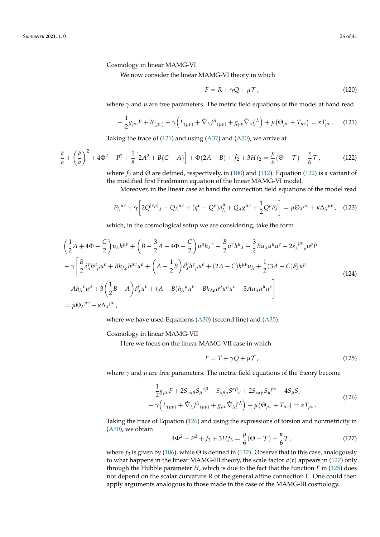Cosmology in linear MAMG-VI

We now consider the linear MAMG-VI theory in which

$$
F = R + \gamma Q + \mu \mathcal{T} \tag{120}
$$

where  $\gamma$  and  $\mu$  are free parameters. The metric field equations of the model at hand read

$$
-\frac{1}{2}g_{\mu\nu}F + R_{(\mu\nu)} + \gamma \Big( L_{(\mu\nu)} + \hat{\nabla}_{\lambda} J^{\lambda}{}_{(\mu\nu)} + g_{\mu\nu} \hat{\nabla}_{\lambda} \zeta^{\lambda} \Big) + \mu \big( \Theta_{\mu\nu} + T_{\mu\nu} \big) = \kappa T_{\mu\nu} \,. \tag{121}
$$

Taking the trace of  $(121)$  and using  $(A37)$  and  $(A30)$ , we arrive at

$$
\frac{\ddot{a}}{a} + \left(\frac{\dot{a}}{a}\right)^2 + 4\Phi^2 - P^2 + \frac{1}{8} \Big[ 2A^2 + B(C - A) \Big] + \Phi(2A - B) + \dot{f}_2 + 3Hf_2 = \frac{\mu}{6} (\Theta - \mathcal{T}) - \frac{\kappa}{6} \mathcal{T},\tag{122}
$$

where  $f_2$  and  $\Theta$  are defined, respectively, in (100) and (112). Equation (122) is a variant of the modified first Friedmann equation of the linear MAMG-VI model.

Moreover, in the linear case at hand the connection field equations of the model read

$$
P_{\lambda}^{\mu\nu} + \gamma \left[ 2Q^{[\nu\mu]}_{\lambda} - Q_{\lambda}^{\mu\nu} + (q^{\nu} - Q^{\nu})\delta^{\mu}_{\lambda} + Q_{\lambda}g^{\mu\nu} + \frac{1}{2}Q^{\mu}\delta^{\nu}_{\lambda} \right] = \mu \Theta_{\lambda}^{\mu\nu} + \kappa \Delta_{\lambda}^{\mu\nu}, \quad (123)
$$

which, in the cosmological setup we are considering, take the form

$$
\left(\frac{1}{2}A + 4\Phi - \frac{C}{2}\right)u_{\lambda}h^{\mu\nu} + \left(B - \frac{3}{2}A - 4\Phi - \frac{C}{2}\right)u^{\mu}h_{\lambda}{}^{\nu} - \frac{B}{2}u^{\nu}h^{\mu}{}_{\lambda} - \frac{3}{2}Bu_{\lambda}u^{\mu}u^{\nu} - 2\varepsilon_{\lambda}{}^{\mu\nu}{}_{\rho}u^{\rho}P
$$
  
+  $\gamma \left[\frac{B}{2}\delta^{\nu}_{\lambda}h^{\mu}_{\rho}u^{\rho} + Bh_{\lambda\rho}h^{\mu\nu}u^{\rho} + \left(A - \frac{1}{2}B\right)\delta^{\mu}_{\lambda}h^{\nu}_{\rho}u^{\rho} + (2A - C)h^{\mu\nu}u_{\lambda} + \frac{1}{2}(3A - C)\delta^{\nu}_{\lambda}u^{\mu} - Ah_{\lambda}{}^{\nu}u^{\mu} + 3\left(\frac{1}{2}B - A\right)\delta^{\mu}_{\lambda}u^{\nu} + (A - B)h_{\lambda}{}^{\mu}u^{\nu} - Bh_{\lambda\rho}u^{\rho}u^{\mu}u^{\nu} - 3Au_{\lambda}u^{\mu}u^{\nu}\right]$   
=  $\mu\Theta_{\lambda}{}^{\mu\nu} + \kappa\Delta_{\lambda}{}^{\mu\nu},$  (124)

where we have used Equations (A30) (second line) and (A35).

Cosmology in linear MAMG-VII

Here we focus on the linear MAMG-VII case in which

$$
F = T + \gamma Q + \mu \mathcal{T},\tag{125}
$$

where  $\gamma$  and  $\mu$  are free parameters. The metric field equations of the theory become

$$
-\frac{1}{2}g_{\mu\nu}F + 2S_{\nu\alpha\beta}S_{\mu}{}^{\alpha\beta} - S_{\alpha\beta\mu}S^{\alpha\beta}{}_{\nu} + 2S_{\nu\alpha\beta}S_{\mu}{}^{\beta\alpha} - 4S_{\mu}S_{\nu} + \gamma\Big(L_{(\mu\nu)} + \hat{\nabla}_{\lambda}J^{\lambda}{}_{(\mu\nu)} + g_{\mu\nu}\hat{\nabla}_{\lambda}\zeta^{\lambda}\Big) + \mu\big(\Theta_{\mu\nu} + T_{\mu\nu}\big) = \kappa T_{\mu\nu}.
$$
\n(126)

Taking the trace of Equation (126) and using the expressions of torsion and nonmetricity in (A30), we obtain

$$
4\Phi^2 - P^2 + \dot{f}_3 + 3Hf_3 = \frac{\mu}{6}(\Theta - \mathcal{T}) - \frac{\kappa}{6}\mathcal{T},\tag{127}
$$

where  $f_3$  is given by (106), while  $\Theta$  is defined in (112). Observe that in this case, analogously to what happens in the linear MAMG-III theory, the scale factor  $a(t)$  appears in (127) only through the Hubble parameter *H*, which is due to the fact that the function *F* in (125) does not depend on the scalar curvature *R* of the general affine connection Γ. One could then apply arguments analogous to those made in the case of the MAMG-III cosmology.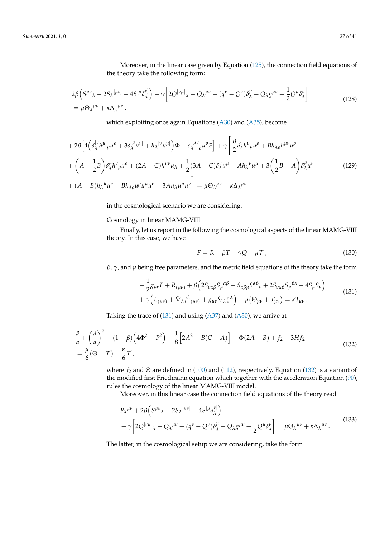Moreover, in the linear case given by Equation (125), the connection field equations of the theory take the following form:

$$
2\beta \left( S^{\mu\nu}{}_{\lambda} - 2S_{\lambda}{}^{[\mu\nu]} - 4S^{[\mu}\delta^{\nu]}_{\lambda} \right) + \gamma \left[ 2Q^{[\nu\mu]}{}_{\lambda} - Q_{\lambda}{}^{\mu\nu} + (q^{\nu} - Q^{\nu})\delta^{\mu}_{\lambda} + Q_{\lambda}g^{\mu\nu} + \frac{1}{2}Q^{\mu}\delta^{\nu}_{\lambda} \right]
$$
  
=  $\mu \Theta_{\lambda}{}^{\mu\nu} + \kappa \Delta_{\lambda}{}^{\mu\nu},$  (128)

which exploiting once again Equations (A30) and (A35), become

$$
+2\beta \Big[4\Big(\delta_{\lambda}^{[\nu}h^{\mu]}_{\rho}u^{\rho}+3\delta_{\lambda}^{[\mu}u^{\nu]}+h_{\lambda}^{[\nu}u^{\mu]}\Big)\Phi-\varepsilon_{\lambda}^{[\mu\nu}{}_{\rho}u^{\rho}P\Big]+\gamma \Big[\frac{B}{2}\delta_{\lambda}^{\nu}h^{\mu}{}_{\rho}u^{\rho}+Bh_{\lambda\rho}h^{\mu\nu}u^{\rho}\Big] +\left(A-\frac{1}{2}B\right)\delta_{\lambda}^{\mu}h^{\nu}{}_{\rho}u^{\rho}+(2A-C)h^{\mu\nu}u_{\lambda}+\frac{1}{2}(3A-C)\delta_{\lambda}^{\nu}u^{\mu}-Ah_{\lambda}^{\nu}u^{\mu}+3\Big(\frac{1}{2}B-A\Big)\delta_{\lambda}^{\mu}u^{\nu}\Big] +\left(A-B\right)h_{\lambda}^{\mu}u^{\nu}-Bh_{\lambda\rho}u^{\rho}u^{\mu}u^{\nu}-3Au_{\lambda}u^{\mu}u^{\nu}\Big]=\mu\Theta_{\lambda}^{\mu\nu}+\kappa\Delta_{\lambda}^{\mu\nu}\tag{129}
$$

in the cosmological scenario we are considering.

Cosmology in linear MAMG-VIII

Finally, let us report in the following the cosmological aspects of the linear MAMG-VIII theory. In this case, we have

$$
F = R + \beta T + \gamma Q + \mu \mathcal{T}, \qquad (130)
$$

*β*, *γ*, and *µ* being free parameters, and the metric field equations of the theory take the form

$$
-\frac{1}{2}g_{\mu\nu}F + R_{(\mu\nu)} + \beta \left(2S_{\nu\alpha\beta}S_{\mu}{}^{\alpha\beta} - S_{\alpha\beta\mu}S^{\alpha\beta}{}_{\nu} + 2S_{\nu\alpha\beta}S_{\mu}{}^{\beta\alpha} - 4S_{\mu}S_{\nu}\right) + \gamma \left(L_{(\mu\nu)} + \hat{\nabla}_{\lambda}J^{\lambda}{}_{(\mu\nu)} + g_{\mu\nu}\hat{\nabla}_{\lambda}\zeta^{\lambda}\right) + \mu\left(\Theta_{\mu\nu} + T_{\mu\nu}\right) = \kappa T_{\mu\nu}.
$$
\n(131)

Taking the trace of  $(131)$  and using  $(A37)$  and  $(A30)$ , we arrive at

$$
\frac{\ddot{a}}{a} + \left(\frac{\dot{a}}{a}\right)^2 + (1+\beta)\left(4\Phi^2 - P^2\right) + \frac{1}{8}\left[2A^2 + B(C-A)\right] + \Phi(2A-B) + \dot{f}_2 + 3Hf_2
$$
\n
$$
= \frac{\mu}{6}(\Theta - \mathcal{T}) - \frac{\kappa}{6}\mathcal{T},\tag{132}
$$

where  $f_2$  and  $\Theta$  are defined in (100) and (112), respectively. Equation (132) is a variant of the modified first Friedmann equation which together with the acceleration Equation (90), rules the cosmology of the linear MAMG-VIII model.

Moreover, in this linear case the connection field equations of the theory read

$$
P_{\lambda}^{\mu\nu} + 2\beta \Big(S^{\mu\nu}{}_{\lambda} - 2S_{\lambda}{}^{[\mu\nu]} - 4S^{[\mu}{}_{\delta}{}^{\nu]}_{\lambda}\Big) + \gamma \Big[2Q^{[\nu\mu]}{}_{\lambda} - Q_{\lambda}{}^{\mu\nu} + (q^{\nu} - Q^{\nu})\delta^{\mu}_{\lambda} + Q_{\lambda}g^{\mu\nu} + \frac{1}{2}Q^{\mu}\delta^{\nu}_{\lambda}\Big] = \mu \Theta_{\lambda}{}^{\mu\nu} + \kappa \Delta_{\lambda}{}^{\mu\nu}.
$$
 (133)

The latter, in the cosmological setup we are considering, take the form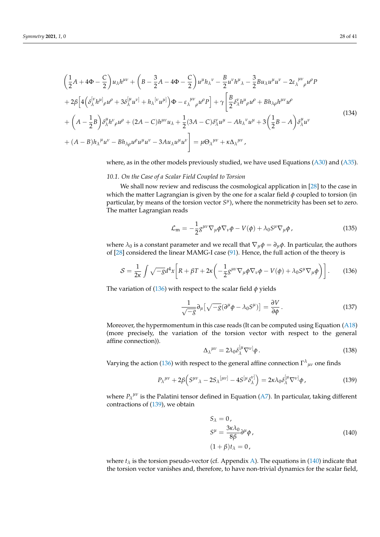$$
\left(\frac{1}{2}A + 4\Phi - \frac{C}{2}\right)u_{\lambda}h^{\mu\nu} + \left(B - \frac{3}{2}A - 4\Phi - \frac{C}{2}\right)u^{\mu}h_{\lambda}^{\nu} - \frac{B}{2}u^{\nu}h^{\mu}{}_{\lambda} - \frac{3}{2}Bu_{\lambda}u^{\mu}u^{\nu} - 2\varepsilon_{\lambda}^{\mu\nu}{}_{\rho}u^{\rho}P \n+ 2\beta\left[4\left(\delta_{\lambda}^{[\nu}h^{\mu]}_{\rho}u^{\rho} + 3\delta_{\lambda}^{[\mu}u^{\nu]} + h_{\lambda}^{[\nu}u^{\mu]}\right)\Phi - \varepsilon_{\lambda}^{\mu\nu}{}_{\rho}u^{\rho}P\right] + \gamma\left[\frac{B}{2}\delta_{\lambda}^{\nu}h^{\mu}{}_{\rho}u^{\rho} + Bh_{\lambda\rho}h^{\mu\nu}u^{\rho} \right] \n+ \left(A - \frac{1}{2}B\right)\delta_{\lambda}^{\mu}h^{\nu}{}_{\rho}u^{\rho} + (2A - C)h^{\mu\nu}u_{\lambda} + \frac{1}{2}(3A - C)\delta_{\lambda}^{\nu}u^{\mu} - Ah_{\lambda}^{\nu}u^{\mu} + 3\left(\frac{1}{2}B - A\right)\delta_{\lambda}^{\mu}u^{\nu} \n+ (A - B)h_{\lambda}^{\mu}u^{\nu} - Bh_{\lambda\rho}u^{\rho}u^{\mu}u^{\nu} - 3Au_{\lambda}u^{\mu}u^{\nu}\right] = \mu\Theta_{\lambda}^{\mu\nu} + \kappa\Delta_{\lambda}^{\mu\nu},
$$
\n(134)

where, as in the other models previously studied, we have used Equations (A30) and (A35).

## *10.1. On the Case of a Scalar Field Coupled to Torsion*

We shall now review and rediscuss the cosmological application in [28] to the case in which the matter Lagrangian is given by the one for a scalar field  $\phi$  coupled to torsion (in particular, by means of the torsion vector  $S<sup>\mu</sup>$ ), where the nonmetricity has been set to zero. The matter Lagrangian reads

$$
\mathcal{L}_{\rm m} = -\frac{1}{2} g^{\mu\nu} \nabla_{\mu} \phi \nabla_{\nu} \phi - V(\phi) + \lambda_0 S^{\mu} \nabla_{\mu} \phi \,, \tag{135}
$$

where  $\lambda_0$  is a constant parameter and we recall that  $\nabla_\mu \phi = \partial_\mu \phi$ . In particular, the authors of [28] considered the linear MAMG-I case (91). Hence, the full action of the theory is

$$
S = \frac{1}{2\kappa} \int \sqrt{-g} d^4x \left[ R + \beta T + 2\kappa \left( -\frac{1}{2} g^{\mu\nu} \nabla_\mu \phi \nabla_\nu \phi - V(\phi) + \lambda_0 S^\mu \nabla_\mu \phi \right) \right].
$$
 (136)

The variation of (136) with respect to the scalar field *φ* yields

$$
\frac{1}{\sqrt{-g}}\partial_{\mu}\left[\sqrt{-g}(\partial^{\mu}\phi - \lambda_0 S^{\mu})\right] = \frac{\partial V}{\partial \phi}.
$$
 (137)

Moreover, the hypermomentum in this case reads (It can be computed using Equation (A18) (more precisely, the variation of the torsion vector with respect to the general affine connection)).

$$
\Delta_{\lambda}{}^{\mu\nu} = 2\lambda_0 \delta_{\lambda}^{[\mu} \nabla^{\nu]} \phi \,. \tag{138}
$$

Varying the action (136) with respect to the general affine connection  $\Gamma^{\lambda}{}_{\mu\nu}$  one finds

$$
P_{\lambda}^{\mu\nu} + 2\beta \Big( S^{\mu\nu}{}_{\lambda} - 2S_{\lambda}^{\mu\nu}{}^{\dagger} - 4S^{\mu} \delta^{\nu}{}_{\lambda}{}^{\dagger} \Big) = 2\kappa \lambda_0 \delta_{\lambda}^{[\mu} \nabla^{\nu]} \phi \,, \tag{139}
$$

where  $P_{\lambda}^{\mu\nu}$  is the Palatini tensor defined in Equation (A7). In particular, taking different contractions of (139), we obtain

$$
S_{\lambda} = 0,
$$
  
\n
$$
S^{\mu} = \frac{3\kappa\lambda_0}{8\beta} \partial^{\mu} \phi,
$$
  
\n
$$
(1+\beta)t_{\lambda} = 0,
$$
\n(140)

where  $t_{\lambda}$  is the torsion pseudo-vector (cf. Appendix A). The equations in (140) indicate that the torsion vector vanishes and, therefore, to have non-trivial dynamics for the scalar field,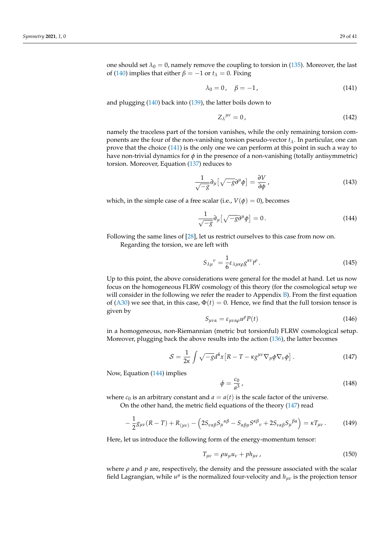one should set  $\lambda_0 = 0$ , namely remove the coupling to torsion in (135). Moreover, the last of (140) implies that either  $\beta = -1$  or  $t_\lambda = 0$ . Fixing

$$
\lambda_0 = 0, \quad \beta = -1, \tag{141}
$$

and plugging (140) back into (139), the latter boils down to

$$
Z_{\lambda}^{\mu\nu} = 0, \tag{142}
$$

namely the traceless part of the torsion vanishes, while the only remaining torsion components are the four of the non-vanishing torsion pseudo-vector *tλ*. In particular, one can prove that the choice (141) is the only one we can perform at this point in such a way to have non-trivial dynamics for *φ* in the presence of a non-vanishing (totally antisymmetric) torsion. Moreover, Equation (137) reduces to

$$
\frac{1}{\sqrt{-g}}\partial_{\mu}\left[\sqrt{-g}\partial^{\mu}\phi\right] = \frac{\partial V}{\partial\phi},\tag{143}
$$

which, in the simple case of a free scalar (i.e.,  $V(\phi) = 0$ ), becomes

$$
\frac{1}{\sqrt{-g}}\partial_{\mu}\left[\sqrt{-g}\partial^{\mu}\phi\right] = 0.
$$
 (144)

Following the same lines of [28], let us restrict ourselves to this case from now on.

Regarding the torsion, we are left with

$$
S_{\lambda\mu}{}^{\nu} = \frac{1}{6} \varepsilon_{\lambda\mu\kappa\rho} g^{\kappa\nu} t^{\rho} \,. \tag{145}
$$

Up to this point, the above considerations were general for the model at hand. Let us now focus on the homogeneous FLRW cosmology of this theory (for the cosmological setup we will consider in the following we refer the reader to Appendix B). From the first equation of (A30) we see that, in this case,  $\Phi(t) = 0$ . Hence, we find that the full torsion tensor is given by

$$
S_{\mu\nu\alpha} = \varepsilon_{\mu\nu\alpha\rho} u^{\rho} P(t) \tag{146}
$$

in a homogeneous, non-Riemannian (metric but torsionful) FLRW cosmological setup. Moreover, plugging back the above results into the action (136), the latter becomes

$$
S = \frac{1}{2\kappa} \int \sqrt{-g} d^4x \left[ R - T - \kappa g^{\mu\nu} \nabla_\mu \phi \nabla_\nu \phi \right]. \tag{147}
$$

Now, Equation (144) implies

$$
\dot{\phi} = \frac{c_0}{a^3} \,,\tag{148}
$$

where  $c_0$  is an arbitrary constant and  $a = a(t)$  is the scale factor of the universe.

On the other hand, the metric field equations of the theory (147) read

$$
-\frac{1}{2}g_{\mu\nu}(R-T) + R_{(\mu\nu)} - \left(2S_{\nu\alpha\beta}S_{\mu}{}^{\alpha\beta} - S_{\alpha\beta\mu}S^{\alpha\beta}{}_{\nu} + 2S_{\nu\alpha\beta}S_{\mu}{}^{\beta\alpha}\right) = \kappa T_{\mu\nu}.
$$
 (149)

Here, let us introduce the following form of the energy-momentum tensor:

$$
T_{\mu\nu} = \rho u_{\mu} u_{\nu} + p h_{\mu\nu} \,, \tag{150}
$$

where  $\rho$  and  $p$  are, respectively, the density and the pressure associated with the scalar field Lagrangian, while  $u^{\mu}$  is the normalized four-velocity and  $h_{\mu\nu}$  is the projection tensor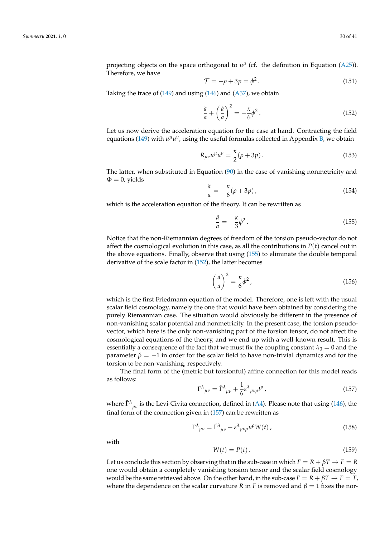projecting objects on the space orthogonal to  $u^{\mu}$  (cf. the definition in Equation (A25)). Therefore, we have

$$
\mathcal{T} = -\rho + 3p = \dot{\phi}^2. \tag{151}
$$

Taking the trace of  $(149)$  and using  $(146)$  and  $(A37)$ , we obtain

$$
\frac{\ddot{a}}{a} + \left(\frac{\dot{a}}{a}\right)^2 = -\frac{\kappa}{6}\dot{\phi}^2.
$$
 (152)

Let us now derive the acceleration equation for the case at hand. Contracting the field equations (149) with  $u^{\mu}u^{\nu}$ , using the useful formulas collected in Appendix B, we obtain

$$
R_{\mu\nu}u^{\mu}u^{\nu} = \frac{\kappa}{2}(\rho + 3p).
$$
 (153)

The latter, when substituted in Equation  $(90)$  in the case of vanishing nonmetricity and  $\Phi = 0$ , yields

$$
\frac{\ddot{a}}{a} = -\frac{\kappa}{6}(\rho + 3p),\tag{154}
$$

which is the acceleration equation of the theory. It can be rewritten as

$$
\frac{\ddot{a}}{a} = -\frac{\kappa}{3}\dot{\phi}^2. \tag{155}
$$

Notice that the non-Riemannian degrees of freedom of the torsion pseudo-vector do not affect the cosmological evolution in this case, as all the contributions in  $P(t)$  cancel out in the above equations. Finally, observe that using (155) to eliminate the double temporal derivative of the scale factor in (152), the latter becomes

$$
\left(\frac{\dot{a}}{a}\right)^2 = \frac{\kappa}{6}\dot{\phi}^2\,,\tag{156}
$$

which is the first Friedmann equation of the model. Therefore, one is left with the usual scalar field cosmology, namely the one that would have been obtained by considering the purely Riemannian case. The situation would obviously be different in the presence of non-vanishing scalar potential and nonmetricity. In the present case, the torsion pseudovector, which here is the only non-vanishing part of the torsion tensor, do not affect the cosmological equations of the theory, and we end up with a well-known result. This is essentially a consequence of the fact that we must fix the coupling constant  $\lambda_0 = 0$  and the parameter  $\beta = -1$  in order for the scalar field to have non-trivial dynamics and for the torsion to be non-vanishing, respectively.

The final form of the (metric but torsionful) affine connection for this model reads as follows:

$$
\Gamma^{\lambda}{}_{\mu\nu} = \tilde{\Gamma}^{\lambda}{}_{\mu\nu} + \frac{1}{6} \varepsilon^{\lambda}{}_{\mu\nu\rho} t^{\rho} \,, \tag{157}
$$

where  $\tilde{\Gamma}^{\lambda}{}_{\mu\nu}$  is the Levi-Civita connection, defined in (A4). Please note that using (146), the final form of the connection given in  $(157)$  can be rewritten as

$$
\Gamma^{\lambda}{}_{\mu\nu} = \tilde{\Gamma}^{\lambda}{}_{\mu\nu} + \varepsilon^{\lambda}{}_{\mu\nu\rho} u^{\rho} W(t) \,, \tag{158}
$$

with

$$
W(t) = P(t). \tag{159}
$$

Let us conclude this section by observing that in the sub-case in which  $F = R + \beta T \rightarrow F = R$ one would obtain a completely vanishing torsion tensor and the scalar field cosmology would be the same retrieved above. On the other hand, in the sub-case  $F = R + \beta T \rightarrow F = T$ , where the dependence on the scalar curvature *R* in *F* is removed and  $\beta = 1$  fixes the nor-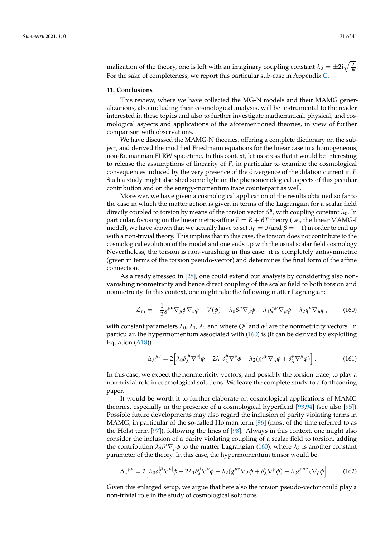malization of the theory, one is left with an imaginary coupling constant  $\lambda_0 = \pm 2i\sqrt{\frac{2}{3\kappa}}$ . For the sake of completeness, we report this particular sub-case in Appendix C.

#### **11. Conclusions**

This review, where we have collected the MG-N models and their MAMG generalizations, also including their cosmological analysis, will be instrumental to the reader interested in these topics and also to further investigate mathematical, physical, and cosmological aspects and applications of the aforementioned theories, in view of further comparison with observations.

We have discussed the MAMG-N theories, offering a complete dictionary on the subject, and derived the modified Friedmann equations for the linear case in a homogeneous, non-Riemannian FLRW spacetime. In this context, let us stress that it would be interesting to release the assumptions of linearity of *F*, in particular to examine the cosmological consequences induced by the very presence of the divergence of the dilation current in *F*. Such a study might also shed some light on the phenomenological aspects of this peculiar contribution and on the energy-momentum trace counterpart as well.

Moreover, we have given a cosmological application of the results obtained so far to the case in which the matter action is given in terms of the Lagrangian for a scalar field directly coupled to torsion by means of the torsion vector  $S^{\mu}$ , with coupling constant  $\lambda_0$ . In particular, focusing on the linear metric-affine  $F = R + \beta T$  theory (i.e., the linear MAMG-I model), we have shown that we actually have to set  $\lambda_0 = 0$  (and  $\beta = -1$ ) in order to end up with a non-trivial theory. This implies that in this case, the torsion does not contribute to the cosmological evolution of the model and one ends up with the usual scalar field cosmology. Nevertheless, the torsion is non-vanishing in this case: it is completely antisymmetric (given in terms of the torsion pseudo-vector) and determines the final form of the affine connection.

As already stressed in [28], one could extend our analysis by considering also nonvanishing nonmetricity and hence direct coupling of the scalar field to both torsion and nonmetricity. In this context, one might take the following matter Lagrangian:

$$
\mathcal{L}_{\rm m} = -\frac{1}{2} g^{\mu\nu} \nabla_{\mu} \phi \nabla_{\nu} \phi - V(\phi) + \lambda_0 S^{\mu} \nabla_{\mu} \phi + \lambda_1 Q^{\mu} \nabla_{\mu} \phi + \lambda_2 q^{\mu} \nabla_{\mu} \phi \,, \tag{160}
$$

with constant parameters  $\lambda_0$ ,  $\lambda_1$ ,  $\lambda_2$  and where  $Q^{\mu}$  and  $q^{\mu}$  are the nonmetricity vectors. In particular, the hypermomentum associated with (160) is (It can be derived by exploiting Equation (A18)).

$$
\Delta_{\lambda}^{\mu\nu} = 2 \Big[ \lambda_0 \delta_{\lambda}^{[\mu} \nabla^{\nu]} \phi - 2 \lambda_1 \delta_{\lambda}^{\mu} \nabla^{\nu} \phi - \lambda_2 (g^{\mu\nu} \nabla_{\lambda} \phi + \delta_{\lambda}^{\nu} \nabla^{\mu} \phi) \Big]. \tag{161}
$$

In this case, we expect the nonmetricity vectors, and possibly the torsion trace, to play a non-trivial role in cosmological solutions. We leave the complete study to a forthcoming paper.

It would be worth it to further elaborate on cosmological applications of MAMG theories, especially in the presence of a cosmological hyperfluid [93,94] (see also [95]). Possible future developments may also regard the inclusion of parity violating terms in MAMG, in particular of the so-called Hojman term [96] (most of the time referred to as the Holst term [97]), following the lines of [98]. Always in this context, one might also consider the inclusion of a parity violating coupling of a scalar field to torsion, adding the contribution  $\lambda_3 t^{\mu} \nabla_{\mu} \phi$  to the matter Lagrangian (160), where  $\lambda_3$  is another constant parameter of the theory. In this case, the hypermomentum tensor would be

$$
\Delta_{\lambda}^{\mu\nu} = 2 \Big[ \lambda_0 \delta_{\lambda}^{[\mu} \nabla^{\nu]} \phi - 2 \lambda_1 \delta_{\lambda}^{\mu} \nabla^{\nu} \phi - \lambda_2 (g^{\mu\nu} \nabla_{\lambda} \phi + \delta_{\lambda}^{\nu} \nabla^{\mu} \phi) - \lambda_3 \varepsilon^{\rho \mu \nu} {\lambda} \nabla_{\rho} \phi \Big]. \tag{162}
$$

Given this enlarged setup, we argue that here also the torsion pseudo-vector could play a non-trivial role in the study of cosmological solutions.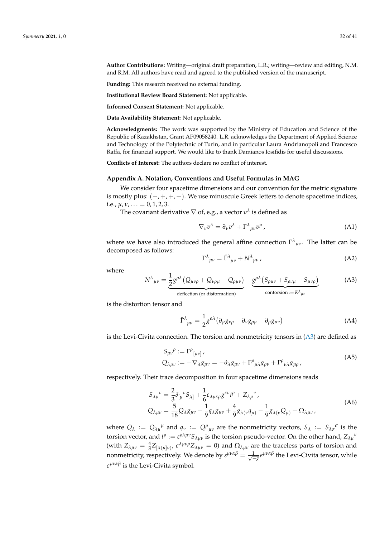**Author Contributions:** Writing—original draft preparation, L.R.; writing—review and editing, N.M. and R.M. All authors have read and agreed to the published version of the manuscript.

**Funding:** This research received no external funding.

**Institutional Review Board Statement:** Not applicable.

**Informed Consent Statement:** Not applicable.

**Data Availability Statement:** Not applicable.

**Acknowledgments:** The work was supported by the Ministry of Education and Science of the Republic of Kazakhstan, Grant AP09058240. L.R. acknowledges the Department of Applied Science and Technology of the Polytechnic of Turin, and in particular Laura Andrianopoli and Francesco Raffa, for financial support. We would like to thank Damianos Iosifidis for useful discussions.

**Conflicts of Interest:** The authors declare no conflict of interest.

## **Appendix A. Notation, Conventions and Useful Formulas in MAG**

We consider four spacetime dimensions and our convention for the metric signature is mostly plus:  $(-, +, +, +)$ . We use minuscule Greek letters to denote spacetime indices, i.e.,  $\mu$ ,  $\nu$ , ... = 0, 1, 2, 3.

The covariant derivative  $\nabla$  of, e.g., a vector  $v^{\lambda}$  is defined as

$$
\nabla_{\nu} v^{\lambda} = \partial_{\nu} v^{\lambda} + \Gamma^{\lambda}{}_{\mu\nu} v^{\mu} \,, \tag{A1}
$$

where we have also introduced the general affine connection Γ *λ µν*. The latter can be decomposed as follows:

$$
\Gamma^{\lambda}{}_{\mu\nu} = \tilde{\Gamma}^{\lambda}{}_{\mu\nu} + N^{\lambda}{}_{\mu\nu} \,, \tag{A2}
$$

where

$$
N^{\lambda}{}_{\mu\nu} = \underbrace{\frac{1}{2}g^{\rho\lambda}\left(Q_{\mu\nu\rho} + Q_{\nu\rho\mu} - Q_{\rho\mu\nu}\right)}_{\text{deflection (or disformation)}} - \underbrace{g^{\rho\lambda}\left(S_{\rho\mu\nu} + S_{\rho\nu\mu} - S_{\mu\nu\rho}\right)}_{\text{contorsion} := K^{\lambda}{}_{\mu\nu}} \tag{A3}
$$

is the distortion tensor and

$$
\tilde{\Gamma}^{\lambda}_{\ \mu\nu} = \frac{1}{2} g^{\rho\lambda} \left( \partial_{\mu} g_{\nu\rho} + \partial_{\nu} g_{\rho\mu} - \partial_{\rho} g_{\mu\nu} \right) \tag{A4}
$$

is the Levi-Civita connection. The torsion and nonmetricity tensors in (A3) are defined as

$$
S_{\mu\nu}{}^{\rho} := \Gamma^{\rho}{}_{[\mu\nu]},
$$
  
\n
$$
Q_{\lambda\mu\nu} := -\nabla_{\lambda}g_{\mu\nu} = -\partial_{\lambda}g_{\mu\nu} + \Gamma^{\rho}{}_{\mu\lambda}g_{\rho\nu} + \Gamma^{\rho}{}_{\nu\lambda}g_{\mu\rho},
$$
\n(A5)

respectively. Their trace decomposition in four spacetime dimensions reads

$$
S_{\lambda\mu}{}^{\nu} = \frac{2}{3} \delta_{[\mu}{}^{\nu} S_{\lambda]} + \frac{1}{6} \varepsilon_{\lambda\mu\kappa\rho} g^{\kappa\nu} t^{\rho} + Z_{\lambda\mu}{}^{\nu},
$$
  
\n
$$
Q_{\lambda\mu\nu} = \frac{5}{18} Q_{\lambda} g_{\mu\nu} - \frac{1}{9} q_{\lambda} g_{\mu\nu} + \frac{4}{9} g_{\lambda(\nu} q_{\mu)} - \frac{1}{9} g_{\lambda(\nu} Q_{\mu)} + \Omega_{\lambda\mu\nu},
$$
\n(A6)

where  $Q_\lambda := Q_{\lambda\mu}{}^{\mu}$  and  $q_\nu := Q^{\mu}{}_{\mu\nu}$  are the nonmetricity vectors,  $S_\lambda := S_{\lambda\sigma}{}^{\sigma}$  is the torsion vector, and  $t^{\rho} := \varepsilon^{\rho\lambda\mu\nu} S_{\lambda\mu\nu}$  is the torsion pseudo-vector. On the other hand,  $Z_{\lambda\mu}{}^{\nu}$ (with  $Z_{\lambda\mu\nu} = \frac{4}{3} Z_{[\lambda(\mu]\nu)}$ ,  $\epsilon^{\lambda\mu\nu\rho} Z_{\lambda\mu\nu} = 0$ ) and  $\Omega_{\lambda\mu\nu}$  are the traceless parts of torsion and nonmetricity, respectively. We denote by  $\varepsilon^{\mu\nu\alpha\beta} = \frac{1}{\sqrt{-g}} \varepsilon^{\mu\nu\alpha\beta}$  the Levi-Civita tensor, while *e µναβ* is the Levi-Civita symbol.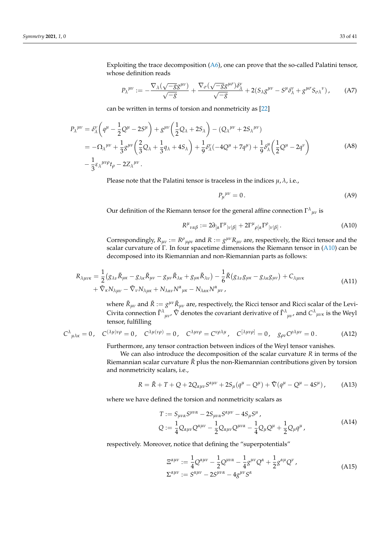Exploiting the trace decomposition (A6), one can prove that the so-called Palatini tensor, whose definition reads

$$
P_{\lambda}^{\mu\nu} := -\frac{\nabla_{\lambda}(\sqrt{-g}g^{\mu\nu})}{\sqrt{-g}} + \frac{\nabla_{\sigma}(\sqrt{-g}g^{\mu\sigma})\delta^{\nu}_{\lambda}}{\sqrt{-g}} + 2(S_{\lambda}g^{\mu\nu} - S^{\mu}\delta^{\nu}_{\lambda} + g^{\mu\sigma}S_{\sigma\lambda}^{\nu}), \tag{A7}
$$

can be written in terms of torsion and nonmetricity as [22]

$$
P_{\lambda}^{\mu\nu} = \delta_{\lambda}^{\nu} \left( q^{\mu} - \frac{1}{2} Q^{\mu} - 2S^{\mu} \right) + g^{\mu\nu} \left( \frac{1}{2} Q_{\lambda} + 2S_{\lambda} \right) - (Q_{\lambda}^{\mu\nu} + 2S_{\lambda}^{\mu\nu})
$$
  
=  $- \Omega_{\lambda}^{\mu\nu} + \frac{1}{3} g^{\mu\nu} \left( \frac{2}{3} Q_{\lambda} + \frac{1}{3} q_{\lambda} + 4S_{\lambda} \right) + \frac{1}{9} \delta_{\lambda}^{\nu} (-4Q^{\mu} + 7q^{\mu}) + \frac{1}{9} \delta_{\lambda}^{\mu} \left( \frac{1}{2} Q^{\mu} - 2q^{\nu} \right)$   
 $- \frac{1}{3} \epsilon_{\lambda}^{\mu\nu\rho} t_{\rho} - 2Z_{\lambda}^{\mu\nu}.$  (A8)

Please note that the Palatini tensor is traceless in the indices  $\mu$ ,  $\lambda$ , i.e.,

$$
P_{\mu}{}^{\mu\nu} = 0. \tag{A9}
$$

Our definition of the Riemann tensor for the general affine connection  $\Gamma^\lambda{}_{\mu\nu}$  is

$$
R^{\mu}{}_{\nu\alpha\beta} := 2\partial_{[\alpha}\Gamma^{\mu}{}_{|\nu|\beta]} + 2\Gamma^{\mu}{}_{\rho[\alpha}\Gamma^{\rho}{}_{|\nu|\beta]}.
$$
 (A10)

Correspondingly,  $R_{\mu\nu} := R^{\rho}{}_{\mu\rho\nu}$  and  $R := g^{\mu\nu}R_{\mu\nu}$  are, respectively, the Ricci tensor and the scalar curvature of Γ. In four spacetime dimensions the Riemann tensor in (A10) can be decomposed into its Riemannian and non-Riemannian parts as follows:

$$
R_{\lambda\mu\nu\kappa} = \frac{1}{2} (g_{\lambda\nu}\tilde{R}_{\mu\kappa} - g_{\lambda\kappa}\tilde{R}_{\mu\nu} - g_{\mu\nu}\tilde{R}_{\lambda\kappa} + g_{\mu\kappa}\tilde{R}_{\lambda\nu}) - \frac{1}{6}\tilde{R}(g_{\lambda\nu}g_{\mu\kappa} - g_{\lambda\kappa}g_{\mu\nu}) + C_{\lambda\mu\nu\kappa} + \tilde{\nabla}_{\kappa}N_{\lambda\mu\nu} - \tilde{\nabla}_{\nu}N_{\lambda\mu\kappa} + N_{\lambda\alpha\nu}N^{\alpha}{}_{\mu\kappa} - N_{\lambda\alpha\kappa}N^{\alpha}{}_{\mu\nu},
$$
\n(A11)

where  $\tilde{R}_{\mu\nu}$  and  $\tilde{R} := g^{\mu\nu} \tilde{R}_{\mu\nu}$  are, respectively, the Ricci tensor and Ricci scalar of the Levi-Civita connection  $\tilde{\Gamma}^{\lambda}{}_{\mu\nu}$ ,  $\tilde{\nabla}$  denotes the covariant derivative of  $\tilde{\Gamma}^{\lambda}{}_{\mu\nu}$ , and  $C^{\lambda}{}_{\mu\nu\kappa}$  is the Weyl tensor, fulfilling

$$
C^{\lambda}{}_{\mu\lambda\kappa} = 0, \quad C^{(\lambda\mu)\nu\rho} = 0, \quad C^{\lambda\mu(\nu\rho)} = 0, \quad C^{\lambda\mu\nu\rho} = C^{\nu\rho\lambda\mu}, \quad C^{[\lambda\mu\nu\rho]} = 0, \quad g_{\rho\nu}C^{\rho\lambda\mu\nu} = 0. \tag{A12}
$$

Furthermore, any tensor contraction between indices of the Weyl tensor vanishes.

We can also introduce the decomposition of the scalar curvature *R* in terms of the Riemannian scalar curvature  $\tilde{R}$  plus the non-Riemannian contributions given by torsion and nonmetricity scalars, i.e.,

$$
R = \tilde{R} + T + Q + 2Q_{\alpha\mu\nu}S^{\alpha\mu\nu} + 2S_{\mu}(q^{\mu} - Q^{\mu}) + \tilde{\nabla}(q^{\mu} - Q^{\mu} - 4S^{\mu}), \tag{A13}
$$

where we have defined the torsion and nonmetricity scalars as

$$
T := S_{\mu\nu\alpha} S^{\mu\nu\alpha} - 2S_{\mu\nu\alpha} S^{\alpha\mu\nu} - 4S_{\mu} S^{\mu},
$$
  
\n
$$
Q := \frac{1}{4} Q_{\alpha\mu\nu} Q^{\alpha\mu\nu} - \frac{1}{2} Q_{\alpha\mu\nu} Q^{\mu\nu\alpha} - \frac{1}{4} Q_{\mu} Q^{\mu} + \frac{1}{2} Q_{\mu} q^{\mu},
$$
\n(A14)

respectively. Moreover, notice that defining the "superpotentials"

$$
\begin{aligned} \n\Xi^{\alpha\mu\nu} &:= \frac{1}{4} \mathcal{Q}^{\alpha\mu\nu} - \frac{1}{2} \mathcal{Q}^{\mu\nu\alpha} - \frac{1}{4} g^{\mu\nu} \mathcal{Q}^{\alpha} + \frac{1}{2} g^{\alpha\mu} \mathcal{Q}^{\nu} \,, \\ \n\Sigma^{\alpha\mu\nu} &:= S^{\alpha\mu\nu} - 2 S^{\mu\nu\alpha} - 4 g^{\mu\nu} S^{\alpha} \n\end{aligned} \tag{A15}
$$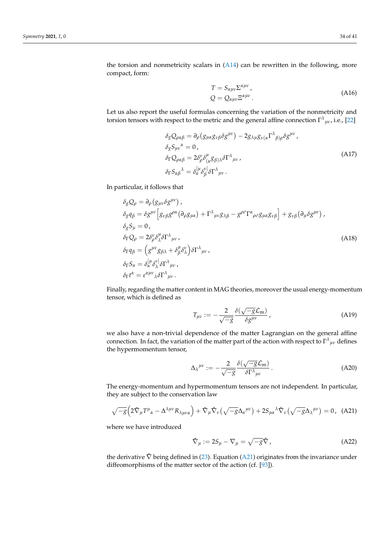$$
T = S_{\alpha\mu\nu} \Sigma^{\alpha\mu\nu},
$$
  
\n
$$
Q = Q_{\alpha\mu\nu} \Xi^{\alpha\mu\nu}.
$$
\n(A16)

Let us also report the useful formulas concerning the variation of the nonmetricity and torsion tensors with respect to the metric and the general affine connection  $\Gamma^{\lambda}{}_{\mu\nu}$ , i.e., [22]

$$
\delta_{g}Q_{\rho\alpha\beta} = \partial_{\rho}(g_{\mu\alpha}g_{\nu\beta}\delta g^{\mu\nu}) - 2g_{\lambda\mu}g_{\nu(\alpha}\Gamma^{\lambda}{}_{\beta)\rho}\delta g^{\mu\nu},
$$
  
\n
$$
\delta_{g}S_{\mu\nu}{}^{\alpha} = 0,
$$
  
\n
$$
\delta_{\Gamma}Q_{\rho\alpha\beta} = 2\delta^{\nu}_{\rho}\delta^{\mu}_{(\alpha}g_{\beta)\lambda}\delta\Gamma^{\lambda}{}_{\mu\nu},
$$
  
\n
$$
\delta_{\Gamma}S_{\alpha\beta}{}^{\lambda} = \delta_{\alpha}^{[\mu}\delta^{\nu]}_{\beta}\delta\Gamma^{\lambda}{}_{\mu\nu}.
$$
\n(A17)

In particular, it follows that

$$
\delta_{g}Q_{\rho} = \partial_{\rho}(g_{\mu\nu}\delta g^{\mu\nu}),
$$
\n
$$
\delta_{g}q_{\beta} = \delta g^{\mu\nu}\Big[g_{\nu\beta}g^{\rho\alpha}(\partial_{\rho}g_{\mu\alpha}) + \Gamma^{\lambda}{}_{\mu\nu}g_{\lambda\beta} - g^{\rho\sigma}\Gamma^{\alpha}{}_{\rho\sigma}g_{\mu\alpha}g_{\nu\beta}\Big] + g_{\nu\beta}(\partial_{\mu}\delta g^{\mu\nu}),
$$
\n
$$
\delta_{g}S_{\mu} = 0,
$$
\n
$$
\delta_{\Gamma}Q_{\rho} = 2\delta^{\nu}_{\rho}\delta^{\mu}_{\lambda}\delta\Gamma^{\lambda}{}_{\mu\nu},
$$
\n
$$
\delta_{\Gamma}q_{\beta} = (g^{\mu\nu}g_{\beta\lambda} + \delta^{\mu}_{\beta}\delta^{\nu}_{\lambda})\delta\Gamma^{\lambda}{}_{\mu\nu},
$$
\n
$$
\delta_{\Gamma}S_{\alpha} = \delta^{\mu}_{\alpha}\delta^{\nu}_{\lambda}\delta\Gamma^{\lambda}{}_{\mu\nu},
$$
\n
$$
\delta_{\Gamma}t^{\alpha} = \epsilon^{\alpha\mu\nu}{}_{\lambda}\delta\Gamma^{\lambda}{}_{\mu\nu}.
$$
\n(A18)

Finally, regarding the matter content in MAG theories, moreover the usual energy-momentum tensor, which is defined as

$$
T_{\mu\nu} := -\frac{2}{\sqrt{-g}} \frac{\delta(\sqrt{-g}\mathcal{L}_{\rm m})}{\delta g^{\mu\nu}}, \qquad (A19)
$$

we also have a non-trivial dependence of the matter Lagrangian on the general affine connection. In fact, the variation of the matter part of the action with respect to  $\Gamma^{\lambda}{}_{\mu\nu}$  defines the hypermomentum tensor,

$$
\Delta_{\lambda}^{\mu\nu} := -\frac{2}{\sqrt{-g}} \frac{\delta(\sqrt{-g}\mathcal{L}_{\mathbf{m}})}{\delta \Gamma^{\lambda}{}_{\mu\nu}}.
$$
 (A20)

The energy-momentum and hypermomentum tensors are not independent. In particular, they are subject to the conservation law

$$
\sqrt{-g}\left(2\tilde{\nabla}_{\mu}T^{\mu}_{\alpha} - \Delta^{\lambda\mu\nu}R_{\lambda\mu\nu\alpha}\right) + \tilde{\nabla}_{\mu}\tilde{\nabla}_{\nu}\left(\sqrt{-g}\Delta_{\alpha}^{\mu\nu}\right) + 2S_{\mu\alpha}^{\ \lambda}\tilde{\nabla}_{\nu}\left(\sqrt{-g}\Delta_{\lambda}^{\mu\nu}\right) = 0, \quad \text{(A21)}
$$

where we have introduced

$$
\check{\nabla}_{\mu} := 2S_{\mu} - \nabla_{\mu} = \sqrt{-g}\hat{\nabla}, \qquad (A22)
$$

the derivative  $\hat{\nabla}$  being defined in (23). Equation (A21) originates from the invariance under diffeomorphisms of the matter sector of the action (cf. [93]).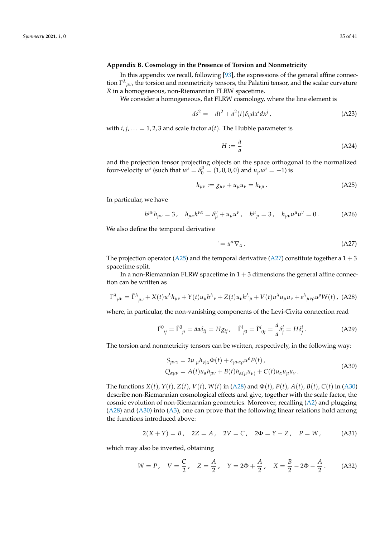## **Appendix B. Cosmology in the Presence of Torsion and Nonmetricity**

In this appendix we recall, following [93], the expressions of the general affine connection Γ *λ µν*, the torsion and nonmetricity tensors, the Palatini tensor, and the scalar curvature *R* in a homogeneous, non-Riemannian FLRW spacetime.

We consider a homogeneous, flat FLRW cosmology, where the line element is

$$
ds^2 = -dt^2 + a^2(t)\delta_{ij}dx^i dx^j,
$$
\n(A23)

with  $i, j, \ldots = 1, 2, 3$  and scale factor  $a(t)$ . The Hubble parameter is

$$
H := \frac{\dot{a}}{a} \tag{A24}
$$

and the projection tensor projecting objects on the space orthogonal to the normalized four-velocity  $u^{\mu}$  (such that  $u^{\mu} = \delta_0^{\mu} = (1, 0, 0, 0)$  and  $u_{\mu}u^{\mu} = -1$ ) is

$$
h_{\mu\nu} := g_{\mu\nu} + u_{\mu} u_{\nu} = h_{\nu\mu}.
$$
 (A25)

In particular, we have

$$
h^{\mu\nu}h_{\mu\nu} = 3, \quad h_{\mu\alpha}h^{\nu\alpha} = \delta^{\nu}_{\mu} + u_{\mu}u^{\nu}, \quad h^{\mu}_{\mu} = 3, \quad h_{\mu\nu}u^{\mu}u^{\nu} = 0. \tag{A26}
$$

We also define the temporal derivative

$$
=u^{\alpha}\nabla_{\alpha}.
$$
 (A27)

The projection operator (A25) and the temporal derivative (A27) constitute together a  $1 + 3$ spacetime split.

In a non-Riemannian FLRW spacetime in  $1 + 3$  dimensions the general affine connection can be written as

$$
\Gamma^{\lambda}{}_{\mu\nu} = \tilde{\Gamma}^{\lambda}{}_{\mu\nu} + X(t)u^{\lambda}h_{\mu\nu} + Y(t)u_{\mu}h^{\lambda}{}_{\nu} + Z(t)u_{\nu}h^{\lambda}{}_{\mu} + V(t)u^{\lambda}u_{\mu}u_{\nu} + \varepsilon^{\lambda}{}_{\mu\nu\rho}u^{\rho}W(t)
$$
, (A28)

where, in particular, the non-vanishing components of the Levi-Civita connection read

$$
\tilde{\Gamma}^0_{ij} = \tilde{\Gamma}^0_{ji} = \dot{a}a\delta_{ij} = Hg_{ij}, \quad \tilde{\Gamma}^i_{j0} = \tilde{\Gamma}^i_{0j} = \frac{\dot{a}}{a}\delta^i_j = H\delta^i_j. \tag{A29}
$$

The torsion and nonmetricity tensors can be written, respectively, in the following way:

$$
S_{\mu\nu\alpha} = 2u_{\lbrack\mu}h_{\nu\rbrack\alpha}\Phi(t) + \varepsilon_{\mu\nu\alpha\rho}u^{\rho}P(t),
$$
  
\n
$$
Q_{\alpha\mu\nu} = A(t)u_{\alpha}h_{\mu\nu} + B(t)h_{\alpha(\mu}u_{\nu)} + C(t)u_{\alpha}u_{\mu}u_{\nu}.
$$
\n(A30)

The functions  $X(t)$ ,  $Y(t)$ ,  $Z(t)$ ,  $V(t)$ ,  $W(t)$  in (A28) and  $\Phi(t)$ ,  $P(t)$ ,  $A(t)$ ,  $B(t)$ ,  $C(t)$  in (A30) describe non-Riemannian cosmological effects and give, together with the scale factor, the cosmic evolution of non-Riemannian geometries. Moreover, recalling (A2) and plugging (A28) and (A30) into (A3), one can prove that the following linear relations hold among the functions introduced above:

$$
2(X + Y) = B, \quad 2Z = A, \quad 2V = C, \quad 2\Phi = Y - Z, \quad P = W,
$$
 (A31)

which may also be inverted, obtaining

$$
W = P
$$
,  $V = \frac{C}{2}$ ,  $Z = \frac{A}{2}$ ,  $Y = 2\Phi + \frac{A}{2}$ ,  $X = \frac{B}{2} - 2\Phi - \frac{A}{2}$ . (A32)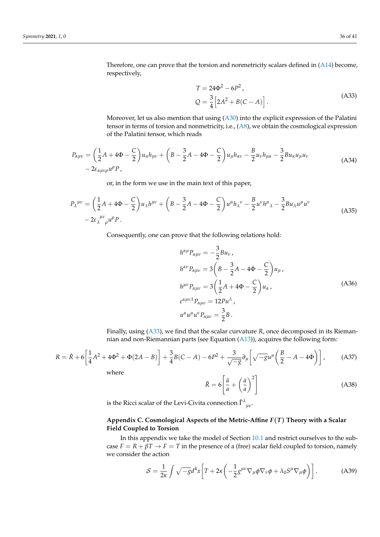Therefore, one can prove that the torsion and nonmetricity scalars defined in (A14) become, respectively,

$$
T = 24\Phi^{2} - 6P^{2},
$$
  
\n
$$
Q = \frac{3}{4} \left[ 2A^{2} + B(C - A) \right].
$$
\n(A33)

Moreover, let us also mention that using (A30) into the explicit expression of the Palatini tensor in terms of torsion and nonmetricity, i.e., (A8), we obtain the cosmological expression of the Palatini tensor, which reads

$$
P_{\alpha\mu\nu} = \left(\frac{1}{2}A + 4\Phi - \frac{C}{2}\right)u_{\alpha}h_{\mu\nu} + \left(B - \frac{3}{2}A - 4\Phi - \frac{C}{2}\right)u_{\mu}h_{\alpha\nu} - \frac{B}{2}u_{\nu}h_{\mu\alpha} - \frac{3}{2}Bu_{\alpha}u_{\mu}u_{\nu} - 2\varepsilon_{\alpha\mu\nu\rho}u^{\rho}P, \tag{A34}
$$

or, in the form we use in the main text of this paper,

$$
P_{\lambda}^{\mu\nu} = \left(\frac{1}{2}A + 4\Phi - \frac{C}{2}\right)u_{\lambda}h^{\mu\nu} + \left(B - \frac{3}{2}A - 4\Phi - \frac{C}{2}\right)u^{\mu}h_{\lambda}^{\nu} - \frac{B}{2}u^{\nu}h^{\mu}{}_{\lambda} - \frac{3}{2}Bu_{\lambda}u^{\mu}u^{\nu} - 2\varepsilon_{\lambda}^{\mu\nu}{}_{\rho}u^{\rho}P.
$$
\n(A35)

Consequently, one can prove that the following relations hold:

$$
h^{\alpha\mu}P_{\alpha\mu\nu} = -\frac{3}{2}Bu_{\nu},
$$
  
\n
$$
h^{\alpha\nu}P_{\alpha\mu\nu} = 3\left(B - \frac{3}{2}A - 4\Phi - \frac{C}{2}\right)u_{\mu},
$$
  
\n
$$
h^{\mu\nu}P_{\alpha\mu\nu} = 3\left(\frac{1}{2}A + 4\Phi - \frac{C}{2}\right)u_{\alpha},
$$
  
\n
$$
\varepsilon^{\alpha\mu\nu\lambda}P_{\alpha\mu\nu} = 12Pu^{\lambda},
$$
  
\n
$$
u^{\alpha}u^{\mu}u^{\nu}P_{\alpha\mu\nu} = \frac{3}{2}B.
$$
\n(A36)

Finally, using (A33), we find that the scalar curvature *R*, once decomposed in its Riemannian and non-Riemannian parts (see Equation (A13)), acquires the following form:

$$
R = \tilde{R} + 6\left[\frac{1}{4}A^2 + 4\Phi^2 + \Phi(2A - B)\right] + \frac{3}{4}B(C - A) - 6P^2 + \frac{3}{\sqrt{-g}}\partial_\mu\left[\sqrt{-g}u^\mu\left(\frac{B}{2} - A - 4\Phi\right)\right],\tag{A37}
$$

where

$$
\tilde{R} = 6 \left[ \frac{\ddot{a}}{a} + \left( \frac{\dot{a}}{a} \right)^2 \right]
$$
 (A38)

is the Ricci scalar of the Levi-Civita connection  $\tilde{\Gamma}^{\lambda}_{\phantom{\alpha}\mu\nu}.$ 

## **Appendix C. Cosmological Aspects of the Metric-Affine** *F*(*T*) **Theory with a Scalar Field Coupled to Torsion**

In this appendix we take the model of Section 10.1 and restrict ourselves to the subcase  $F = R + \beta T \rightarrow F = T$  in the presence of a (free) scalar field coupled to torsion, namely we consider the action

$$
S = \frac{1}{2\kappa} \int \sqrt{-g} d^4x \left[ T + 2\kappa \left( -\frac{1}{2} g^{\mu\nu} \nabla_{\mu} \phi \nabla_{\nu} \phi + \lambda_0 S^{\mu} \nabla_{\mu} \phi \right) \right].
$$
 (A39)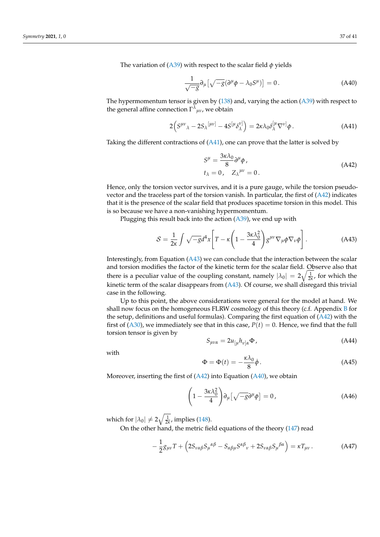The variation of (A39) with respect to the scalar field *φ* yields

$$
\frac{1}{\sqrt{-g}}\partial_{\mu}\left[\sqrt{-g}(\partial^{\mu}\phi - \lambda_0 S^{\mu})\right] = 0.
$$
 (A40)

The hypermomentum tensor is given by (138) and, varying the action (A39) with respect to the general affine connection  $\Gamma^{\lambda}{}_{\mu\nu}$ , we obtain

$$
2(S^{\mu\nu}{}_{\lambda} - 2S_{\lambda}{}^{[\mu\nu]} - 4S^{[\mu} \delta^{\nu]}_{\lambda}) = 2\kappa \lambda_0 \delta^{[\mu}_{\lambda} \nabla^{\nu]} \phi.
$$
 (A41)

Taking the different contractions of  $(A41)$ , one can prove that the latter is solved by

$$
S^{\mu} = \frac{3\kappa\lambda_0}{8} \partial^{\mu} \phi ,
$$
  
\n
$$
t_{\lambda} = 0, \quad Z_{\lambda}{}^{\mu\nu} = 0.
$$
 (A42)

Hence, only the torsion vector survives, and it is a pure gauge, while the torsion pseudovector and the traceless part of the torsion vanish. In particular, the first of  $(A42)$  indicates that it is the presence of the scalar field that produces spacetime torsion in this model. This is so because we have a non-vanishing hypermomentum.

Plugging this result back into the action (A39), we end up with

$$
S = \frac{1}{2\kappa} \int \sqrt{-g} d^4x \left[ T - \kappa \left( 1 - \frac{3\kappa \lambda_0^2}{4} \right) g^{\mu \nu} \nabla_{\mu} \phi \nabla_{\nu} \phi \right]. \tag{A43}
$$

Interestingly, from Equation (A43) we can conclude that the interaction between the scalar and torsion modifies the factor of the kinetic term for the scalar field. Observe also that there is a peculiar value of the coupling constant, namely  $|\lambda_0| = 2\sqrt{\frac{1}{2\kappa}}$ , for which the kinetic term of the scalar disappears from (A43). Of course, we shall disregard this trivial case in the following.

Up to this point, the above considerations were general for the model at hand. We shall now focus on the homogeneous FLRW cosmology of this theory (c.f. Appendix B for the setup, definitions and useful formulas). Comparing the first equation of  $(A42)$  with the first of (A30), we immediately see that in this case,  $P(t) = 0$ . Hence, we find that the full torsion tensor is given by

$$
S_{\mu\nu\alpha} = 2u_{\lbrack\mu}h_{\nu\rbrack\alpha}\Phi\,,\tag{A44}
$$

with

$$
\Phi = \Phi(t) = -\frac{\kappa \lambda_0}{8} \dot{\phi} \,. \tag{A45}
$$

Moreover, inserting the first of  $(A42)$  into Equation  $(A40)$ , we obtain

$$
\left(1 - \frac{3\kappa\lambda_0^2}{4}\right)\partial_\mu\left[\sqrt{-g}\partial^\mu\phi\right] = 0,\tag{A46}
$$

which for  $|\lambda_0| \neq 2\sqrt{\frac{1}{2\kappa}}$ , implies (148).

On the other hand, the metric field equations of the theory (147) read

$$
-\frac{1}{2}g_{\mu\nu}T + \left(2S_{\nu\alpha\beta}S_{\mu}{}^{\alpha\beta} - S_{\alpha\beta\mu}S^{\alpha\beta}{}_{\nu} + 2S_{\nu\alpha\beta}S_{\mu}{}^{\beta\alpha}\right) = \kappa T_{\mu\nu}.
$$
 (A47)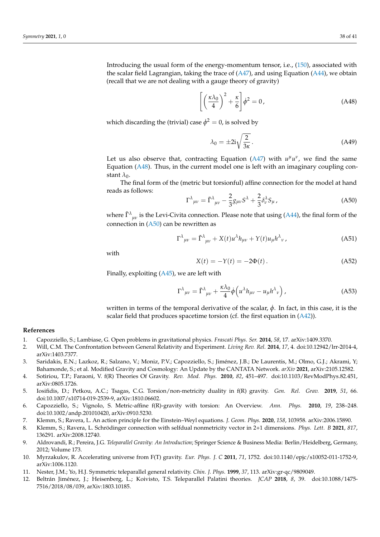Introducing the usual form of the energy-momentum tensor, i.e., (150), associated with the scalar field Lagrangian, taking the trace of  $(A47)$ , and using Equation  $(A44)$ , we obtain (recall that we are not dealing with a gauge theory of gravity)

$$
\left[ \left( \frac{\kappa \lambda_0}{4} \right)^2 + \frac{\kappa}{6} \right] \dot{\phi}^2 = 0, \tag{A48}
$$

which discarding the (trivial) case  $\dot{\phi}^2 = 0$ , is solved by

$$
\lambda_0 = \pm 2i \sqrt{\frac{2}{3\kappa}}.
$$
\n(A49)

Let us also observe that, contracting Equation (A47) with  $u^{\mu}u^{\nu}$ , we find the same Equation (A48). Thus, in the current model one is left with an imaginary coupling constant  $\lambda_0$ .

The final form of the (metric but torsionful) affine connection for the model at hand reads as follows:

$$
\Gamma^{\lambda}{}_{\mu\nu} = \tilde{\Gamma}^{\lambda}{}_{\mu\nu} - \frac{2}{3} g_{\mu\nu} S^{\lambda} + \frac{2}{3} \delta^{\lambda}_{\nu} S_{\mu} \,, \tag{A50}
$$

where  $\tilde{\Gamma}^{\lambda}{}_{\mu\nu}$  is the Levi-Civita connection. Please note that using (A44), the final form of the connection in  $(A50)$  can be rewritten as

$$
\Gamma^{\lambda}{}_{\mu\nu} = \tilde{\Gamma}^{\lambda}{}_{\mu\nu} + X(t)u^{\lambda}h_{\mu\nu} + Y(t)u_{\mu}h^{\lambda}{}_{\nu}, \qquad (A51)
$$

with

$$
X(t) = -Y(t) = -2\Phi(t).
$$
 (A52)

Finally, exploiting (A45), we are left with

$$
\Gamma^{\lambda}{}_{\mu\nu} = \tilde{\Gamma}^{\lambda}{}_{\mu\nu} + \frac{\kappa \lambda_0}{4} \dot{\phi} \left( u^{\lambda} h_{\mu\nu} - u_{\mu} h^{\lambda}{}_{\nu} \right), \tag{A53}
$$

written in terms of the temporal derivative of the scalar,  $\dot{\phi}$ . In fact, in this case, it is the scalar field that produces spacetime torsion (cf. the first equation in  $(A42)$ ).

## **References**

- 1. Capozziello, S.; Lambiase, G. Open problems in gravitational physics. *Frascati Phys. Ser.* **2014**, *58*, 17. arXiv:1409.3370.
- 2. Will, C.M. The Confrontation between General Relativity and Experiment. *Living Rev. Rel.* **2014**, *17*, 4. doi:10.12942/lrr-2014-4, arXiv:1403.7377.
- 3. Saridakis, E.N.; Lazkoz, R.; Salzano, V.; Moniz, P.V.; Capozziello, S.; Jiménez, J.B.; De Laurentis, M.; Olmo, G.J.; Akrami, Y; Bahamonde, S.; et al. Modified Gravity and Cosmology: An Update by the CANTATA Network. *arXiv* **2021**, arXiv:2105.12582.
- 4. Sotiriou, T.P.; Faraoni, V. f(R) Theories Of Gravity. *Rev. Mod. Phys.* **2010**, *82*, 451–497. doi:10.1103/RevModPhys.82.451, arXiv:0805.1726.
- 5. Iosifidis, D.; Petkou, A.C.; Tsagas, C.G. Torsion/non-metricity duality in f(R) gravity. *Gen. Rel. Grav.* **2019**, *51*, 66. doi:10.1007/s10714-019-2539-9, arXiv:1810.06602.
- 6. Capozziello, S.; Vignolo, S. Metric-affine f(R)-gravity with torsion: An Overview. *Ann. Phys.* **2010**, *19*, 238–248. doi:10.1002/andp.201010420, arXiv:0910.5230.
- 7. Klemm, S.; Ravera, L. An action principle for the Einstein–Weyl equations. *J. Geom. Phys.* **2020**, *158*, 103958. arXiv:2006.15890.
- 8. Klemm, S.; Ravera, L. Schrödinger connection with selfdual nonmetricity vector in 2+1 dimensions. *Phys. Lett. B* **2021**, *817*, 136291. arXiv:2008.12740.
- 9. Aldrovandi, R.; Pereira, J.G. *Teleparallel Gravity: An Introduction*; Springer Science & Business Media: Berlin/Heidelberg, Germany, 2012; Volume 173.
- 10. Myrzakulov, R. Accelerating universe from F(T) gravity. *Eur. Phys. J. C* **2011**, *71*, 1752. doi:10.1140/epjc/s10052-011-1752-9, arXiv:1006.1120.
- 11. Nester, J.M.; Yo, H.J. Symmetric teleparallel general relativity. *Chin. J. Phys.* **1999**, *37*, 113. arXiv:gr-qc/9809049.
- 12. Beltrán Jiménez, J.; Heisenberg, L.; Koivisto, T.S. Teleparallel Palatini theories. *JCAP* **2018**, *8*, 39. doi:10.1088/1475- 7516/2018/08/039, arXiv:1803.10185.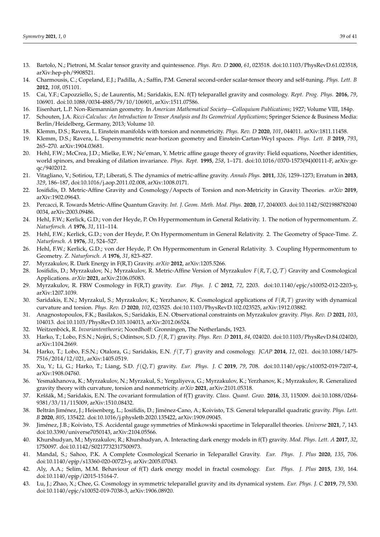- 13. Bartolo, N.; Pietroni, M. Scalar tensor gravity and quintessence. *Phys. Rev. D* **2000**, *61*, 023518. doi:10.1103/PhysRevD.61.023518, arXiv:hep-ph/9908521.
- 14. Charmousis, C.; Copeland, E.J.; Padilla, A.; Saffin, P.M. General second-order scalar-tensor theory and self-tuning. *Phys. Lett. B* **2012**, *108*, 051101.
- 15. Cai, Y.F.; Capozziello, S.; de Laurentis, M.; Saridakis, E.N. f(T) teleparallel gravity and cosmology. *Rept. Prog. Phys.* **2016**, *79*, 106901. doi:10.1088/0034-4885/79/10/106901, arXiv:1511.07586.
- 16. Eisenhart, L.P. Non-Riemannian geometry. In *American Mathematical Society—Colloquium Publications*; 1927; Volume VIII, 184p.
- 17. Schouten, J.A. *Ricci-Calculus: An Introduction to Tensor Analysis and Its Geometrical Applications*; Springer Science & Business Media: Berlin/Heidelberg, Germany, 2013; Volume 10.
- 18. Klemm, D.S.; Ravera, L. Einstein manifolds with torsion and nonmetricity. *Phys. Rev. D* **2020**, *101*, 044011. arXiv:1811.11458.
- 19. Klemm, D.S.; Ravera, L. Supersymmetric near-horizon geometry and Einstein-Cartan-Weyl spaces. *Phys. Lett. B* **2019**, *793*, 265–270. arXiv:1904.03681.
- 20. Hehl, F.W.; McCrea, J.D.; Mielke, E.W.; Ne'eman, Y. Metric affine gauge theory of gravity: Field equations, Noether identities, world spinors, and breaking of dilation invariance. *Phys. Rept.* **1995**, *258*, 1–171. doi:10.1016/0370-1573(94)00111-F, arXiv:grqc/9402012.
- 21. Vitagliano, V.; Sotiriou, T.P.; Liberati, S. The dynamics of metric-affine gravity. *Annals Phys.* **2011**, *326*, 1259–1273; Erratum in **2013**, *329*, 186–187, doi:10.1016/j.aop.2011.02.008, arXiv:1008.0171.
- 22. Iosifidis, D. Metric-Affine Gravity and Cosmology/Aspects of Torsion and non-Metricity in Gravity Theories. *arXiv* **2019**, arXiv:1902.09643.
- 23. Percacci, R. Towards Metric-Affine Quantum Gravity. *Int. J. Geom. Meth. Mod. Phys.* **2020**, *17*, 2040003. doi:10.1142/S021988782040 0034, arXiv:2003.09486.
- 24. Hehl, F.W.; Kerlick, G.D.; von der Heyde, P. On Hypermomentum in General Relativity. 1. The notion of hypermomentum. *Z. Naturforsch. A* **1976**, *31*, 111–114.
- 25. Hehl, F.W.; Kerlick, G.D.; von der Heyde, P. On Hypermomentum in General Relativity. 2. The Geometry of Space-Time. *Z. Naturforsch. A* **1976**, *31*, 524–527.
- 26. Hehl, F.W.; Kerlick, G.D.; von der Heyde, P. On Hypermomentum in General Relativity. 3. Coupling Hypermomentum to Geometry. *Z. Naturforsch. A* **1976**, *31*, 823–827.
- 27. Myrzakulov, R. Dark Energy in F(R,T) Gravity. *arXiv* **2012**, arXiv:1205.5266.
- 28. Iosifidis, D.; Myrzakulov, N.; Myrzakulov, R. Metric-Affine Version of Myrzakulov *F*(*R*, *T*, *Q*, T ) Gravity and Cosmological Applications. *arXiv* **2021**, arXiv:2106.05083.
- 29. Myrzakulov, R. FRW Cosmology in F(R,T) gravity. *Eur. Phys. J. C* **2012**, *72*, 2203. doi:10.1140/epjc/s10052-012-2203-y, arXiv:1207.1039.
- 30. Saridakis, E.N.; Myrzakul, S.; Myrzakulov, K.; Yerzhanov, K. Cosmological applications of *F*(*R*, *T*) gravity with dynamical curvature and torsion. *Phys. Rev. D* **2020**, *102*, 023525. doi:10.1103/PhysRevD.102.023525, arXiv:1912.03882.
- 31. Anagnostopoulos, F.K.; Basilakos, S.; Saridakis, E.N. Observational constraints on Myrzakulov gravity. *Phys. Rev. D* **2021**, *103*, 104013. doi:10.1103/PhysRevD.103.104013, arXiv:2012.06524.
- 32. Weitzenböck, R. *Invariantentheorie*; Noordhoff: Gronningen, The Netherlands, 1923.
- 33. Harko, T.; Lobo, F.S.N.; Nojiri, S.; Odintsov, S.D. *f*(*R*, *T*) gravity. *Phys. Rev. D* **2011**, *84*, 024020. doi:10.1103/PhysRevD.84.024020, arXiv:1104.2669.
- 34. Harko, T.; Lobo, F.S.N.; Otalora, G.; Saridakis, E.N. *f*(*T*, T ) gravity and cosmology. *JCAP* **2014**, *12*, 021. doi:10.1088/1475- 7516/2014/12/021, arXiv:1405.0519.
- 35. Xu, Y.; Li, G.; Harko, T.; Liang, S.D. *f*(*Q*, *T*) gravity. *Eur. Phys. J. C* **2019**, *79*, 708. doi:10.1140/epjc/s10052-019-7207-4, arXiv:1908.04760.
- 36. Yesmakhanova, K.; Myrzakulov, N.; Myrzakul, S.; Yergaliyeva, G.; Myrzakulov, K.; Yerzhanov, K.; Myrzakulov, R. Generalized gravity theory with curvature, torsion and nonmetricity. *arXiv* **2021**, arXiv:2101.05318.
- 37. Krššák, M.; Saridakis, E.N. The covariant formulation of f(T) gravity. *Class. Quant. Grav.* **2016**, *33*, 115009. doi:10.1088/0264- 9381/33/11/115009, arXiv:1510.08432.
- 38. Beltrán Jiménez, J.; Heisenberg, L.; Iosifidis, D.; Jiménez-Cano, A.; Koivisto, T.S. General teleparallel quadratic gravity. *Phys. Lett. B* **2020**, *805*, 135422. doi:10.1016/j.physletb.2020.135422, arXiv:1909.09045.
- 39. Jiménez, J.B.; Koivisto, T.S. Accidental gauge symmetries of Minkowski spacetime in Teleparallel theories. *Universe* **2021**, *7*, 143. doi:10.3390/universe7050143, arXiv:2104.05566.
- 40. Khurshudyan, M.; Myrzakulov, R.; Khurshudyan, A. Interacting dark energy models in f(T) gravity. *Mod. Phys. Lett. A* **2017**, *32*, 1750097. doi:10.1142/S0217732317500973.
- 41. Mandal, S.; Sahoo, P.K. A Complete Cosmological Scenario in Teleparallel Gravity. *Eur. Phys. J. Plus* **2020**, *135*, 706. doi:10.1140/epjp/s13360-020-00723-y, arXiv:2005.07043.
- 42. Aly, A.A.; Selim, M.M. Behaviour of f(T) dark energy model in fractal cosmology. *Eur. Phys. J. Plus* **2015**, *130*, 164. doi:10.1140/epjp/i2015-15164-7.
- 43. Lu, J.; Zhao, X.; Chee, G. Cosmology in symmetric teleparallel gravity and its dynamical system. *Eur. Phys. J. C* **2019**, *79*, 530. doi:10.1140/epjc/s10052-019-7038-3, arXiv:1906.08920.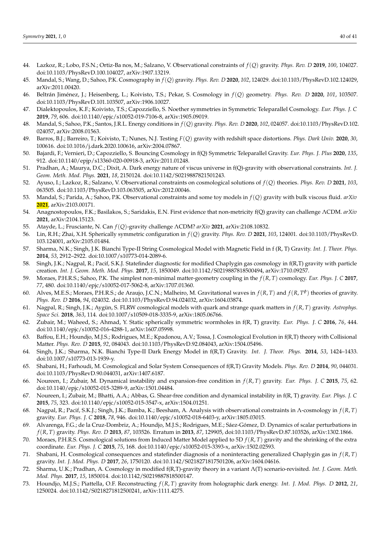- 44. Lazkoz, R.; Lobo, F.S.N.; Ortiz-Ba nos, M.; Salzano, V. Observational constraints of *f*(*Q*) gravity. *Phys. Rev. D* **2019**, *100*, 104027. doi:10.1103/PhysRevD.100.104027, arXiv:1907.13219.
- 45. Mandal, S.; Wang, D.; Sahoo, P.K. Cosmography in *f*(*Q*) gravity. *Phys. Rev. D* **2020**, *102*, 124029. doi:10.1103/PhysRevD.102.124029, arXiv:2011.00420.
- 46. Beltrán Jiménez, J.; Heisenberg, L.; Koivisto, T.S.; Pekar, S. Cosmology in *f*(*Q*) geometry. *Phys. Rev. D* **2020**, *101*, 103507. doi:10.1103/PhysRevD.101.103507, arXiv:1906.10027.
- 47. Dialektopoulos, K.F.; Koivisto, T.S.; Capozziello, S. Noether symmetries in Symmetric Teleparallel Cosmology. *Eur. Phys. J. C* **2019**, *79*, 606. doi:10.1140/epjc/s10052-019-7106-8, arXiv:1905.09019.
- 48. Mandal, S.; Sahoo, P.K.; Santos, J.R.L. Energy conditions in *f*(*Q*) gravity. *Phys. Rev. D* **2020**, *102*, 024057. doi:10.1103/PhysRevD.102. 024057, arXiv:2008.01563.
- 49. Barros, B.J.; Barreiro, T.; Koivisto, T.; Nunes, N.J. Testing *F*(*Q*) gravity with redshift space distortions. *Phys. Dark Univ.* **2020**, *30*, 100616. doi:10.1016/j.dark.2020.100616, arXiv:2004.07867.
- 50. Bajardi, F.; Vernieri, D.; Capozziello, S. Bouncing Cosmology in f(Q) Symmetric Teleparallel Gravity. *Eur. Phys. J. Plus* **2020**, *135*, 912. doi:10.1140/epjp/s13360-020-00918-3, arXiv:2011.01248.
- 51. Pradhan, A.; Maurya, D.C.; Dixit, A. Dark energy nature of viscus universe in f(Q)-gravity with observational constraints. *Int. J. Geom. Meth. Mod. Phys.* **2021**, *18*, 2150124. doi:10.1142/S0219887821501243.
- 52. Ayuso, I.; Lazkoz, R.; Salzano, V. Observational constraints on cosmological solutions of *f*(*Q*) theories. *Phys. Rev. D* **2021**, *103*, 063505. doi:10.1103/PhysRevD.103.063505, arXiv:2012.00046.
- 53. Mandal, S.; Parida, A.; Sahoo, P.K. Observational constraints and some toy models in *f*(*Q*) gravity with bulk viscous fluid. *arXiv* **2021**, arXiv:2103.00171.
- 54. Anagnostopoulos, F.K.; Basilakos, S.; Saridakis, E.N. First evidence that non-metricity f(Q) gravity can challenge ΛCDM. *arXiv* **2021**, arXiv:2104.15123.
- 55. Atayde, L.; Frusciante, N. Can *f*(*Q*)-gravity challenge ΛCDM? *arXiv* **2021**, arXiv:2108.10832.
- 56. Lin, R.H.; Zhai, X.H. Spherically symmetric configuration in *f*(*Q*) gravity. *Phys. Rev. D* **2021**, *103*, 124001. doi:10.1103/PhysRevD. 103.124001, arXiv:2105.01484.
- 57. Sharma, N.K.; Singh, J.K. Bianchi Type-II String Cosmological Model with Magnetic Field in f (R, T) Gravity. *Int. J. Theor. Phys.* **2014**, *53*, 2912–2922. doi:10.1007/s10773-014-2089-6.
- 58. Singh, J.K.; Nagpal, R.; Pacif, S.K.J. Statefinder diagnostic for modified Chaplygin gas cosmology in f(R,T) gravity with particle creation. *Int. J. Geom. Meth. Mod. Phys.* **2017**, *15*, 1850049. doi:10.1142/S0219887818500494, arXiv:1710.09257.
- 59. Moraes, P.H.R.S.; Sahoo, P.K. The simplest non-minimal matter-geometry coupling in the *f*(*R*, *T*) cosmology. *Eur. Phys. J. C* **2017**, *77*, 480. doi:10.1140/epjc/s10052-017-5062-8, arXiv:1707.01360.
- 60. Alves, M.E.S.; Moraes, P.H.R.S.; de Araujo, J.C.N.; Malheiro, M. Gravitational waves in  $f(R, T)$  and  $f(R, T^{\phi})$  theories of gravity. *Phys. Rev. D* **2016**, *94*, 024032. doi:10.1103/PhysRevD.94.024032, arXiv:1604.03874.
- 61. Nagpal, R.; Singh, J.K.; Aygün, S. FLRW cosmological models with quark and strange quark matters in *f*(*R*, *T*) gravity. *Astrophys. Space Sci.* **2018**, *363*, 114. doi:10.1007/s10509-018-3335-9, arXiv:1805.06766.
- 62. Zubair, M.; Waheed, S.; Ahmad, Y. Static spherically symmetric wormholes in f(R, T) gravity. *Eur. Phys. J. C* **2016**, *76*, 444. doi:10.1140/epjc/s10052-016-4288-1, arXiv:1607.05998.
- 63. Baffou, E.H.; Houndjo, M.J.S.; Rodrigues, M.E.; Kpadonou, A.V.; Tossa, J. Cosmological Evolution in f(R,T) theory with Collisional Matter. *Phys. Rev. D* **2015**, *92*, 084043. doi:10.1103/PhysRevD.92.084043, arXiv:1504.05496.
- 64. Singh, J.K.; Sharma, N.K. Bianchi Type-II Dark Energy Model in f(R,T) Gravity. *Int. J. Theor. Phys.* **2014**, *53*, 1424–1433. doi:10.1007/s10773-013-1939-y.
- 65. Shabani, H.; Farhoudi, M. Cosmological and Solar System Consequences of f(R,T) Gravity Models. *Phys. Rev. D* **2014**, *90*, 044031. doi:10.1103/PhysRevD.90.044031, arXiv:1407.6187.
- 66. Noureen, I.; Zubair, M. Dynamical instability and expansion-free condition in *f*(*R*, *T*) gravity. *Eur. Phys. J. C* **2015**, *75*, 62. doi:10.1140/epjc/s10052-015-3289-9, arXiv:1501.04484.
- 67. Noureen, I.; Zubair, M.; Bhatti, A.A.; Abbas, G. Shear-free condition and dynamical instability in f(R, T) gravity. *Eur. Phys. J. C* **2015**, *75*, 323. doi:10.1140/epjc/s10052-015-3547-x, arXiv:1504.01251.
- 68. Nagpal, R.; Pacif, S.K.J.; Singh, J.K.; Bamba, K.; Beesham, A. Analysis with observational constraints in Λ-cosmology in *f*(*R*, *T*) gravity. *Eur. Phys. J. C* **2018**, *78*, 946. doi:10.1140/epjc/s10052-018-6403-y, arXiv:1805.03015.
- 69. Alvarenga, F.G.; de la Cruz-Dombriz, A.; Houndjo, M.J.S.; Rodrigues, M.E.; Sáez-Gómez, D. Dynamics of scalar perturbations in *f*(*R*, *T*) gravity. *Phys. Rev. D* **2013**, *87*, 103526. Erratum in **2013**, *87*, 129905, doi:10.1103/PhysRevD.87.103526, arXiv:1302.1866.
- 70. Moraes, P.H.R.S. Cosmological solutions from Induced Matter Model applied to 5D *f*(*R*, *T*) gravity and the shrinking of the extra coordinate. *Eur. Phys. J. C* **2015**, *75*, 168. doi:10.1140/epjc/s10052-015-3393-x, arXiv:1502.02593.
- 71. Shabani, H. Cosmological consequences and statefinder diagnosis of a noninteracting generalized Chaplygin gas in *f*(*R*, *T*) gravity. *Int. J. Mod. Phys. D* **2017**, *26*, 1750120. doi:10.1142/S0218271817501206, arXiv:1604.04616.
- 72. Sharma, U.K.; Pradhan, A. Cosmology in modified f(R,T)-gravity theory in a variant Λ(T) scenario-revisited. *Int. J. Geom. Meth. Mod. Phys.* **2017**, *15*, 1850014. doi:10.1142/S0219887818500147.
- 73. Houndjo, M.J.S.; Piattella, O.F. Reconstructing *f*(*R*, *T*) gravity from holographic dark energy. *Int. J. Mod. Phys. D* **2012**, *21*, 1250024. doi:10.1142/S0218271812500241, arXiv:1111.4275.